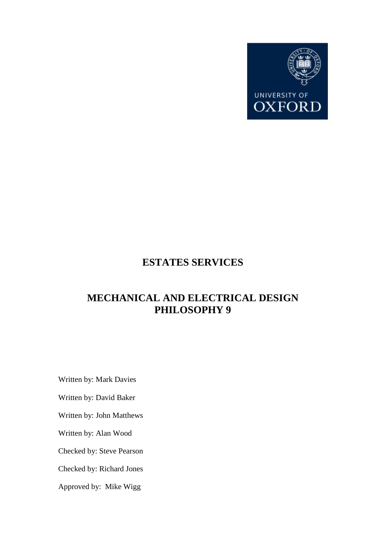

## **ESTATES SERVICES**

# **MECHANICAL AND ELECTRICAL DESIGN PHILOSOPHY 9**

Written by: Mark Davies

Written by: David Baker

Written by: John Matthews

Written by: Alan Wood

Checked by: Steve Pearson

Checked by: Richard Jones

Approved by: Mike Wigg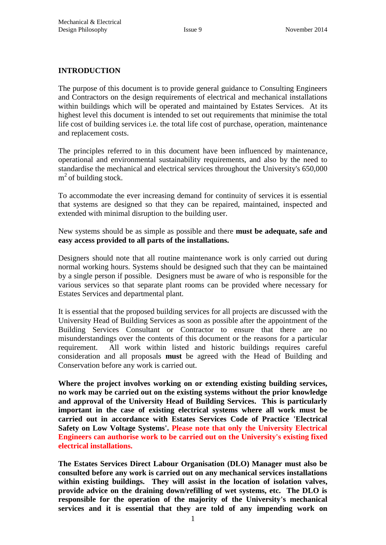#### **INTRODUCTION**

The purpose of this document is to provide general guidance to Consulting Engineers and Contractors on the design requirements of electrical and mechanical installations within buildings which will be operated and maintained by Estates Services. At its highest level this document is intended to set out requirements that minimise the total life cost of building services i.e. the total life cost of purchase, operation, maintenance and replacement costs.

The principles referred to in this document have been influenced by maintenance, operational and environmental sustainability requirements, and also by the need to standardise the mechanical and electrical services throughout the University's 650,000 m<sup>2</sup> of building stock.

To accommodate the ever increasing demand for continuity of services it is essential that systems are designed so that they can be repaired, maintained, inspected and extended with minimal disruption to the building user.

New systems should be as simple as possible and there **must be adequate, safe and easy access provided to all parts of the installations.**

Designers should note that all routine maintenance work is only carried out during normal working hours. Systems should be designed such that they can be maintained by a single person if possible. Designers must be aware of who is responsible for the various services so that separate plant rooms can be provided where necessary for Estates Services and departmental plant.

It is essential that the proposed building services for all projects are discussed with the University Head of Building Services as soon as possible after the appointment of the Building Services Consultant or Contractor to ensure that there are no misunderstandings over the contents of this document or the reasons for a particular requirement. All work within listed and historic buildings requires careful consideration and all proposals **must** be agreed with the Head of Building and Conservation before any work is carried out.

**Where the project involves working on or extending existing building services, no work may be carried out on the existing systems without the prior knowledge and approval of the University Head of Building Services. This is particularly important in the case of existing electrical systems where all work must be carried out in accordance with Estates Services Code of Practice 'Electrical Safety on Low Voltage Systems'. Please note that only the University Electrical Engineers can authorise work to be carried out on the University's existing fixed electrical installations.**

**The Estates Services Direct Labour Organisation (DLO) Manager must also be consulted before any work is carried out on any mechanical services installations within existing buildings. They will assist in the location of isolation valves, provide advice on the draining down/refilling of wet systems, etc. The DLO is responsible for the operation of the majority of the University's mechanical services and it is essential that they are told of any impending work on**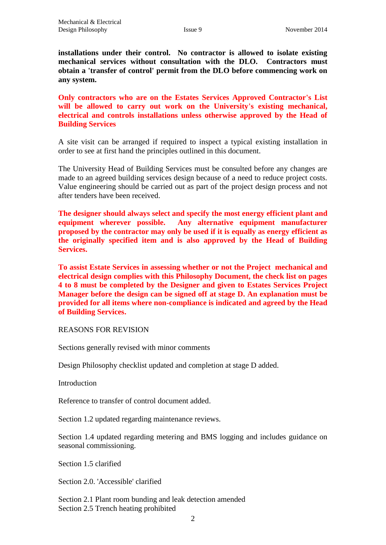**installations under their control. No contractor is allowed to isolate existing mechanical services without consultation with the DLO. Contractors must obtain a 'transfer of control' permit from the DLO before commencing work on any system.**

**Only contractors who are on the Estates Services Approved Contractor's List will be allowed to carry out work on the University's existing mechanical, electrical and controls installations unless otherwise approved by the Head of Building Services**

A site visit can be arranged if required to inspect a typical existing installation in order to see at first hand the principles outlined in this document.

The University Head of Building Services must be consulted before any changes are made to an agreed building services design because of a need to reduce project costs. Value engineering should be carried out as part of the project design process and not after tenders have been received.

**The designer should always select and specify the most energy efficient plant and equipment wherever possible. Any alternative equipment manufacturer proposed by the contractor may only be used if it is equally as energy efficient as the originally specified item and is also approved by the Head of Building Services.**

**To assist Estate Services in assessing whether or not the Project mechanical and electrical design complies with this Philosophy Document, the check list on pages 4 to 8 must be completed by the Designer and given to Estates Services Project Manager before the design can be signed off at stage D. An explanation must be provided for all items where non-compliance is indicated and agreed by the Head of Building Services.**

REASONS FOR REVISION

Sections generally revised with minor comments

Design Philosophy checklist updated and completion at stage D added.

**Introduction** 

Reference to transfer of control document added.

Section 1.2 updated regarding maintenance reviews.

Section 1.4 updated regarding metering and BMS logging and includes guidance on seasonal commissioning.

Section 1.5 clarified

Section 2.0. 'Accessible' clarified

Section 2.1 Plant room bunding and leak detection amended Section 2.5 Trench heating prohibited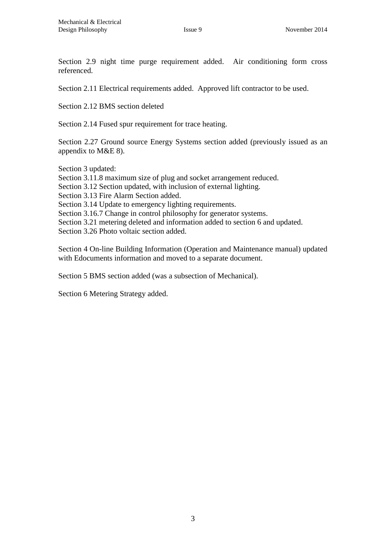Section 2.9 night time purge requirement added. Air conditioning form cross referenced.

Section 2.11 Electrical requirements added. Approved lift contractor to be used.

Section 2.12 BMS section deleted

Section 2.14 Fused spur requirement for trace heating.

Section 2.27 Ground source Energy Systems section added (previously issued as an appendix to M&E 8).

Section 3 updated:

Section 3.11.8 maximum size of plug and socket arrangement reduced.

Section 3.12 Section updated, with inclusion of external lighting.

Section 3.13 Fire Alarm Section added.

Section 3.14 Update to emergency lighting requirements.

Section 3.16.7 Change in control philosophy for generator systems.

Section 3.21 metering deleted and information added to section 6 and updated.

Section 3.26 Photo voltaic section added.

Section 4 On-line Building Information (Operation and Maintenance manual) updated with Edocuments information and moved to a separate document.

Section 5 BMS section added (was a subsection of Mechanical).

Section 6 Metering Strategy added.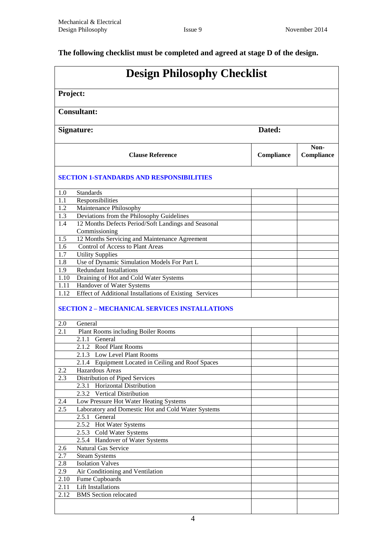## **The following checklist must be completed and agreed at stage D of the design.**

| <b>Design Philosophy Checklist</b> |                                                                 |            |                    |  |
|------------------------------------|-----------------------------------------------------------------|------------|--------------------|--|
|                                    | Project:                                                        |            |                    |  |
|                                    | <b>Consultant:</b>                                              |            |                    |  |
|                                    | Dated:<br>Signature:                                            |            |                    |  |
|                                    | <b>Clause Reference</b>                                         | Compliance | Non-<br>Compliance |  |
|                                    | <b>SECTION 1-STANDARDS AND RESPONSIBILITIES</b>                 |            |                    |  |
| 1.0                                | <b>Standards</b>                                                |            |                    |  |
| 1.1                                | Responsibilities                                                |            |                    |  |
| 1.2                                | Maintenance Philosophy                                          |            |                    |  |
| 1.3                                | Deviations from the Philosophy Guidelines                       |            |                    |  |
| 1.4                                | 12 Months Defects Period/Soft Landings and Seasonal             |            |                    |  |
|                                    | Commissioning                                                   |            |                    |  |
| 1.5                                | 12 Months Servicing and Maintenance Agreement                   |            |                    |  |
| 1.6                                | Control of Access to Plant Areas                                |            |                    |  |
| 1.7                                | <b>Utility Supplies</b>                                         |            |                    |  |
| 1.8                                | Use of Dynamic Simulation Models For Part L                     |            |                    |  |
| 1.9                                | <b>Redundant Installations</b>                                  |            |                    |  |
| 1.10                               | Draining of Hot and Cold Water Systems                          |            |                    |  |
| 1.11                               | Handover of Water Systems                                       |            |                    |  |
| 1.12                               | Effect of Additional Installations of Existing Services         |            |                    |  |
|                                    | <b>SECTION 2 - MECHANICAL SERVICES INSTALLATIONS</b>            |            |                    |  |
| 2.0                                | General                                                         |            |                    |  |
| 2.1                                | Plant Rooms including Boiler Rooms                              |            |                    |  |
|                                    | 2.1.1<br>General                                                |            |                    |  |
|                                    | 2.1.2 Roof Plant Rooms                                          |            |                    |  |
|                                    | 2.1.3 Low Level Plant Rooms                                     |            |                    |  |
|                                    | 2.1.4 Equipment Located in Ceiling and Roof Spaces              |            |                    |  |
| 2.2                                | Hazardous Areas                                                 |            |                    |  |
| 2.3                                | Distribution of Piped Services<br>2.3.1 Horizontal Distribution |            |                    |  |
|                                    | 2.3.2 Vertical Distribution                                     |            |                    |  |
| 2.4                                | Low Pressure Hot Water Heating Systems                          |            |                    |  |
| 2.5                                | Laboratory and Domestic Hot and Cold Water Systems              |            |                    |  |
|                                    | 2.5.1 General                                                   |            |                    |  |
|                                    | 2.5.2 Hot Water Systems                                         |            |                    |  |
|                                    | 2.5.3 Cold Water Systems                                        |            |                    |  |
|                                    | 2.5.4 Handover of Water Systems                                 |            |                    |  |
| 2.6                                | <b>Natural Gas Service</b>                                      |            |                    |  |
| 2.7                                | <b>Steam Systems</b>                                            |            |                    |  |
| $2.\overline{8}$                   | <b>Isolation Valves</b>                                         |            |                    |  |
| 2.9                                | Air Conditioning and Ventilation                                |            |                    |  |
| 2.10                               | Fume Cupboards                                                  |            |                    |  |
| 2.11                               | Lift Installations                                              |            |                    |  |
| 2.12                               | <b>BMS</b> Section relocated                                    |            |                    |  |
|                                    |                                                                 |            |                    |  |
|                                    |                                                                 |            |                    |  |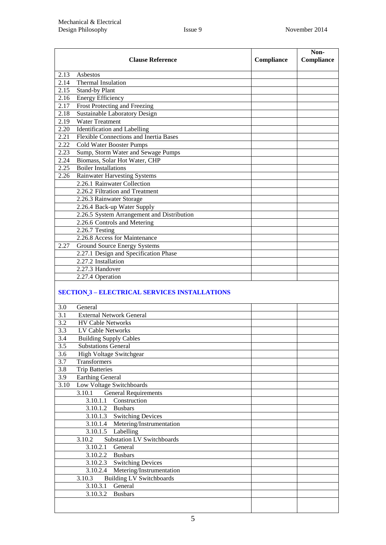| <b>Clause Reference</b>                              |                                            | Compliance | Non-<br>Compliance |
|------------------------------------------------------|--------------------------------------------|------------|--------------------|
| 2.13                                                 | Asbestos                                   |            |                    |
| 2.14                                                 | <b>Thermal Insulation</b>                  |            |                    |
| 2.15                                                 | Stand-by Plant                             |            |                    |
| 2.16                                                 | <b>Energy Efficiency</b>                   |            |                    |
| 2.17                                                 | Frost Protecting and Freezing              |            |                    |
| 2.18                                                 | Sustainable Laboratory Design              |            |                    |
| 2.19                                                 | <b>Water Treatment</b>                     |            |                    |
| 2.20                                                 | Identification and Labelling               |            |                    |
| 2.21                                                 | Flexible Connections and Inertia Bases     |            |                    |
| 2.22                                                 | Cold Water Booster Pumps                   |            |                    |
| 2.23                                                 | Sump, Storm Water and Sewage Pumps         |            |                    |
| 2.24                                                 | Biomass, Solar Hot Water, CHP              |            |                    |
| 2.25                                                 | <b>Boiler Installations</b>                |            |                    |
| 2.26                                                 | <b>Rainwater Harvesting Systems</b>        |            |                    |
|                                                      | 2.26.1 Rainwater Collection                |            |                    |
|                                                      | 2.26.2 Filtration and Treatment            |            |                    |
|                                                      | 2.26.3 Rainwater Storage                   |            |                    |
|                                                      | 2.26.4 Back-up Water Supply                |            |                    |
|                                                      | 2.26.5 System Arrangement and Distribution |            |                    |
|                                                      | 2.26.6 Controls and Metering               |            |                    |
|                                                      | $2.26.7$ Testing                           |            |                    |
|                                                      | 2.26.8 Access for Maintenance              |            |                    |
| 2.27                                                 | <b>Ground Source Energy Systems</b>        |            |                    |
|                                                      | 2.27.1 Design and Specification Phase      |            |                    |
|                                                      | 2.27.2 Installation                        |            |                    |
|                                                      | 2.27.3 Handover                            |            |                    |
|                                                      | 2.27.4 Operation                           |            |                    |
| <b>SECTION 3 - ELECTRICAL SERVICES INSTALLATIONS</b> |                                            |            |                    |

| 3.0  | General                                     |  |  |
|------|---------------------------------------------|--|--|
| 3.1  | <b>External Network General</b>             |  |  |
| 3.2  | <b>HV Cable Networks</b>                    |  |  |
| 3.3  | LV Cable Networks                           |  |  |
| 3.4  | <b>Building Supply Cables</b>               |  |  |
| 3.5  | <b>Substations General</b>                  |  |  |
| 3.6  | High Voltage Switchgear                     |  |  |
| 3.7  | <b>Transformers</b>                         |  |  |
| 3.8  | <b>Trip Batteries</b>                       |  |  |
| 3.9  | <b>Earthing General</b>                     |  |  |
| 3.10 | Low Voltage Switchboards                    |  |  |
|      | <b>General Requirements</b><br>3.10.1       |  |  |
|      | Construction<br>3.10.1.1                    |  |  |
|      | 3.10.1.2 Busbars                            |  |  |
|      | <b>Switching Devices</b><br>3.10.1.3        |  |  |
|      | 3.10.1.4 Metering/Instrumentation           |  |  |
|      | 3.10.1.5<br>Labelling                       |  |  |
|      | <b>Substation LV Switchboards</b><br>3.10.2 |  |  |
|      | General<br>3.10.2.1                         |  |  |
|      | 3.10.2.2 Busbars                            |  |  |
|      | 3.10.2.3 Switching Devices                  |  |  |
|      | 3.10.2.4 Metering/Instrumentation           |  |  |
|      | <b>Building LV Switchboards</b><br>3.10.3   |  |  |
|      | 3.10.3.1<br>General                         |  |  |
|      | 3.10.3.2<br><b>Busbars</b>                  |  |  |
|      |                                             |  |  |
|      |                                             |  |  |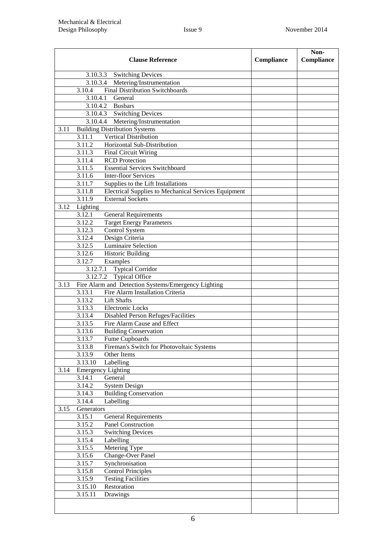|      |                  | <b>Clause Reference</b>                                        | Compliance | Non-<br>Compliance |
|------|------------------|----------------------------------------------------------------|------------|--------------------|
|      |                  | 3.10.3.3 Switching Devices                                     |            |                    |
|      |                  | 3.10.3.4 Metering/Instrumentation                              |            |                    |
|      | 3.10.4           | <b>Final Distribution Switchboards</b>                         |            |                    |
|      | 3.10.4.1         | General                                                        |            |                    |
|      |                  | 3.10.4.2 Busbars                                               |            |                    |
|      |                  | 3.10.4.3 Switching Devices                                     |            |                    |
|      |                  | 3.10.4.4 Metering/Instrumentation                              |            |                    |
| 3.11 |                  | <b>Building Distribution Systems</b>                           |            |                    |
|      | 3.11.1           | <b>Vertical Distribution</b>                                   |            |                    |
|      | 3.11.2           | Horizontal Sub-Distribution                                    |            |                    |
|      | 3.11.3           | <b>Final Circuit Wiring</b>                                    |            |                    |
|      | 3.11.4           | <b>RCD</b> Protection<br><b>Essential Services Switchboard</b> |            |                    |
|      | 3.11.5           | <b>Inter-floor Services</b>                                    |            |                    |
|      | 3.11.6<br>3.11.7 | Supplies to the Lift Installations                             |            |                    |
|      | 3.11.8           | <b>Electrical Supplies to Mechanical Services Equipment</b>    |            |                    |
|      | 3.11.9           | <b>External Sockets</b>                                        |            |                    |
| 3.12 | Lighting         |                                                                |            |                    |
|      | 3.12.1           | <b>General Requirements</b>                                    |            |                    |
|      | 3.12.2           | <b>Target Energy Parameters</b>                                |            |                    |
|      | 3.12.3           | Control System                                                 |            |                    |
|      | 3.12.4           | Design Criteria                                                |            |                    |
|      | 3.12.5           | Luminaire Selection                                            |            |                    |
|      | 3.12.6           | <b>Historic Building</b>                                       |            |                    |
|      | 3.12.7           | Examples                                                       |            |                    |
|      | 3.12.7.1         | <b>Typical Corridor</b>                                        |            |                    |
|      | 3.12.7.2         | <b>Typical Office</b>                                          |            |                    |
| 3.13 |                  | Fire Alarm and Detection Systems/Emergency Lighting            |            |                    |
|      | 3.13.1           | Fire Alarm Installation Criteria                               |            |                    |
|      | 3.13.2           | <b>Lift Shafts</b>                                             |            |                    |
|      | 3.13.3           | <b>Electronic Locks</b>                                        |            |                    |
|      | 3.13.4           | Disabled Person Refuges/Facilities                             |            |                    |
|      | 3.13.5           | Fire Alarm Cause and Effect                                    |            |                    |
|      | 3.13.6           | <b>Building Conservation</b>                                   |            |                    |
|      | 3.13.7           | Fume Cupboards                                                 |            |                    |
|      | 3.13.8<br>3.13.9 | Fireman's Switch for Photovoltaic Systems<br>Other Items       |            |                    |
|      | 3.13.10          | Labelling                                                      |            |                    |
| 3.14 |                  | <b>Emergency Lighting</b>                                      |            |                    |
|      | 3.14.1           | General                                                        |            |                    |
|      | 3.14.2           | <b>System Design</b>                                           |            |                    |
|      | 3.14.3           | <b>Building Conservation</b>                                   |            |                    |
|      | 3.14.4           | Labelling                                                      |            |                    |
| 3.15 | Generators       |                                                                |            |                    |
|      | 3.15.1           | <b>General Requirements</b>                                    |            |                    |
|      | 3.15.2           | <b>Panel Construction</b>                                      |            |                    |
|      | 3.15.3           | <b>Switching Devices</b>                                       |            |                    |
|      | 3.15.4           | Labelling                                                      |            |                    |
|      | 3.15.5           | Metering Type                                                  |            |                    |
|      | 3.15.6           | Change-Over Panel                                              |            |                    |
|      | 3.15.7           | Synchronisation                                                |            |                    |
|      | 3.15.8           | <b>Control Principles</b>                                      |            |                    |
|      | 3.15.9           | <b>Testing Facilities</b>                                      |            |                    |
|      | 3.15.10          | Restoration                                                    |            |                    |
|      | 3.15.11          | Drawings                                                       |            |                    |
|      |                  |                                                                |            |                    |
|      |                  |                                                                |            |                    |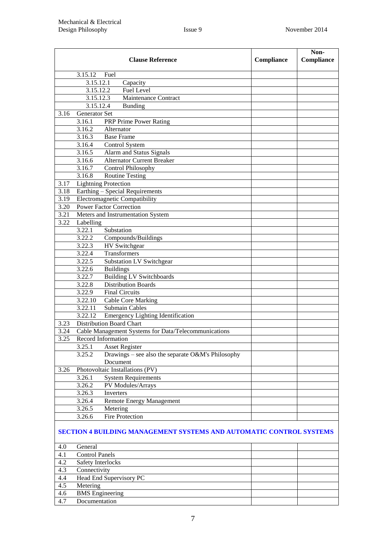|      | <b>Clause Reference</b>                                                    | Compliance | Non-<br>Compliance |
|------|----------------------------------------------------------------------------|------------|--------------------|
|      | 3.15.12<br>Fuel                                                            |            |                    |
|      | 3.15.12.1<br>Capacity                                                      |            |                    |
|      | Fuel Level<br>3.15.12.2                                                    |            |                    |
|      | Maintenance Contract<br>3.15.12.3                                          |            |                    |
|      | 3.15.12.4<br><b>Bunding</b>                                                |            |                    |
| 3.16 | Generator Set                                                              |            |                    |
|      | <b>PRP Prime Power Rating</b><br>3.16.1                                    |            |                    |
|      | Alternator<br>3.16.2                                                       |            |                    |
|      | <b>Base Frame</b><br>3.16.3                                                |            |                    |
|      | 3.16.4<br>Control System                                                   |            |                    |
|      | Alarm and Status Signals<br>3.16.5                                         |            |                    |
|      | <b>Alternator Current Breaker</b><br>3.16.6                                |            |                    |
|      | 3.16.7<br><b>Control Philosophy</b>                                        |            |                    |
|      | 3.16.8<br><b>Routine Testing</b>                                           |            |                    |
| 3.17 | <b>Lightning Protection</b>                                                |            |                    |
| 3.18 | Earthing - Special Requirements                                            |            |                    |
| 3.19 | Electromagnetic Compatibility                                              |            |                    |
| 3.20 | <b>Power Factor Correction</b>                                             |            |                    |
| 3.21 | Meters and Instrumentation System                                          |            |                    |
| 3.22 | Labelling                                                                  |            |                    |
|      | 3.22.1<br>Substation                                                       |            |                    |
|      | 3.22.2<br>Compounds/Buildings                                              |            |                    |
|      | 3.22.3<br><b>HV</b> Switchgear                                             |            |                    |
|      | Transformers<br>3.22.4                                                     |            |                    |
|      | 3.22.5<br><b>Substation LV Switchgear</b>                                  |            |                    |
|      | 3.22.6<br><b>Buildings</b>                                                 |            |                    |
|      | <b>Building LV</b> Switchboards<br>3.22.7                                  |            |                    |
|      | <b>Distribution Boards</b><br>3.22.8                                       |            |                    |
|      | 3.22.9<br><b>Final Circuits</b>                                            |            |                    |
|      | 3.22.10<br><b>Cable Core Marking</b><br>3.22.11<br>Submain Cables          |            |                    |
|      | 3.22.12<br><b>Emergency Lighting Identification</b>                        |            |                    |
| 3.23 | <b>Distribution Board Chart</b>                                            |            |                    |
| 3.24 | Cable Management Systems for Data/Telecommunications                       |            |                    |
| 3.25 | Record Information                                                         |            |                    |
|      | 3.25.1<br><b>Asset Register</b>                                            |            |                    |
|      | Drawings – see also the separate O&M's Philosophy<br>3.25.2                |            |                    |
|      | Document                                                                   |            |                    |
| 3.26 | Photovoltaic Installations (PV)                                            |            |                    |
|      | <b>System Requirements</b><br>3.26.1                                       |            |                    |
|      | PV Modules/Arrays<br>3.26.2                                                |            |                    |
|      | 3.26.3<br>Inverters                                                        |            |                    |
|      | Remote Energy Management<br>3.26.4                                         |            |                    |
|      | Metering<br>3.26.5                                                         |            |                    |
|      | <b>Fire Protection</b><br>3.26.6                                           |            |                    |
|      | <b>SECTION 4 BUILDING MANAGEMENT SYSTEMS AND AUTOMATIC CONTROL SYSTEMS</b> |            |                    |
| 4.0  | General                                                                    |            |                    |
| 4.1  | <b>Control Panels</b>                                                      |            |                    |
| 4.2  | Safety Interlocks                                                          |            |                    |
| 4.3  | Connectivity                                                               |            |                    |
| 4.4  | Head End Supervisory PC                                                    |            |                    |
| 4.5  | Metering                                                                   |            |                    |
| 4.6  | <b>BMS</b> Engineering                                                     |            |                    |
| 4.7  | Documentation                                                              |            |                    |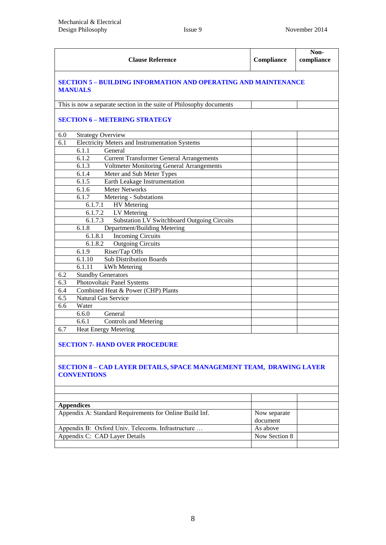|     | <b>Clause Reference</b>                                                                 | Compliance | Non-<br>compliance |  |
|-----|-----------------------------------------------------------------------------------------|------------|--------------------|--|
|     | <b>SECTION 5 - BUILDING INFORMATION AND OPERATING AND MAINTENANCE</b><br><b>MANUALS</b> |            |                    |  |
|     | This is now a separate section in the suite of Philosophy documents                     |            |                    |  |
|     | <b>SECTION 6 - METERING STRATEGY</b>                                                    |            |                    |  |
| 6.0 | <b>Strategy Overview</b>                                                                |            |                    |  |
| 6.1 | <b>Electricity Meters and Instrumentation Systems</b>                                   |            |                    |  |
|     | 6.1.1<br>General                                                                        |            |                    |  |
|     | <b>Current Transformer General Arrangements</b><br>6.1.2                                |            |                    |  |
|     | 6.1.3<br><b>Voltmeter Monitoring General Arrangements</b>                               |            |                    |  |
|     | Meter and Sub Meter Types<br>6.1.4                                                      |            |                    |  |
|     | 6.1.5<br>Earth Leakage Instrumentation                                                  |            |                    |  |
|     | <b>Meter Networks</b><br>6.1.6                                                          |            |                    |  |
|     | Metering - Substations<br>6.1.7                                                         |            |                    |  |
|     | 6.1.7.1<br><b>HV</b> Metering                                                           |            |                    |  |
|     | 6.1.7.2 LV Metering                                                                     |            |                    |  |
|     | Substation LV Switchboard Outgoing Circuits<br>6.1.7.3                                  |            |                    |  |
|     | Department/Building Metering<br>6.1.8                                                   |            |                    |  |
|     | <b>Incoming Circuits</b><br>6.1.8.1                                                     |            |                    |  |
|     | <b>Outgoing Circuits</b><br>6.1.8.2                                                     |            |                    |  |
|     | 6.1.9<br>Riser/Tap Offs                                                                 |            |                    |  |
|     | <b>Sub Distribution Boards</b><br>6.1.10                                                |            |                    |  |
|     | 6.1.11<br>kWh Metering                                                                  |            |                    |  |
| 6.2 | <b>Standby Generators</b>                                                               |            |                    |  |
| 6.3 | Photovoltaic Panel Systems                                                              |            |                    |  |
| 6.4 | Combined Heat & Power (CHP) Plants                                                      |            |                    |  |
| 6.5 | Natural Gas Service                                                                     |            |                    |  |
| 6.6 | Water                                                                                   |            |                    |  |
|     | 6.6.0<br>General                                                                        |            |                    |  |
|     | 6.6.1<br><b>Controls and Metering</b>                                                   |            |                    |  |
| 6.7 | <b>Heat Energy Metering</b>                                                             |            |                    |  |
|     |                                                                                         |            |                    |  |

#### **SECTION 7- [HAND OVER PROCEDURE](#page-94-0)**

#### **SECTION 8 – [CAD LAYER DETAILS, SPACE MANAGEMENT](#page-95-0) TEAM, DRAWING LAYER [CONVENTIONS](#page-95-0)**

<span id="page-8-0"></span>

| <b>Appendices</b>                                       |               |  |
|---------------------------------------------------------|---------------|--|
| Appendix A: Standard Requirements for Online Build Inf. | Now separate  |  |
|                                                         | document      |  |
| Appendix B: Oxford Univ. Telecoms. Infrastructure       | As above      |  |
| Appendix C: CAD Layer Details                           | Now Section 8 |  |
|                                                         |               |  |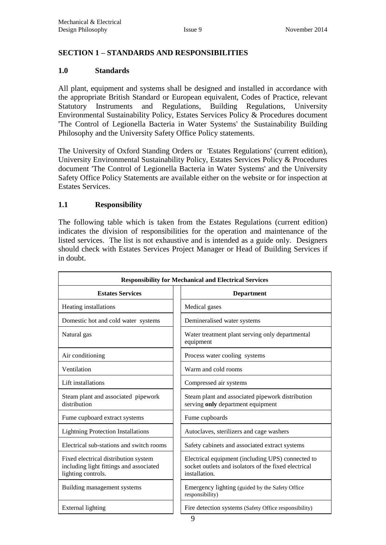## **SECTION 1 – STANDARDS AND RESPONSIBILITIES**

#### **1.0 Standards**

All plant, equipment and systems shall be designed and installed in accordance with the appropriate British Standard or European equivalent, Codes of Practice, relevant Statutory Instruments and Regulations, Building Regulations, University Environmental Sustainability Policy, Estates Services Policy & Procedures document 'The Control of Legionella Bacteria in Water Systems' the Sustainability Building Philosophy and the University Safety Office Policy statements.

The University of Oxford Standing Orders or 'Estates Regulations' (current edition), University Environmental Sustainability Policy, Estates Services Policy & Procedures document 'The Control of Legionella Bacteria in Water Systems' and the University Safety Office Policy Statements are available either on the website or for inspection at Estates Services.

#### **1.1 Responsibility**

The following table which is taken from the Estates Regulations (current edition) indicates the division of responsibilities for the operation and maintenance of the listed services. The list is not exhaustive and is intended as a guide only. Designers should check with Estates Services Project Manager or Head of Building Services if in doubt.

| <b>Responsibility for Mechanical and Electrical Services</b>                                          |                                                                                                                            |  |  |
|-------------------------------------------------------------------------------------------------------|----------------------------------------------------------------------------------------------------------------------------|--|--|
| <b>Estates Services</b>                                                                               | <b>Department</b>                                                                                                          |  |  |
| Heating installations                                                                                 | Medical gases                                                                                                              |  |  |
| Domestic hot and cold water systems                                                                   | Demineralised water systems                                                                                                |  |  |
| Natural gas                                                                                           | Water treatment plant serving only departmental<br>equipment                                                               |  |  |
| Air conditioning                                                                                      | Process water cooling systems                                                                                              |  |  |
| Ventilation                                                                                           | Warm and cold rooms                                                                                                        |  |  |
| Lift installations                                                                                    | Compressed air systems                                                                                                     |  |  |
| Steam plant and associated pipework<br>distribution                                                   | Steam plant and associated pipework distribution<br>serving only department equipment                                      |  |  |
| Fume cupboard extract systems                                                                         | Fume cupboards                                                                                                             |  |  |
| <b>Lightning Protection Installations</b>                                                             | Autoclaves, sterilizers and cage washers                                                                                   |  |  |
| Electrical sub-stations and switch rooms                                                              | Safety cabinets and associated extract systems                                                                             |  |  |
| Fixed electrical distribution system<br>including light fittings and associated<br>lighting controls. | Electrical equipment (including UPS) connected to<br>socket outlets and isolators of the fixed electrical<br>installation. |  |  |
| Building management systems                                                                           | Emergency lighting (guided by the Safety Office<br>responsibility)                                                         |  |  |
| External lighting                                                                                     | Fire detection systems (Safety Office responsibility)<br>$\sim$                                                            |  |  |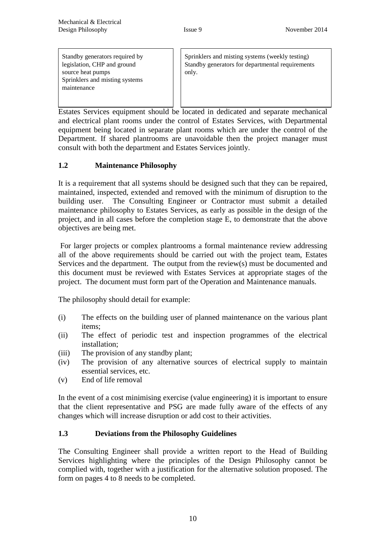Standby generators required by legislation, CHP and ground source heat pumps Sprinklers and misting systems maintenance

Sprinklers and misting systems (weekly testing) Standby generators for departmental requirements only.

Estates Services equipment should be located in dedicated and separate mechanical and electrical plant rooms under the control of Estates Services, with Departmental equipment being located in separate plant rooms which are under the control of the Department. If shared plantrooms are unavoidable then the project manager must consult with both the department and Estates Services jointly.

## **1.2 Maintenance Philosophy**

It is a requirement that all systems should be designed such that they can be repaired, maintained, inspected, extended and removed with the minimum of disruption to the building user. The Consulting Engineer or Contractor must submit a detailed maintenance philosophy to Estates Services, as early as possible in the design of the project, and in all cases before the completion stage E, to demonstrate that the above objectives are being met.

For larger projects or complex plantrooms a formal maintenance review addressing all of the above requirements should be carried out with the project team, Estates Services and the department. The output from the review(s) must be documented and this document must be reviewed with Estates Services at appropriate stages of the project. The document must form part of the Operation and Maintenance manuals.

The philosophy should detail for example:

- (i) The effects on the building user of planned maintenance on the various plant items;
- (ii) The effect of periodic test and inspection programmes of the electrical installation;
- (iii) The provision of any standby plant;
- (iv) The provision of any alternative sources of electrical supply to maintain essential services, etc.
- (v) End of life removal

In the event of a cost minimising exercise (value engineering) it is important to ensure that the client representative and PSG are made fully aware of the effects of any changes which will increase disruption or add cost to their activities.

## **1.3 Deviations from the Philosophy Guidelines**

The Consulting Engineer shall provide a written report to the Head of Building Services highlighting where the principles of the Design Philosophy cannot be complied with, together with a justification for the alternative solution proposed. The form on pages 4 to 8 needs to be completed.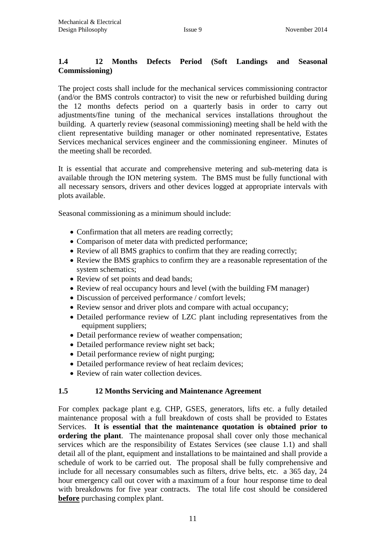## **1.4 12 Months Defects Period (Soft Landings and Seasonal Commissioning)**

The project costs shall include for the mechanical services commissioning contractor (and/or the BMS controls contractor) to visit the new or refurbished building during the 12 months defects period on a quarterly basis in order to carry out adjustments/fine tuning of the mechanical services installations throughout the building. A quarterly review (seasonal commissioning) meeting shall be held with the client representative building manager or other nominated representative, Estates Services mechanical services engineer and the commissioning engineer. Minutes of the meeting shall be recorded.

It is essential that accurate and comprehensive metering and sub-metering data is available through the ION metering system. The BMS must be fully functional with all necessary sensors, drivers and other devices logged at appropriate intervals with plots available.

Seasonal commissioning as a minimum should include:

- Confirmation that all meters are reading correctly;
- Comparison of meter data with predicted performance;
- Review of all BMS graphics to confirm that they are reading correctly;
- Review the BMS graphics to confirm they are a reasonable representation of the system schematics;
- Review of set points and dead bands;
- Review of real occupancy hours and level (with the building FM manager)
- Discussion of perceived performance / comfort levels;
- Review sensor and driver plots and compare with actual occupancy;
- Detailed performance review of LZC plant including representatives from the equipment suppliers;
- Detail performance review of weather compensation;
- Detailed performance review night set back;
- Detail performance review of night purging;
- Detailed performance review of heat reclaim devices;
- Review of rain water collection devices.

#### **1.5 12 Months Servicing and Maintenance Agreement**

For complex package plant e.g. CHP, GSES, generators, lifts etc. a fully detailed maintenance proposal with a full breakdown of costs shall be provided to Estates Services. **It is essential that the maintenance quotation is obtained prior to ordering the plant**. The maintenance proposal shall cover only those mechanical services which are the responsibility of Estates Services (see clause 1.1) and shall detail all of the plant, equipment and installations to be maintained and shall provide a schedule of work to be carried out. The proposal shall be fully comprehensive and include for all necessary consumables such as filters, drive belts, etc. a 365 day, 24 hour emergency call out cover with a maximum of a four hour response time to deal with breakdowns for five year contracts. The total life cost should be considered **before** purchasing complex plant.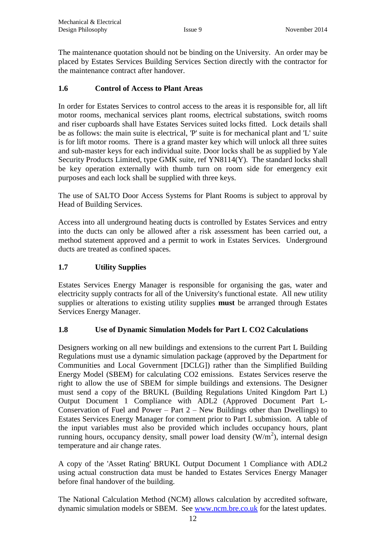The maintenance quotation should not be binding on the University. An order may be placed by Estates Services Building Services Section directly with the contractor for the maintenance contract after handover.

## **1.6 Control of Access to Plant Areas**

In order for Estates Services to control access to the areas it is responsible for, all lift motor rooms, mechanical services plant rooms, electrical substations, switch rooms and riser cupboards shall have Estates Services suited locks fitted. Lock details shall be as follows: the main suite is electrical, 'P' suite is for mechanical plant and 'L' suite is for lift motor rooms. There is a grand master key which will unlock all three suites and sub-master keys for each individual suite. Door locks shall be as supplied by Yale Security Products Limited, type GMK suite, ref YN8114(Y). The standard locks shall be key operation externally with thumb turn on room side for emergency exit purposes and each lock shall be supplied with three keys.

The use of SALTO Door Access Systems for Plant Rooms is subject to approval by Head of Building Services.

Access into all underground heating ducts is controlled by Estates Services and entry into the ducts can only be allowed after a risk assessment has been carried out, a method statement approved and a permit to work in Estates Services. Underground ducts are treated as confined spaces.

## **1.7 Utility Supplies**

Estates Services Energy Manager is responsible for organising the gas, water and electricity supply contracts for all of the University's functional estate. All new utility supplies or alterations to existing utility supplies **must** be arranged through Estates Services Energy Manager.

#### **1.8 Use of Dynamic Simulation Models for Part L CO2 Calculations**

Designers working on all new buildings and extensions to the current Part L Building Regulations must use a dynamic simulation package (approved by the Department for Communities and Local Government [DCLG]) rather than the Simplified Building Energy Model (SBEM) for calculating CO2 emissions. Estates Services reserve the right to allow the use of SBEM for simple buildings and extensions. The Designer must send a copy of the BRUKL (Building Regulations United Kingdom Part L) Output Document 1 Compliance with ADL2 (Approved Document Part L-Conservation of Fuel and Power – Part  $2$  – New Buildings other than Dwellings) to Estates Services Energy Manager for comment prior to Part L submission. A table of the input variables must also be provided which includes occupancy hours, plant running hours, occupancy density, small power load density  $(W/m<sup>2</sup>)$ , internal design temperature and air change rates.

A copy of the 'Asset Rating' BRUKL Output Document 1 Compliance with ADL2 using actual construction data must be handed to Estates Services Energy Manager before final handover of the building.

The National Calculation Method (NCM) allows calculation by accredited software, dynamic simulation models or SBEM. See [www.ncm.bre.co.uk](http://www.ncm.bre.co.uk/) for the latest updates.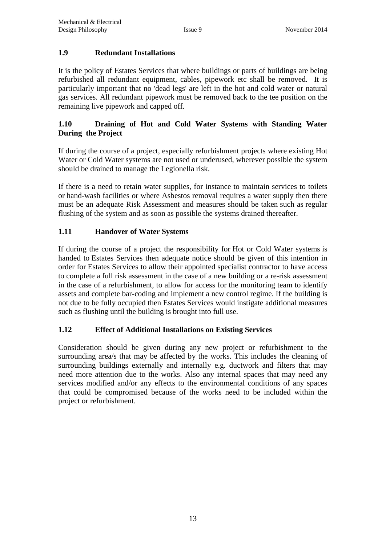## **1.9 Redundant Installations**

It is the policy of Estates Services that where buildings or parts of buildings are being refurbished all redundant equipment, cables, pipework etc shall be removed. It is particularly important that no 'dead legs' are left in the hot and cold water or natural gas services. All redundant pipework must be removed back to the tee position on the remaining live pipework and capped off.

## **1.10 Draining of Hot and Cold Water Systems with Standing Water During the Project**

If during the course of a project, especially refurbishment projects where existing Hot Water or Cold Water systems are not used or underused, wherever possible the system should be drained to manage the Legionella risk.

If there is a need to retain water supplies, for instance to maintain services to toilets or hand-wash facilities or where Asbestos removal requires a water supply then there must be an adequate Risk Assessment and measures should be taken such as regular flushing of the system and as soon as possible the systems drained thereafter.

## **1.11 Handover of Water Systems**

If during the course of a project the responsibility for Hot or Cold Water systems is handed to Estates Services then adequate notice should be given of this intention in order for Estates Services to allow their appointed specialist contractor to have access to complete a full risk assessment in the case of a new building or a re-risk assessment in the case of a refurbishment, to allow for access for the monitoring team to identify assets and complete bar-coding and implement a new control regime. If the building is not due to be fully occupied then Estates Services would instigate additional measures such as flushing until the building is brought into full use.

## **1.12 Effect of Additional Installations on Existing Services**

Consideration should be given during any new project or refurbishment to the surrounding area/s that may be affected by the works. This includes the cleaning of surrounding buildings externally and internally e.g. ductwork and filters that may need more attention due to the works. Also any internal spaces that may need any services modified and/or any effects to the environmental conditions of any spaces that could be compromised because of the works need to be included within the project or refurbishment.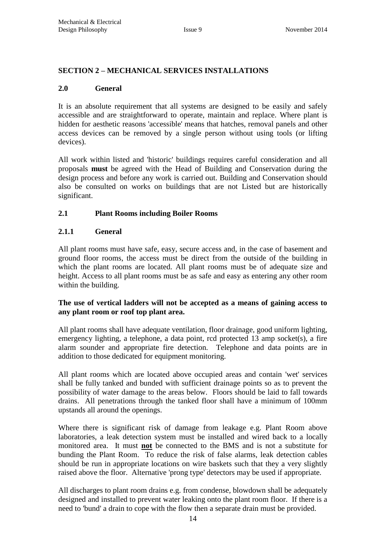#### <span id="page-14-0"></span>**SECTION 2 – MECHANICAL SERVICES INSTALLATIONS**

#### **2.0 General**

It is an absolute requirement that all systems are designed to be easily and safely accessible and are straightforward to operate, maintain and replace. Where plant is hidden for aesthetic reasons 'accessible' means that hatches, removal panels and other access devices can be removed by a single person without using tools (or lifting devices).

All work within listed and 'historic' buildings requires careful consideration and all proposals **must** be agreed with the Head of Building and Conservation during the design process and before any work is carried out. Building and Conservation should also be consulted on works on buildings that are not Listed but are historically significant.

#### **2.1 Plant Rooms including Boiler Rooms**

#### **2.1.1 General**

All plant rooms must have safe, easy, secure access and, in the case of basement and ground floor rooms, the access must be direct from the outside of the building in which the plant rooms are located. All plant rooms must be of adequate size and height. Access to all plant rooms must be as safe and easy as entering any other room within the building.

#### **The use of vertical ladders will not be accepted as a means of gaining access to any plant room or roof top plant area.**

All plant rooms shall have adequate ventilation, floor drainage, good uniform lighting, emergency lighting, a telephone, a data point, rcd protected 13 amp socket(s), a fire alarm sounder and appropriate fire detection. Telephone and data points are in addition to those dedicated for equipment monitoring.

All plant rooms which are located above occupied areas and contain 'wet' services shall be fully tanked and bunded with sufficient drainage points so as to prevent the possibility of water damage to the areas below. Floors should be laid to fall towards drains. All penetrations through the tanked floor shall have a minimum of 100mm upstands all around the openings.

Where there is significant risk of damage from leakage e.g. Plant Room above laboratories, a leak detection system must be installed and wired back to a locally monitored area. It must **not** be connected to the BMS and is not a substitute for bunding the Plant Room. To reduce the risk of false alarms, leak detection cables should be run in appropriate locations on wire baskets such that they a very slightly raised above the floor. Alternative 'prong type' detectors may be used if appropriate.

All discharges to plant room drains e.g. from condense, blowdown shall be adequately designed and installed to prevent water leaking onto the plant room floor. If there is a need to 'bund' a drain to cope with the flow then a separate drain must be provided.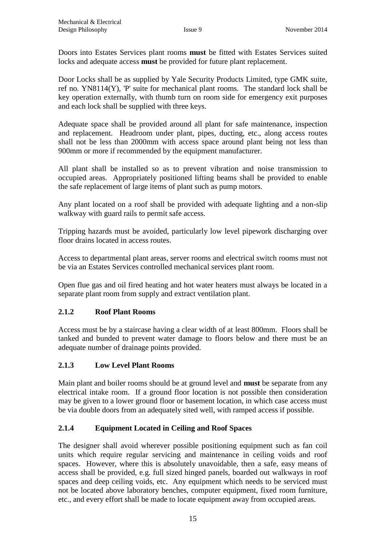Doors into Estates Services plant rooms **must** be fitted with Estates Services suited locks and adequate access **must** be provided for future plant replacement.

Door Locks shall be as supplied by Yale Security Products Limited, type GMK suite, ref no. YN8114(Y), 'P' suite for mechanical plant rooms. The standard lock shall be key operation externally, with thumb turn on room side for emergency exit purposes and each lock shall be supplied with three keys.

Adequate space shall be provided around all plant for safe maintenance, inspection and replacement. Headroom under plant, pipes, ducting, etc., along access routes shall not be less than 2000mm with access space around plant being not less than 900mm or more if recommended by the equipment manufacturer.

All plant shall be installed so as to prevent vibration and noise transmission to occupied areas. Appropriately positioned lifting beams shall be provided to enable the safe replacement of large items of plant such as pump motors.

Any plant located on a roof shall be provided with adequate lighting and a non-slip walkway with guard rails to permit safe access.

Tripping hazards must be avoided, particularly low level pipework discharging over floor drains located in access routes.

Access to departmental plant areas, server rooms and electrical switch rooms must not be via an Estates Services controlled mechanical services plant room.

Open flue gas and oil fired heating and hot water heaters must always be located in a separate plant room from supply and extract ventilation plant.

#### **2.1.2 Roof Plant Rooms**

Access must be by a staircase having a clear width of at least 800mm. Floors shall be tanked and bunded to prevent water damage to floors below and there must be an adequate number of drainage points provided.

#### **2.1.3 Low Level Plant Rooms**

Main plant and boiler rooms should be at ground level and **must** be separate from any electrical intake room. If a ground floor location is not possible then consideration may be given to a lower ground floor or basement location, in which case access must be via double doors from an adequately sited well, with ramped access if possible.

## **2.1.4 Equipment Located in Ceiling and Roof Spaces**

The designer shall avoid wherever possible positioning equipment such as fan coil units which require regular servicing and maintenance in ceiling voids and roof spaces. However, where this is absolutely unavoidable, then a safe, easy means of access shall be provided, e.g. full sized hinged panels, boarded out walkways in roof spaces and deep ceiling voids, etc. Any equipment which needs to be serviced must not be located above laboratory benches, computer equipment, fixed room furniture, etc., and every effort shall be made to locate equipment away from occupied areas.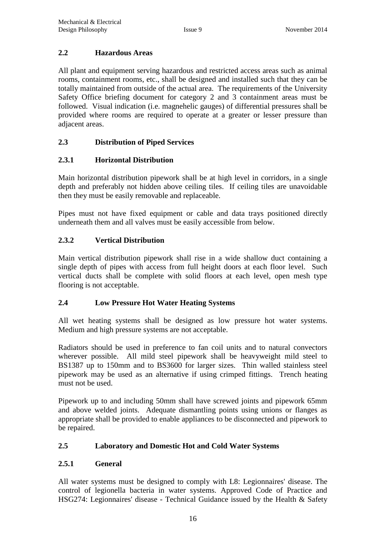## **2.2 Hazardous Areas**

All plant and equipment serving hazardous and restricted access areas such as animal rooms, containment rooms, etc., shall be designed and installed such that they can be totally maintained from outside of the actual area. The requirements of the University Safety Office briefing document for category 2 and 3 containment areas must be followed. Visual indication (i.e. magnehelic gauges) of differential pressures shall be provided where rooms are required to operate at a greater or lesser pressure than adjacent areas.

## **2.3 Distribution of Piped Services**

## **2.3.1 Horizontal Distribution**

Main horizontal distribution pipework shall be at high level in corridors, in a single depth and preferably not hidden above ceiling tiles. If ceiling tiles are unavoidable then they must be easily removable and replaceable.

Pipes must not have fixed equipment or cable and data trays positioned directly underneath them and all valves must be easily accessible from below.

## **2.3.2 Vertical Distribution**

Main vertical distribution pipework shall rise in a wide shallow duct containing a single depth of pipes with access from full height doors at each floor level. Such vertical ducts shall be complete with solid floors at each level, open mesh type flooring is not acceptable.

## **2.4 Low Pressure Hot Water Heating Systems**

All wet heating systems shall be designed as low pressure hot water systems. Medium and high pressure systems are not acceptable.

Radiators should be used in preference to fan coil units and to natural convectors wherever possible. All mild steel pipework shall be heavyweight mild steel to BS1387 up to 150mm and to BS3600 for larger sizes. Thin walled stainless steel pipework may be used as an alternative if using crimped fittings. Trench heating must not be used.

Pipework up to and including 50mm shall have screwed joints and pipework 65mm and above welded joints. Adequate dismantling points using unions or flanges as appropriate shall be provided to enable appliances to be disconnected and pipework to be repaired.

## **2.5 Laboratory and Domestic Hot and Cold Water Systems**

## **2.5.1 General**

All water systems must be designed to comply with L8: Legionnaires' disease. The control of legionella bacteria in water systems. Approved Code of Practice and HSG274: Legionnaires' disease - Technical Guidance issued by the Health & Safety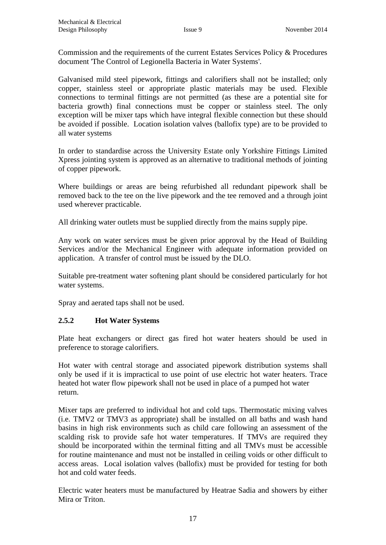Commission and the requirements of the current Estates Services Policy & Procedures document 'The Control of Legionella Bacteria in Water Systems'.

Galvanised mild steel pipework, fittings and calorifiers shall not be installed; only copper, stainless steel or appropriate plastic materials may be used. Flexible connections to terminal fittings are not permitted (as these are a potential site for bacteria growth) final connections must be copper or stainless steel. The only exception will be mixer taps which have integral flexible connection but these should be avoided if possible. Location isolation valves (ballofix type) are to be provided to all water systems

In order to standardise across the University Estate only Yorkshire Fittings Limited Xpress jointing system is approved as an alternative to traditional methods of jointing of copper pipework.

Where buildings or areas are being refurbished all redundant pipework shall be removed back to the tee on the live pipework and the tee removed and a through joint used wherever practicable.

All drinking water outlets must be supplied directly from the mains supply pipe.

Any work on water services must be given prior approval by the Head of Building Services and/or the Mechanical Engineer with adequate information provided on application. A transfer of control must be issued by the DLO.

Suitable pre-treatment water softening plant should be considered particularly for hot water systems.

Spray and aerated taps shall not be used.

#### **2.5.2 Hot Water Systems**

Plate heat exchangers or direct gas fired hot water heaters should be used in preference to storage calorifiers.

Hot water with central storage and associated pipework distribution systems shall only be used if it is impractical to use point of use electric hot water heaters. Trace heated hot water flow pipework shall not be used in place of a pumped hot water return.

Mixer taps are preferred to individual hot and cold taps. Thermostatic mixing valves (i.e. TMV2 or TMV3 as appropriate) shall be installed on all baths and wash hand basins in high risk environments such as child care following an assessment of the scalding risk to provide safe hot water temperatures. If TMVs are required they should be incorporated within the terminal fitting and all TMVs must be accessible for routine maintenance and must not be installed in ceiling voids or other difficult to access areas. Local isolation valves (ballofix) must be provided for testing for both hot and cold water feeds.

Electric water heaters must be manufactured by Heatrae Sadia and showers by either Mira or Triton.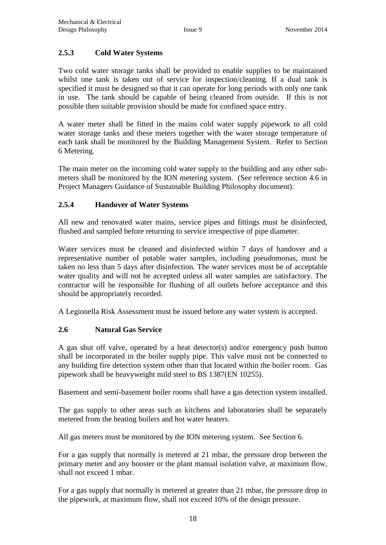## **2.5.3 Cold Water Systems**

Two cold water storage tanks shall be provided to enable supplies to be maintained whilst one tank is taken out of service for inspection/cleaning. If a dual tank is specified it must be designed so that it can operate for long periods with only one tank in use. The tank should be capable of being cleaned from outside. If this is not possible then suitable provision should be made for confined space entry.

A water meter shall be fitted in the mains cold water supply pipework to all cold water storage tanks and these meters together with the water storage temperature of each tank shall be monitored by the Building Management System. Refer to Section 6 Metering.

The main meter on the incoming cold water supply to the building and any other submeters shall be monitored by the ION metering system. (See reference section 4.6 in Project Managers Guidance of Sustainable Building Philosophy document).

## **2.5.4 Handover of Water Systems**

All new and renovated water mains, service pipes and fittings must be disinfected, flushed and sampled before returning to service irrespective of pipe diameter.

Water services must be cleaned and disinfected within 7 days of handover and a representative number of potable water samples, including pseudomonas, must be taken no less than 5 days after disinfection. The water services must be of acceptable water quality and will not be accepted unless all water samples are satisfactory. The contractor will be responsible for flushing of all outlets before acceptance and this should be appropriately recorded.

A Legionella Risk Assessment must be issued before any water system is accepted.

#### **2.6 Natural Gas Service**

A gas shut off valve, operated by a heat detector(s) and/or emergency push button shall be incorporated in the boiler supply pipe. This valve must not be connected to any building fire detection system other than that located within the boiler room. Gas pipework shall be heavyweight mild steel to BS 1387(EN 10255).

Basement and semi-basement boiler rooms shall have a gas detection system installed.

The gas supply to other areas such as kitchens and laboratories shall be separately metered from the heating boilers and hot water heaters.

All gas meters must be monitored by the ION metering system. See Section 6.

For a gas supply that normally is metered at 21 mbar, the pressure drop between the primary meter and any booster or the plant manual isolation valve, at maximum flow, shall not exceed 1 mbar.

For a gas supply that normally is metered at greater than 21 mbar, the pressure drop in the pipework, at maximum flow, shall not exceed 10% of the design pressure.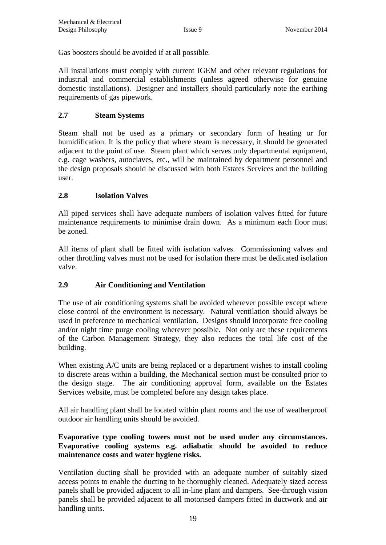Gas boosters should be avoided if at all possible.

All installations must comply with current IGEM and other relevant regulations for industrial and commercial establishments (unless agreed otherwise for genuine domestic installations). Designer and installers should particularly note the earthing requirements of gas pipework.

## **2.7 Steam Systems**

Steam shall not be used as a primary or secondary form of heating or for humidification. It is the policy that where steam is necessary, it should be generated adjacent to the point of use. Steam plant which serves only departmental equipment, e.g. cage washers, autoclaves, etc., will be maintained by department personnel and the design proposals should be discussed with both Estates Services and the building user.

## **2.8 Isolation Valves**

All piped services shall have adequate numbers of isolation valves fitted for future maintenance requirements to minimise drain down. As a minimum each floor must be zoned.

All items of plant shall be fitted with isolation valves. Commissioning valves and other throttling valves must not be used for isolation there must be dedicated isolation valve.

## **2.9 Air Conditioning and Ventilation**

The use of air conditioning systems shall be avoided wherever possible except where close control of the environment is necessary. Natural ventilation should always be used in preference to mechanical ventilation. Designs should incorporate free cooling and/or night time purge cooling wherever possible. Not only are these requirements of the Carbon Management Strategy, they also reduces the total life cost of the building.

When existing A/C units are being replaced or a department wishes to install cooling to discrete areas within a building, the Mechanical section must be consulted prior to the design stage. The air conditioning approval form, available on the Estates Services website, must be completed before any design takes place.

All air handling plant shall be located within plant rooms and the use of weatherproof outdoor air handling units should be avoided.

## **Evaporative type cooling towers must not be used under any circumstances. Evaporative cooling systems e.g. adiabatic should be avoided to reduce maintenance costs and water hygiene risks.**

Ventilation ducting shall be provided with an adequate number of suitably sized access points to enable the ducting to be thoroughly cleaned. Adequately sized access panels shall be provided adjacent to all in-line plant and dampers. See-through vision panels shall be provided adjacent to all motorised dampers fitted in ductwork and air handling units.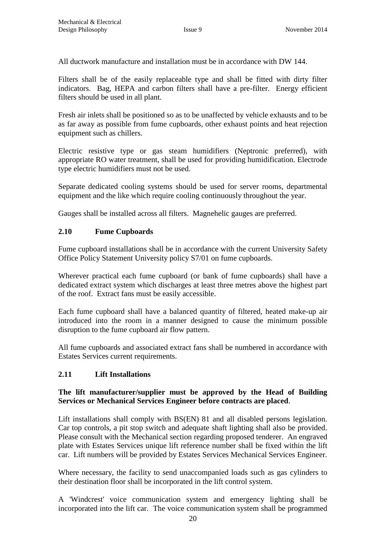All ductwork manufacture and installation must be in accordance with DW 144.

Filters shall be of the easily replaceable type and shall be fitted with dirty filter indicators. Bag, HEPA and carbon filters shall have a pre-filter. Energy efficient filters should be used in all plant.

Fresh air inlets shall be positioned so as to be unaffected by vehicle exhausts and to be as far away as possible from fume cupboards, other exhaust points and heat rejection equipment such as chillers.

Electric resistive type or gas steam humidifiers (Neptronic preferred), with appropriate RO water treatment, shall be used for providing humidification. Electrode type electric humidifiers must not be used.

Separate dedicated cooling systems should be used for server rooms, departmental equipment and the like which require cooling continuously throughout the year.

Gauges shall be installed across all filters. Magnehelic gauges are preferred.

## **2.10 Fume Cupboards**

Fume cupboard installations shall be in accordance with the current University Safety Office Policy Statement University policy S7/01 on fume cupboards.

Wherever practical each fume cupboard (or bank of fume cupboards) shall have a dedicated extract system which discharges at least three metres above the highest part of the roof. Extract fans must be easily accessible.

Each fume cupboard shall have a balanced quantity of filtered, heated make-up air introduced into the room in a manner designed to cause the minimum possible disruption to the fume cupboard air flow pattern.

All fume cupboards and associated extract fans shall be numbered in accordance with Estates Services current requirements.

#### **2.11 Lift Installations**

#### **The lift manufacturer/supplier must be approved by the Head of Building Services or Mechanical Services Engineer before contracts are placed**.

Lift installations shall comply with BS(EN) 81 and all disabled persons legislation. Car top controls, a pit stop switch and adequate shaft lighting shall also be provided. Please consult with the Mechanical section regarding proposed tenderer. An engraved plate with Estates Services unique lift reference number shall be fixed within the lift car. Lift numbers will be provided by Estates Services Mechanical Services Engineer.

Where necessary, the facility to send unaccompanied loads such as gas cylinders to their destination floor shall be incorporated in the lift control system.

A 'Windcrest' voice communication system and emergency lighting shall be incorporated into the lift car. The voice communication system shall be programmed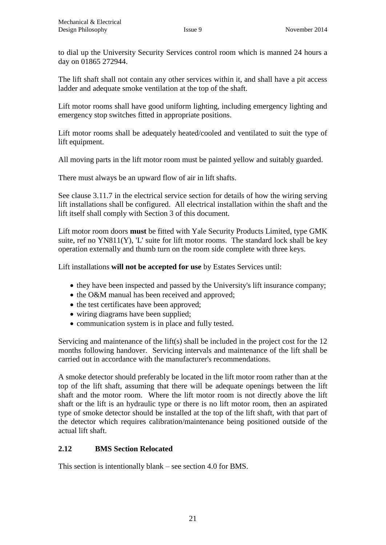to dial up the University Security Services control room which is manned 24 hours a day on 01865 272944.

The lift shaft shall not contain any other services within it, and shall have a pit access ladder and adequate smoke ventilation at the top of the shaft.

Lift motor rooms shall have good uniform lighting, including emergency lighting and emergency stop switches fitted in appropriate positions.

Lift motor rooms shall be adequately heated/cooled and ventilated to suit the type of lift equipment.

All moving parts in the lift motor room must be painted yellow and suitably guarded.

There must always be an upward flow of air in lift shafts.

See clause 3.11.7 in the electrical service section for details of how the wiring serving lift installations shall be configured. All electrical installation within the shaft and the lift itself shall comply with Section 3 of this document.

Lift motor room doors **must** be fitted with Yale Security Products Limited, type GMK suite, ref no  $YN811(Y)$ , 'L' suite for lift motor rooms. The standard lock shall be key operation externally and thumb turn on the room side complete with three keys.

Lift installations **will not be accepted for use** by Estates Services until:

- they have been inspected and passed by the University's lift insurance company;
- the O&M manual has been received and approved;
- the test certificates have been approved;
- wiring diagrams have been supplied;
- communication system is in place and fully tested.

Servicing and maintenance of the lift(s) shall be included in the project cost for the 12 months following handover. Servicing intervals and maintenance of the lift shall be carried out in accordance with the manufacturer's recommendations.

A smoke detector should preferably be located in the lift motor room rather than at the top of the lift shaft, assuming that there will be adequate openings between the lift shaft and the motor room. Where the lift motor room is not directly above the lift shaft or the lift is an hydraulic type or there is no lift motor room, then an aspirated type of smoke detector should be installed at the top of the lift shaft, with that part of the detector which requires calibration/maintenance being positioned outside of the actual lift shaft.

## **2.12 BMS Section Relocated**

This section is intentionally blank – see section 4.0 for BMS.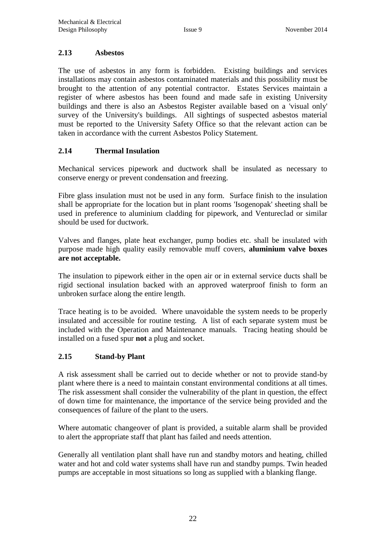#### **2.13 Asbestos**

The use of asbestos in any form is forbidden. Existing buildings and services installations may contain asbestos contaminated materials and this possibility must be brought to the attention of any potential contractor. Estates Services maintain a register of where asbestos has been found and made safe in existing University buildings and there is also an Asbestos Register available based on a 'visual only' survey of the University's buildings. All sightings of suspected asbestos material must be reported to the University Safety Office so that the relevant action can be taken in accordance with the current Asbestos Policy Statement.

#### **2.14 Thermal Insulation**

Mechanical services pipework and ductwork shall be insulated as necessary to conserve energy or prevent condensation and freezing.

Fibre glass insulation must not be used in any form. Surface finish to the insulation shall be appropriate for the location but in plant rooms 'Isogenopak' sheeting shall be used in preference to aluminium cladding for pipework, and Ventureclad or similar should be used for ductwork.

Valves and flanges, plate heat exchanger, pump bodies etc. shall be insulated with purpose made high quality easily removable muff covers, **aluminium valve boxes are not acceptable.**

The insulation to pipework either in the open air or in external service ducts shall be rigid sectional insulation backed with an approved waterproof finish to form an unbroken surface along the entire length.

Trace heating is to be avoided. Where unavoidable the system needs to be properly insulated and accessible for routine testing. A list of each separate system must be included with the Operation and Maintenance manuals. Tracing heating should be installed on a fused spur **not** a plug and socket.

#### **2.15 Stand-by Plant**

A risk assessment shall be carried out to decide whether or not to provide stand-by plant where there is a need to maintain constant environmental conditions at all times. The risk assessment shall consider the vulnerability of the plant in question, the effect of down time for maintenance, the importance of the service being provided and the consequences of failure of the plant to the users.

Where automatic changeover of plant is provided, a suitable alarm shall be provided to alert the appropriate staff that plant has failed and needs attention.

Generally all ventilation plant shall have run and standby motors and heating, chilled water and hot and cold water systems shall have run and standby pumps. Twin headed pumps are acceptable in most situations so long as supplied with a blanking flange.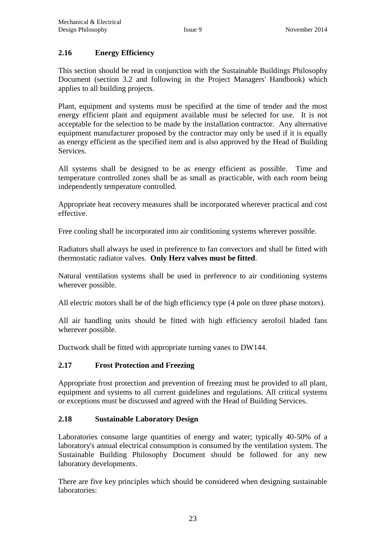## **2.16 Energy Efficiency**

This section should be read in conjunction with the Sustainable Buildings Philosophy Document (section 3.2 and following in the Project Managers' Handbook) which applies to all building projects.

Plant, equipment and systems must be specified at the time of tender and the most energy efficient plant and equipment available must be selected for use. It is not acceptable for the selection to be made by the installation contractor. Any alternative equipment manufacturer proposed by the contractor may only be used if it is equally as energy efficient as the specified item and is also approved by the Head of Building Services.

All systems shall be designed to be as energy efficient as possible. Time and temperature controlled zones shall be as small as practicable, with each room being independently temperature controlled.

Appropriate heat recovery measures shall be incorporated wherever practical and cost effective.

Free cooling shall be incorporated into air conditioning systems wherever possible.

Radiators shall always be used in preference to fan convectors and shall be fitted with thermostatic radiator valves. **Only Herz valves must be fitted**.

Natural ventilation systems shall be used in preference to air conditioning systems wherever possible.

All electric motors shall be of the high efficiency type (4 pole on three phase motors).

All air handling units should be fitted with high efficiency aerofoil bladed fans wherever possible.

Ductwork shall be fitted with appropriate turning vanes to DW144.

#### **2.17 Frost Protection and Freezing**

Appropriate frost protection and prevention of freezing must be provided to all plant, equipment and systems to all current guidelines and regulations. All critical systems or exceptions must be discussed and agreed with the Head of Building Services.

#### **2.18 Sustainable Laboratory Design**

Laboratories consume large quantities of energy and water; typically 40-50% of a laboratory's annual electrical consumption is consumed by the ventilation system. The Sustainable Building Philosophy Document should be followed for any new laboratory developments.

There are five key principles which should be considered when designing sustainable laboratories: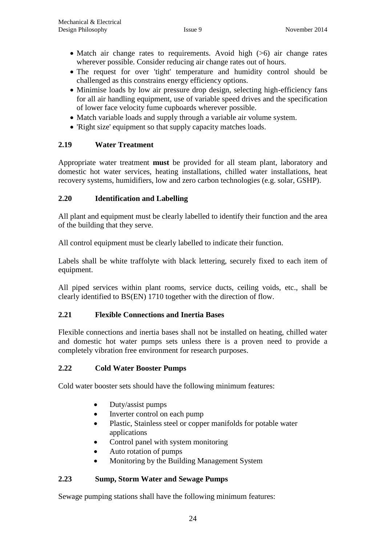- Match air change rates to requirements. Avoid high  $(>6)$  air change rates wherever possible. Consider reducing air change rates out of hours.
- The request for over 'tight' temperature and humidity control should be challenged as this constrains energy efficiency options.
- Minimise loads by low air pressure drop design, selecting high-efficiency fans for all air handling equipment, use of variable speed drives and the specification of lower face velocity fume cupboards wherever possible.
- Match variable loads and supply through a variable air volume system.
- 'Right size' equipment so that supply capacity matches loads.

## **2.19 Water Treatment**

Appropriate water treatment **must** be provided for all steam plant, laboratory and domestic hot water services, heating installations, chilled water installations, heat recovery systems, humidifiers, low and zero carbon technologies (e.g. solar, GSHP).

#### **2.20 Identification and Labelling**

All plant and equipment must be clearly labelled to identify their function and the area of the building that they serve.

All control equipment must be clearly labelled to indicate their function.

Labels shall be white traffolyte with black lettering, securely fixed to each item of equipment.

All piped services within plant rooms, service ducts, ceiling voids, etc., shall be clearly identified to BS(EN) 1710 together with the direction of flow.

#### **2.21 Flexible Connections and Inertia Bases**

Flexible connections and inertia bases shall not be installed on heating, chilled water and domestic hot water pumps sets unless there is a proven need to provide a completely vibration free environment for research purposes.

#### **2.22 Cold Water Booster Pumps**

Cold water booster sets should have the following minimum features:

- Duty/assist pumps
- Inverter control on each pump
- Plastic, Stainless steel or copper manifolds for potable water applications
- Control panel with system monitoring
- Auto rotation of pumps
- Monitoring by the Building Management System

#### **2.23 Sump, Storm Water and Sewage Pumps**

Sewage pumping stations shall have the following minimum features: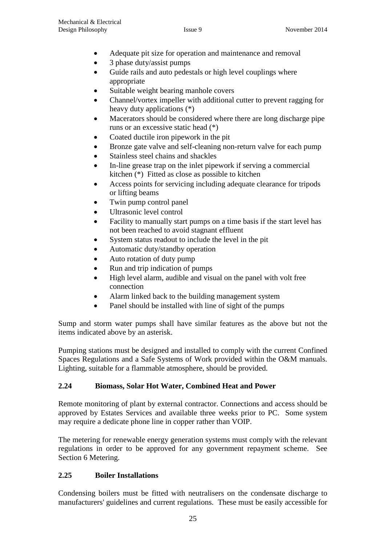- Adequate pit size for operation and maintenance and removal
- 3 phase duty/assist pumps
- Guide rails and auto pedestals or high level couplings where appropriate
- Suitable weight bearing manhole covers
- Channel/vortex impeller with additional cutter to prevent ragging for heavy duty applications (\*)
- Macerators should be considered where there are long discharge pipe runs or an excessive static head (\*)
- Coated ductile iron pipework in the pit
- Bronze gate valve and self-cleaning non-return valve for each pump
- Stainless steel chains and shackles
- In-line grease trap on the inlet pipework if serving a commercial kitchen (\*) Fitted as close as possible to kitchen
- Access points for servicing including adequate clearance for tripods or lifting beams
- Twin pump control panel
- Ultrasonic level control
- Facility to manually start pumps on a time basis if the start level has not been reached to avoid stagnant effluent
- System status readout to include the level in the pit
- Automatic duty/standby operation
- Auto rotation of duty pump
- Run and trip indication of pumps
- High level alarm, audible and visual on the panel with volt free connection
- Alarm linked back to the building management system
- Panel should be installed with line of sight of the pumps

Sump and storm water pumps shall have similar features as the above but not the items indicated above by an asterisk.

Pumping stations must be designed and installed to comply with the current Confined Spaces Regulations and a Safe Systems of Work provided within the O&M manuals. Lighting, suitable for a flammable atmosphere, should be provided.

## **2.24 Biomass, Solar Hot Water, Combined Heat and Power**

Remote monitoring of plant by external contractor. Connections and access should be approved by Estates Services and available three weeks prior to PC. Some system may require a dedicate phone line in copper rather than VOIP.

The metering for renewable energy generation systems must comply with the relevant regulations in order to be approved for any government repayment scheme. See Section 6 Metering.

## **2.25 Boiler Installations**

Condensing boilers must be fitted with neutralisers on the condensate discharge to manufacturers' guidelines and current regulations. These must be easily accessible for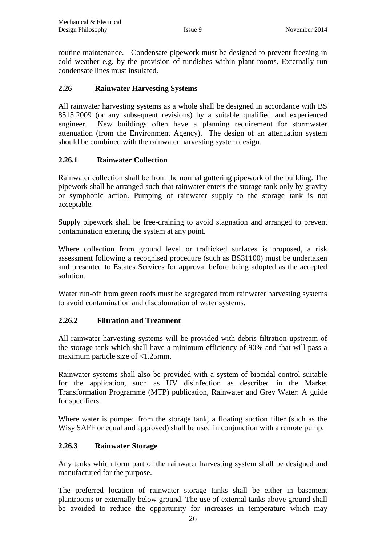routine maintenance. Condensate pipework must be designed to prevent freezing in cold weather e.g. by the provision of tundishes within plant rooms. Externally run condensate lines must insulated.

#### **2.26 Rainwater Harvesting Systems**

All rainwater harvesting systems as a whole shall be designed in accordance with BS 8515:2009 (or any subsequent revisions) by a suitable qualified and experienced engineer. New buildings often have a planning requirement for stormwater attenuation (from the Environment Agency). The design of an attenuation system should be combined with the rainwater harvesting system design.

#### **2.26.1 Rainwater Collection**

Rainwater collection shall be from the normal guttering pipework of the building. The pipework shall be arranged such that rainwater enters the storage tank only by gravity or symphonic action. Pumping of rainwater supply to the storage tank is not acceptable.

Supply pipework shall be free-draining to avoid stagnation and arranged to prevent contamination entering the system at any point.

Where collection from ground level or trafficked surfaces is proposed, a risk assessment following a recognised procedure (such as BS31100) must be undertaken and presented to Estates Services for approval before being adopted as the accepted solution.

Water run-off from green roofs must be segregated from rainwater harvesting systems to avoid contamination and discolouration of water systems.

#### **2.26.2 Filtration and Treatment**

All rainwater harvesting systems will be provided with debris filtration upstream of the storage tank which shall have a minimum efficiency of 90% and that will pass a maximum particle size of <1.25mm.

Rainwater systems shall also be provided with a system of biocidal control suitable for the application, such as UV disinfection as described in the Market Transformation Programme (MTP) publication, Rainwater and Grey Water: A guide for specifiers.

Where water is pumped from the storage tank, a floating suction filter (such as the Wisy SAFF or equal and approved) shall be used in conjunction with a remote pump.

#### **2.26.3 Rainwater Storage**

Any tanks which form part of the rainwater harvesting system shall be designed and manufactured for the purpose.

The preferred location of rainwater storage tanks shall be either in basement plantrooms or externally below ground. The use of external tanks above ground shall be avoided to reduce the opportunity for increases in temperature which may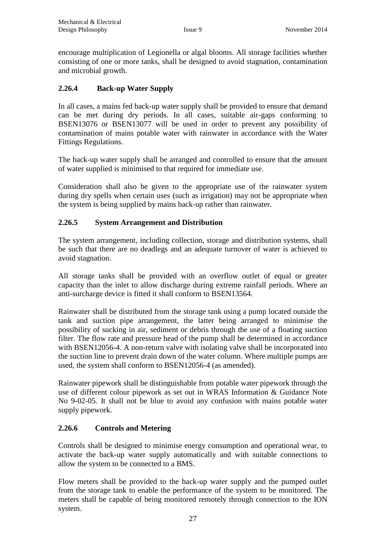encourage multiplication of Legionella or algal blooms. All storage facilities whether consisting of one or more tanks, shall be designed to avoid stagnation, contamination and microbial growth.

## **2.26.4 Back-up Water Supply**

In all cases, a mains fed back-up water supply shall be provided to ensure that demand can be met during dry periods. In all cases, suitable air-gaps conforming to BSEN13076 or BSEN13077 will be used in order to prevent any possibility of contamination of mains potable water with rainwater in accordance with the Water Fittings Regulations.

The back-up water supply shall be arranged and controlled to ensure that the amount of water supplied is minimised to that required for immediate use.

Consideration shall also be given to the appropriate use of the rainwater system during dry spells when certain uses (such as irrigation) may not be appropriate when the system is being supplied by mains back-up rather than rainwater.

#### **2.26.5 System Arrangement and Distribution**

The system arrangement, including collection, storage and distribution systems, shall be such that there are no deadlegs and an adequate turnover of water is achieved to avoid stagnation.

All storage tanks shall be provided with an overflow outlet of equal or greater capacity than the inlet to allow discharge during extreme rainfall periods. Where an anti-surcharge device is fitted it shall conform to BSEN13564.

Rainwater shall be distributed from the storage tank using a pump located outside the tank and suction pipe arrangement, the latter being arranged to minimise the possibility of sucking in air, sediment or debris through the use of a floating suction filter. The flow rate and pressure head of the pump shall be determined in accordance with BSEN12056-4. A non-return valve with isolating valve shall be incorporated into the suction line to prevent drain down of the water column. Where multiple pumps are used, the system shall conform to BSEN12056-4 (as amended).

Rainwater pipework shall be distinguishable from potable water pipework through the use of different colour pipework as set out in WRAS Information & Guidance Note No 9-02-05. It shall not be blue to avoid any confusion with mains potable water supply pipework.

#### **2.26.6 Controls and Metering**

Controls shall be designed to minimise energy consumption and operational wear, to activate the back-up water supply automatically and with suitable connections to allow the system to be connected to a BMS.

Flow meters shall be provided to the back-up water supply and the pumped outlet from the storage tank to enable the performance of the system to be monitored. The meters shall be capable of being monitored remotely through connection to the ION system.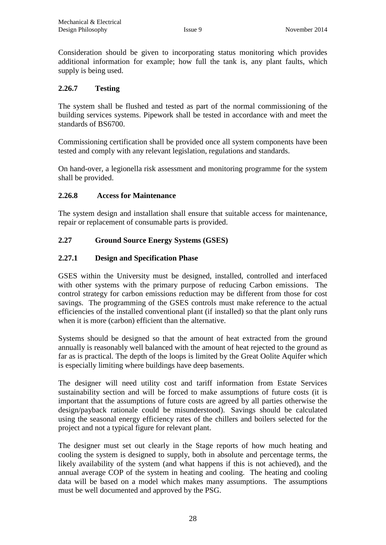Consideration should be given to incorporating status monitoring which provides additional information for example; how full the tank is, any plant faults, which supply is being used.

## **2.26.7 Testing**

The system shall be flushed and tested as part of the normal commissioning of the building services systems. Pipework shall be tested in accordance with and meet the standards of BS6700.

Commissioning certification shall be provided once all system components have been tested and comply with any relevant legislation, regulations and standards.

On hand-over, a legionella risk assessment and monitoring programme for the system shall be provided.

## **2.26.8 Access for Maintenance**

The system design and installation shall ensure that suitable access for maintenance, repair or replacement of consumable parts is provided.

## **2.27 Ground Source Energy Systems (GSES)**

#### **2.27.1 Design and Specification Phase**

GSES within the University must be designed, installed, controlled and interfaced with other systems with the primary purpose of reducing Carbon emissions. The control strategy for carbon emissions reduction may be different from those for cost savings. The programming of the GSES controls must make reference to the actual efficiencies of the installed conventional plant (if installed) so that the plant only runs when it is more (carbon) efficient than the alternative.

Systems should be designed so that the amount of heat extracted from the ground annually is reasonably well balanced with the amount of heat rejected to the ground as far as is practical. The depth of the loops is limited by the Great Oolite Aquifer which is especially limiting where buildings have deep basements.

The designer will need utility cost and tariff information from Estate Services sustainability section and will be forced to make assumptions of future costs (it is important that the assumptions of future costs are agreed by all parties otherwise the design/payback rationale could be misunderstood). Savings should be calculated using the seasonal energy efficiency rates of the chillers and boilers selected for the project and not a typical figure for relevant plant.

The designer must set out clearly in the Stage reports of how much heating and cooling the system is designed to supply, both in absolute and percentage terms, the likely availability of the system (and what happens if this is not achieved), and the annual average COP of the system in heating and cooling. The heating and cooling data will be based on a model which makes many assumptions. The assumptions must be well documented and approved by the PSG.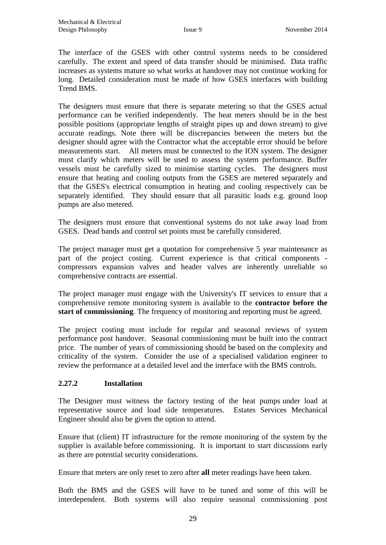The interface of the GSES with other control systems needs to be considered carefully. The extent and speed of data transfer should be minimised. Data traffic increases as systems mature so what works at handover may not continue working for long. Detailed consideration must be made of how GSES interfaces with building Trend BMS.

The designers must ensure that there is separate metering so that the GSES actual performance can be verified independently. The heat meters should be in the best possible positions (appropriate lengths of straight pipes up and down stream) to give accurate readings. Note there will be discrepancies between the meters but the designer should agree with the Contractor what the acceptable error should be before measurements start. All meters must be connected to the ION system. The designer must clarify which meters will be used to assess the system performance. Buffer vessels must be carefully sized to minimise starting cycles. The designers must ensure that heating and cooling outputs from the GSES are metered separately and that the GSES's electrical consumption in heating and cooling respectively can be separately identified. They should ensure that all parasitic loads e.g. ground loop pumps are also metered.

The designers must ensure that conventional systems do not take away load from GSES. Dead bands and control set points must be carefully considered.

The project manager must get a quotation for comprehensive 5 year maintenance as part of the project costing. Current experience is that critical components compressors expansion valves and header valves are inherently unreliable so comprehensive contracts are essential.

The project manager must engage with the University's IT services to ensure that a comprehensive remote monitoring system is available to the **contractor before the start of commissioning**. The frequency of monitoring and reporting must be agreed.

The project costing must include for regular and seasonal reviews of system performance post handover. Seasonal commissioning must be built into the contract price. The number of years of commissioning should be based on the complexity and criticality of the system. Consider the use of a specialised validation engineer to review the performance at a detailed level and the interface with the BMS controls.

#### **2.27.2 Installation**

The Designer must witness the factory testing of the heat pumps under load at representative source and load side temperatures. Estates Services Mechanical Engineer should also be given the option to attend.

Ensure that (client) IT infrastructure for the remote monitoring of the system by the supplier is available before commissioning. It is important to start discussions early as there are potential security considerations.

Ensure that meters are only reset to zero after **all** meter readings have been taken.

Both the BMS and the GSES will have to be tuned and some of this will be interdependent. Both systems will also require seasonal commissioning post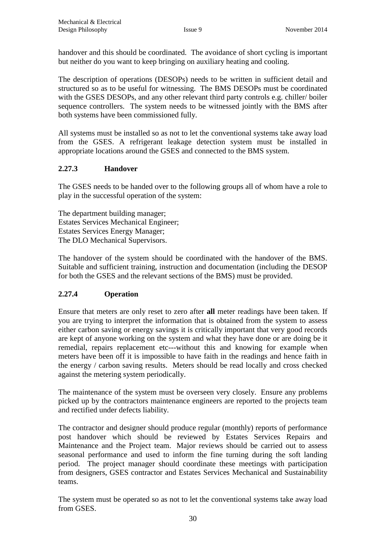handover and this should be coordinated. The avoidance of short cycling is important but neither do you want to keep bringing on auxiliary heating and cooling.

The description of operations (DESOPs) needs to be written in sufficient detail and structured so as to be useful for witnessing. The BMS DESOPs must be coordinated with the GSES DESOPs, and any other relevant third party controls e.g. chiller/ boiler sequence controllers. The system needs to be witnessed jointly with the BMS after both systems have been commissioned fully.

All systems must be installed so as not to let the conventional systems take away load from the GSES. A refrigerant leakage detection system must be installed in appropriate locations around the GSES and connected to the BMS system.

## **2.27.3 Handover**

The GSES needs to be handed over to the following groups all of whom have a role to play in the successful operation of the system:

The department building manager; Estates Services Mechanical Engineer; Estates Services Energy Manager; The DLO Mechanical Supervisors.

The handover of the system should be coordinated with the handover of the BMS. Suitable and sufficient training, instruction and documentation (including the DESOP for both the GSES and the relevant sections of the BMS) must be provided.

## **2.27.4 Operation**

Ensure that meters are only reset to zero after **all** meter readings have been taken. If you are trying to interpret the information that is obtained from the system to assess either carbon saving or energy savings it is critically important that very good records are kept of anyone working on the system and what they have done or are doing be it remedial, repairs replacement etc---without this and knowing for example when meters have been off it is impossible to have faith in the readings and hence faith in the energy / carbon saving results. Meters should be read locally and cross checked against the metering system periodically.

The maintenance of the system must be overseen very closely. Ensure any problems picked up by the contractors maintenance engineers are reported to the projects team and rectified under defects liability.

The contractor and designer should produce regular (monthly) reports of performance post handover which should be reviewed by Estates Services Repairs and Maintenance and the Project team. Major reviews should be carried out to assess seasonal performance and used to inform the fine turning during the soft landing period. The project manager should coordinate these meetings with participation from designers, GSES contractor and Estates Services Mechanical and Sustainability teams.

The system must be operated so as not to let the conventional systems take away load from GSES.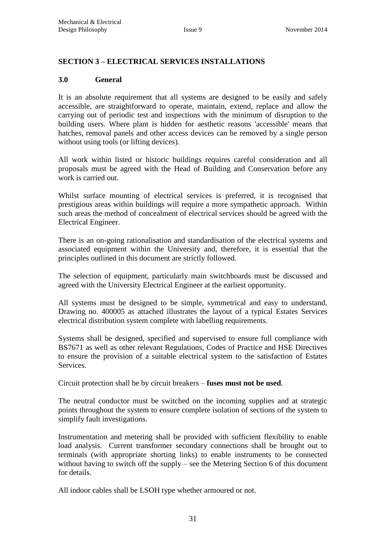#### <span id="page-31-0"></span>**SECTION 3 – ELECTRICAL SERVICES INSTALLATIONS**

#### **3.0 General**

It is an absolute requirement that all systems are designed to be easily and safely accessible, are straightforward to operate, maintain, extend, replace and allow the carrying out of periodic test and inspections with the minimum of disruption to the building users. Where plant is hidden for aesthetic reasons 'accessible' means that hatches, removal panels and other access devices can be removed by a single person without using tools (or lifting devices).

All work within listed or historic buildings requires careful consideration and all proposals must be agreed with the Head of Building and Conservation before any work is carried out.

Whilst surface mounting of electrical services is preferred, it is recognised that prestigious areas within buildings will require a more sympathetic approach. Within such areas the method of concealment of electrical services should be agreed with the Electrical Engineer.

There is an on-going rationalisation and standardisation of the electrical systems and associated equipment within the University and, therefore, it is essential that the principles outlined in this document are strictly followed.

The selection of equipment, particularly main switchboards must be discussed and agreed with the University Electrical Engineer at the earliest opportunity.

All systems must be designed to be simple, symmetrical and easy to understand. Drawing no. 400005 as attached illustrates the layout of a typical Estates Services electrical distribution system complete with labelling requirements.

Systems shall be designed, specified and supervised to ensure full compliance with BS7671 as well as other relevant Regulations, Codes of Practice and HSE Directives to ensure the provision of a suitable electrical system to the satisfaction of Estates Services.

Circuit protection shall be by circuit breakers – **fuses must not be used**.

The neutral conductor must be switched on the incoming supplies and at strategic points throughout the system to ensure complete isolation of sections of the system to simplify fault investigations.

Instrumentation and metering shall be provided with sufficient flexibility to enable load analysis. Current transformer secondary connections shall be brought out to terminals (with appropriate shorting links) to enable instruments to be connected without having to switch off the supply – see the Metering Section 6 of this document for details.

All indoor cables shall be LSOH type whether armoured or not.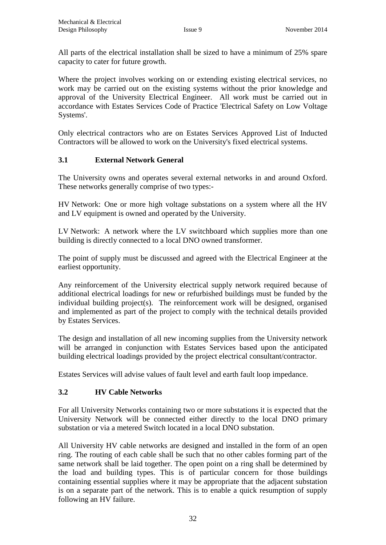All parts of the electrical installation shall be sized to have a minimum of 25% spare capacity to cater for future growth.

Where the project involves working on or extending existing electrical services, no work may be carried out on the existing systems without the prior knowledge and approval of the University Electrical Engineer. All work must be carried out in accordance with Estates Services Code of Practice 'Electrical Safety on Low Voltage Systems'.

Only electrical contractors who are on Estates Services Approved List of Inducted Contractors will be allowed to work on the University's fixed electrical systems.

## **3.1 External Network General**

The University owns and operates several external networks in and around Oxford. These networks generally comprise of two types:-

HV Network: One or more high voltage substations on a system where all the HV and LV equipment is owned and operated by the University.

LV Network: A network where the LV switchboard which supplies more than one building is directly connected to a local DNO owned transformer.

The point of supply must be discussed and agreed with the Electrical Engineer at the earliest opportunity.

Any reinforcement of the University electrical supply network required because of additional electrical loadings for new or refurbished buildings must be funded by the individual building project(s). The reinforcement work will be designed, organised and implemented as part of the project to comply with the technical details provided by Estates Services.

The design and installation of all new incoming supplies from the University network will be arranged in conjunction with Estates Services based upon the anticipated building electrical loadings provided by the project electrical consultant/contractor.

Estates Services will advise values of fault level and earth fault loop impedance.

## **3.2 HV Cable Networks**

For all University Networks containing two or more substations it is expected that the University Network will be connected either directly to the local DNO primary substation or via a metered Switch located in a local DNO substation.

All University HV cable networks are designed and installed in the form of an open ring. The routing of each cable shall be such that no other cables forming part of the same network shall be laid together. The open point on a ring shall be determined by the load and building types. This is of particular concern for those buildings containing essential supplies where it may be appropriate that the adjacent substation is on a separate part of the network. This is to enable a quick resumption of supply following an HV failure.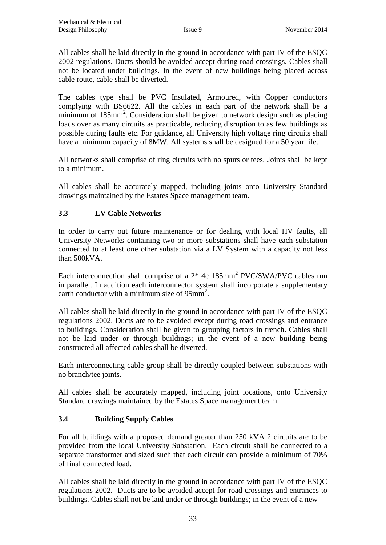All cables shall be laid directly in the ground in accordance with part IV of the ESQC 2002 regulations. Ducts should be avoided accept during road crossings. Cables shall not be located under buildings. In the event of new buildings being placed across cable route, cable shall be diverted.

The cables type shall be PVC Insulated, Armoured, with Copper conductors complying with BS6622. All the cables in each part of the network shall be a minimum of 185mm<sup>2</sup>. Consideration shall be given to network design such as placing loads over as many circuits as practicable, reducing disruption to as few buildings as possible during faults etc. For guidance, all University high voltage ring circuits shall have a minimum capacity of 8MW. All systems shall be designed for a 50 year life.

All networks shall comprise of ring circuits with no spurs or tees. Joints shall be kept to a minimum.

All cables shall be accurately mapped, including joints onto University Standard drawings maintained by the Estates Space management team.

## **3.3 LV Cable Networks**

In order to carry out future maintenance or for dealing with local HV faults, all University Networks containing two or more substations shall have each substation connected to at least one other substation via a LV System with a capacity not less than 500kVA.

Each interconnection shall comprise of a  $2*$  4c 185mm<sup>2</sup> PVC/SWA/PVC cables run in parallel. In addition each interconnector system shall incorporate a supplementary earth conductor with a minimum size of 95mm<sup>2</sup>.

All cables shall be laid directly in the ground in accordance with part IV of the ESQC regulations 2002. Ducts are to be avoided except during road crossings and entrance to buildings. Consideration shall be given to grouping factors in trench. Cables shall not be laid under or through buildings; in the event of a new building being constructed all affected cables shall be diverted.

Each interconnecting cable group shall be directly coupled between substations with no branch/tee joints.

All cables shall be accurately mapped, including joint locations, onto University Standard drawings maintained by the Estates Space management team.

#### **3.4 Building Supply Cables**

For all buildings with a proposed demand greater than 250 kVA 2 circuits are to be provided from the local University Substation. Each circuit shall be connected to a separate transformer and sized such that each circuit can provide a minimum of 70% of final connected load.

All cables shall be laid directly in the ground in accordance with part IV of the ESQC regulations 2002. Ducts are to be avoided accept for road crossings and entrances to buildings. Cables shall not be laid under or through buildings; in the event of a new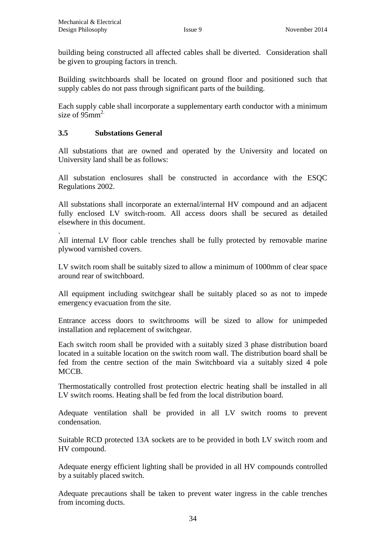building being constructed all affected cables shall be diverted. Consideration shall be given to grouping factors in trench.

Building switchboards shall be located on ground floor and positioned such that supply cables do not pass through significant parts of the building.

Each supply cable shall incorporate a supplementary earth conductor with a minimum size of  $95$ mm<sup>2.</sup>

## **3.5 Substations General**

All substations that are owned and operated by the University and located on University land shall be as follows:

All substation enclosures shall be constructed in accordance with the ESQC Regulations 2002.

All substations shall incorporate an external/internal HV compound and an adjacent fully enclosed LV switch-room. All access doors shall be secured as detailed elsewhere in this document.

. All internal LV floor cable trenches shall be fully protected by removable marine plywood varnished covers.

LV switch room shall be suitably sized to allow a minimum of 1000mm of clear space around rear of switchboard.

All equipment including switchgear shall be suitably placed so as not to impede emergency evacuation from the site.

Entrance access doors to switchrooms will be sized to allow for unimpeded installation and replacement of switchgear.

Each switch room shall be provided with a suitably sized 3 phase distribution board located in a suitable location on the switch room wall. The distribution board shall be fed from the centre section of the main Switchboard via a suitably sized 4 pole MCCB.

Thermostatically controlled frost protection electric heating shall be installed in all LV switch rooms. Heating shall be fed from the local distribution board.

Adequate ventilation shall be provided in all LV switch rooms to prevent condensation.

Suitable RCD protected 13A sockets are to be provided in both LV switch room and HV compound.

Adequate energy efficient lighting shall be provided in all HV compounds controlled by a suitably placed switch.

Adequate precautions shall be taken to prevent water ingress in the cable trenches from incoming ducts.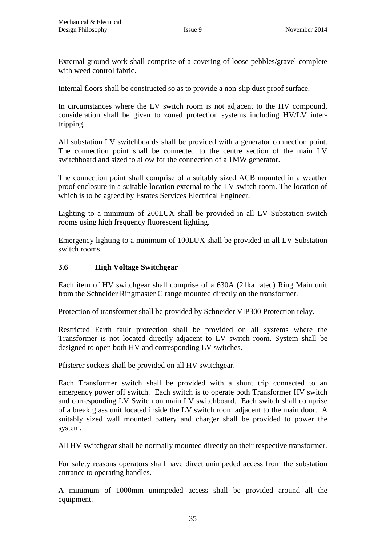External ground work shall comprise of a covering of loose pebbles/gravel complete with weed control fabric.

Internal floors shall be constructed so as to provide a non-slip dust proof surface.

In circumstances where the LV switch room is not adjacent to the HV compound, consideration shall be given to zoned protection systems including HV/LV intertripping.

All substation LV switchboards shall be provided with a generator connection point. The connection point shall be connected to the centre section of the main LV switchboard and sized to allow for the connection of a 1MW generator.

The connection point shall comprise of a suitably sized ACB mounted in a weather proof enclosure in a suitable location external to the LV switch room. The location of which is to be agreed by Estates Services Electrical Engineer.

Lighting to a minimum of 200LUX shall be provided in all LV Substation switch rooms using high frequency fluorescent lighting.

Emergency lighting to a minimum of 100LUX shall be provided in all LV Substation switch rooms.

#### **3.6 High Voltage Switchgear**

Each item of HV switchgear shall comprise of a 630A (21ka rated) Ring Main unit from the Schneider Ringmaster C range mounted directly on the transformer.

Protection of transformer shall be provided by Schneider VIP300 Protection relay.

Restricted Earth fault protection shall be provided on all systems where the Transformer is not located directly adjacent to LV switch room. System shall be designed to open both HV and corresponding LV switches.

Pfisterer sockets shall be provided on all HV switchgear.

Each Transformer switch shall be provided with a shunt trip connected to an emergency power off switch. Each switch is to operate both Transformer HV switch and corresponding LV Switch on main LV switchboard. Each switch shall comprise of a break glass unit located inside the LV switch room adjacent to the main door. A suitably sized wall mounted battery and charger shall be provided to power the system.

All HV switchgear shall be normally mounted directly on their respective transformer.

For safety reasons operators shall have direct unimpeded access from the substation entrance to operating handles.

A minimum of 1000mm unimpeded access shall be provided around all the equipment.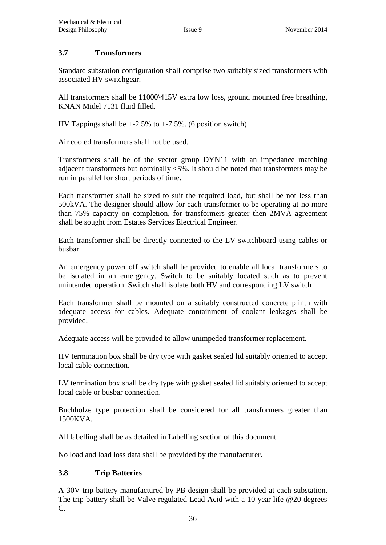#### **3.7 Transformers**

Standard substation configuration shall comprise two suitably sized transformers with associated HV switchgear.

All transformers shall be 11000\415V extra low loss, ground mounted free breathing, KNAN Midel 7131 fluid filled.

HV Tappings shall be  $+2.5\%$  to  $+7.5\%$ . (6 position switch)

Air cooled transformers shall not be used.

Transformers shall be of the vector group DYN11 with an impedance matching adjacent transformers but nominally <5%. It should be noted that transformers may be run in parallel for short periods of time.

Each transformer shall be sized to suit the required load, but shall be not less than 500kVA. The designer should allow for each transformer to be operating at no more than 75% capacity on completion, for transformers greater then 2MVA agreement shall be sought from Estates Services Electrical Engineer.

Each transformer shall be directly connected to the LV switchboard using cables or busbar.

An emergency power off switch shall be provided to enable all local transformers to be isolated in an emergency. Switch to be suitably located such as to prevent unintended operation. Switch shall isolate both HV and corresponding LV switch

Each transformer shall be mounted on a suitably constructed concrete plinth with adequate access for cables. Adequate containment of coolant leakages shall be provided.

Adequate access will be provided to allow unimpeded transformer replacement.

HV termination box shall be dry type with gasket sealed lid suitably oriented to accept local cable connection.

LV termination box shall be dry type with gasket sealed lid suitably oriented to accept local cable or busbar connection.

Buchholze type protection shall be considered for all transformers greater than 1500KVA.

All labelling shall be as detailed in Labelling section of this document.

No load and load loss data shall be provided by the manufacturer.

#### **3.8 Trip Batteries**

A 30V trip battery manufactured by PB design shall be provided at each substation. The trip battery shall be Valve regulated Lead Acid with a 10 year life @20 degrees C.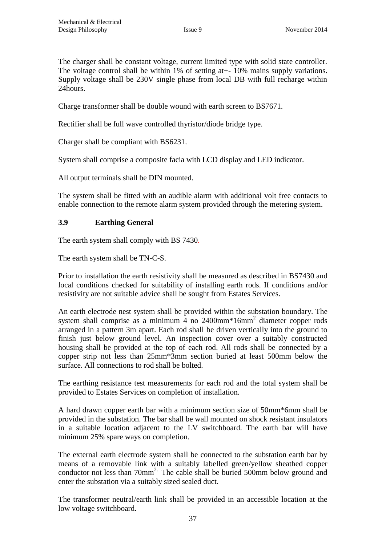The charger shall be constant voltage, current limited type with solid state controller. The voltage control shall be within 1% of setting at +-10% mains supply variations. Supply voltage shall be 230V single phase from local DB with full recharge within 24hours.

Charge transformer shall be double wound with earth screen to BS7671.

Rectifier shall be full wave controlled thyristor/diode bridge type.

Charger shall be compliant with BS6231.

System shall comprise a composite facia with LCD display and LED indicator.

All output terminals shall be DIN mounted.

The system shall be fitted with an audible alarm with additional volt free contacts to enable connection to the remote alarm system provided through the metering system.

#### **3.9 Earthing General**

The earth system shall comply with BS 7430*.*

The earth system shall be TN-C-S.

Prior to installation the earth resistivity shall be measured as described in BS7430 and local conditions checked for suitability of installing earth rods. If conditions and/or resistivity are not suitable advice shall be sought from Estates Services.

An earth electrode nest system shall be provided within the substation boundary. The system shall comprise as a minimum 4 no 2400mm<sup>\*</sup>16mm<sup>2</sup> diameter copper rods arranged in a pattern 3m apart. Each rod shall be driven vertically into the ground to finish just below ground level. An inspection cover over a suitably constructed housing shall be provided at the top of each rod. All rods shall be connected by a copper strip not less than 25mm\*3mm section buried at least 500mm below the surface. All connections to rod shall be bolted.

The earthing resistance test measurements for each rod and the total system shall be provided to Estates Services on completion of installation.

A hard drawn copper earth bar with a minimum section size of 50mm\*6mm shall be provided in the substation. The bar shall be wall mounted on shock resistant insulators in a suitable location adjacent to the LV switchboard. The earth bar will have minimum 25% spare ways on completion.

The external earth electrode system shall be connected to the substation earth bar by means of a removable link with a suitably labelled green/yellow sheathed copper conductor not less than 70mm<sup>2.</sup> The cable shall be buried 500mm below ground and enter the substation via a suitably sized sealed duct.

The transformer neutral/earth link shall be provided in an accessible location at the low voltage switchboard.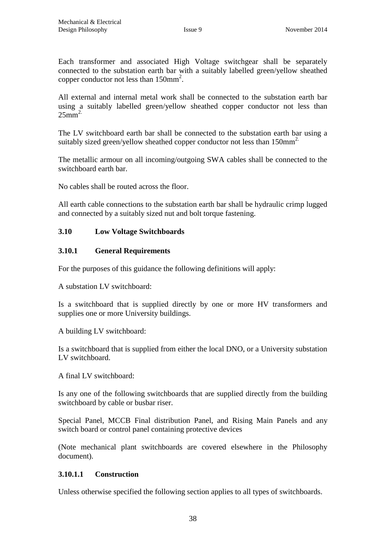Each transformer and associated High Voltage switchgear shall be separately connected to the substation earth bar with a suitably labelled green/yellow sheathed copper conductor not less than  $150$ mm<sup>2</sup>.

All external and internal metal work shall be connected to the substation earth bar using a suitably labelled green/yellow sheathed copper conductor not less than  $25mm^2$ 

The LV switchboard earth bar shall be connected to the substation earth bar using a suitably sized green/yellow sheathed copper conductor not less than 150mm<sup>2.</sup>

The metallic armour on all incoming/outgoing SWA cables shall be connected to the switchboard earth bar.

No cables shall be routed across the floor.

All earth cable connections to the substation earth bar shall be hydraulic crimp lugged and connected by a suitably sized nut and bolt torque fastening.

#### **3.10 Low Voltage Switchboards**

#### **3.10.1 General Requirements**

For the purposes of this guidance the following definitions will apply:

A substation LV switchboard:

Is a switchboard that is supplied directly by one or more HV transformers and supplies one or more University buildings.

A building LV switchboard:

Is a switchboard that is supplied from either the local DNO, or a University substation LV switchboard.

A final LV switchboard:

Is any one of the following switchboards that are supplied directly from the building switchboard by cable or busbar riser.

Special Panel, MCCB Final distribution Panel, and Rising Main Panels and any switch board or control panel containing protective devices

(Note mechanical plant switchboards are covered elsewhere in the Philosophy document).

#### **3.10.1.1 Construction**

Unless otherwise specified the following section applies to all types of switchboards.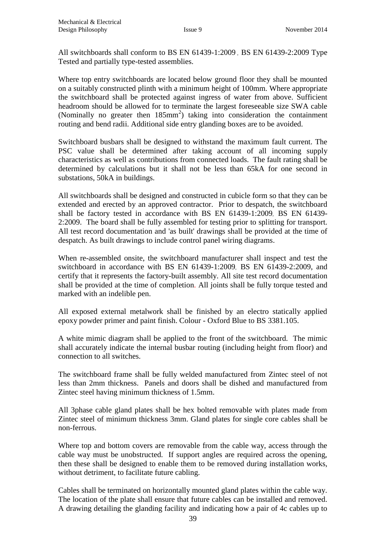All switchboards shall conform to BS EN 61439-1:2009 , BS EN 61439-2:2009 Type Tested and partially type-tested assemblies.

Where top entry switchboards are located below ground floor they shall be mounted on a suitably constructed plinth with a minimum height of 100mm. Where appropriate the switchboard shall be protected against ingress of water from above. Sufficient headroom should be allowed for to terminate the largest foreseeable size SWA cable (Nominally no greater then  $185 \text{mm}^2$ ) taking into consideration the containment routing and bend radii. Additional side entry glanding boxes are to be avoided.

Switchboard busbars shall be designed to withstand the maximum fault current. The PSC value shall be determined after taking account of all incoming supply characteristics as well as contributions from connected loads. The fault rating shall be determined by calculations but it shall not be less than 65kA for one second in substations, 50kA in buildings.

All switchboards shall be designed and constructed in cubicle form so that they can be extended and erected by an approved contractor. Prior to despatch, the switchboard shall be factory tested in accordance with BS EN 61439-1:2009, BS EN 61439- 2:2009. The board shall be fully assembled for testing prior to splitting for transport. All test record documentation and 'as built' drawings shall be provided at the time of despatch. As built drawings to include control panel wiring diagrams.

When re-assembled onsite, the switchboard manufacturer shall inspect and test the switchboard in accordance with BS EN 61439-1:2009, BS EN 61439-2:2009, and certify that it represents the factory-built assembly. All site test record documentation shall be provided at the time of completion*.* All joints shall be fully torque tested and marked with an indelible pen.

All exposed external metalwork shall be finished by an electro statically applied epoxy powder primer and paint finish. Colour - Oxford Blue to BS 3381.105.

A white mimic diagram shall be applied to the front of the switchboard. The mimic shall accurately indicate the internal busbar routing (including height from floor) and connection to all switches.

The switchboard frame shall be fully welded manufactured from Zintec steel of not less than 2mm thickness. Panels and doors shall be dished and manufactured from Zintec steel having minimum thickness of 1.5mm.

All 3phase cable gland plates shall be hex bolted removable with plates made from Zintec steel of minimum thickness 3mm. Gland plates for single core cables shall be non-ferrous.

Where top and bottom covers are removable from the cable way, access through the cable way must be unobstructed. If support angles are required across the opening, then these shall be designed to enable them to be removed during installation works, without detriment, to facilitate future cabling.

Cables shall be terminated on horizontally mounted gland plates within the cable way. The location of the plate shall ensure that future cables can be installed and removed. A drawing detailing the glanding facility and indicating how a pair of 4c cables up to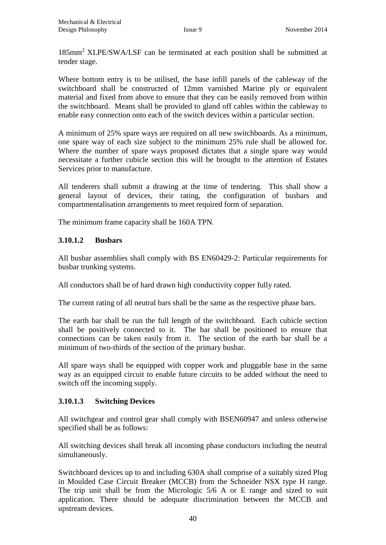185mm<sup>2</sup>XLPE/SWA/LSF can be terminated at each position shall be submitted at tender stage.

Where bottom entry is to be utilised, the base infill panels of the cableway of the switchboard shall be constructed of 12mm varnished Marine ply or equivalent material and fixed from above to ensure that they can be easily removed from within the switchboard. Means shall be provided to gland off cables within the cableway to enable easy connection onto each of the switch devices within a particular section.

A minimum of 25% spare ways are required on all new switchboards. As a minimum, one spare way of each size subject to the minimum 25% rule shall be allowed for. Where the number of spare ways proposed dictates that a single spare way would necessitate a further cubicle section this will be brought to the attention of Estates Services prior to manufacture.

All tenderers shall submit a drawing at the time of tendering. This shall show a general layout of devices, their rating, the configuration of busbars and compartmentalisation arrangements to meet required form of separation.

The minimum frame capacity shall be 160A TPN*.* 

#### **3.10.1.2 Busbars**

All busbar assemblies shall comply with BS EN60429-2: Particular requirements for busbar trunking systems.

All conductors shall be of hard drawn high conductivity copper fully rated.

The current rating of all neutral bars shall be the same as the respective phase bars.

The earth bar shall be run the full length of the switchboard. Each cubicle section shall be positively connected to it. The bar shall be positioned to ensure that connections can be taken easily from it. The section of the earth bar shall be a minimum of two-thirds of the section of the primary busbar.

All spare ways shall be equipped with copper work and pluggable base in the same way as an equipped circuit to enable future circuits to be added without the need to switch off the incoming supply.

#### **3.10.1.3 Switching Devices**

All switchgear and control gear shall comply with BSEN60947 and unless otherwise specified shall be as follows:

All switching devices shall break all incoming phase conductors including the neutral simultaneously.

Switchboard devices up to and including 630A shall comprise of a suitably sized Plug in Moulded Case Circuit Breaker (MCCB) from the Schneider NSX type H range. The trip unit shall be from the Micrologic 5/6 A or E range and sized to suit application. There should be adequate discrimination between the MCCB and upstream devices.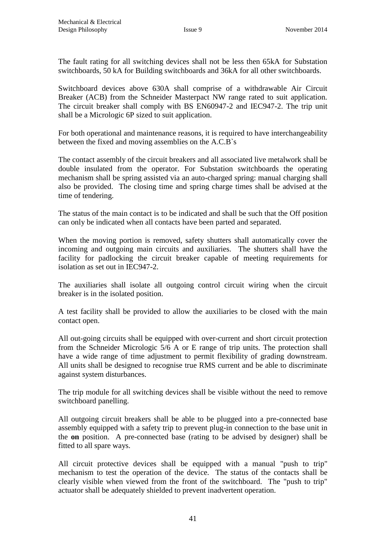The fault rating for all switching devices shall not be less then 65kA for Substation switchboards, 50 kA for Building switchboards and 36kA for all other switchboards.

Switchboard devices above 630A shall comprise of a withdrawable Air Circuit Breaker (ACB) from the Schneider Masterpact NW range rated to suit application. The circuit breaker shall comply with BS EN60947-2 and IEC947-2. The trip unit shall be a Micrologic 6P sized to suit application.

For both operational and maintenance reasons, it is required to have interchangeability between the fixed and moving assemblies on the A.C.B`s

The contact assembly of the circuit breakers and all associated live metalwork shall be double insulated from the operator. For Substation switchboards the operating mechanism shall be spring assisted via an auto-charged spring: manual charging shall also be provided. The closing time and spring charge times shall be advised at the time of tendering.

The status of the main contact is to be indicated and shall be such that the Off position can only be indicated when all contacts have been parted and separated.

When the moving portion is removed, safety shutters shall automatically cover the incoming and outgoing main circuits and auxiliaries. The shutters shall have the facility for padlocking the circuit breaker capable of meeting requirements for isolation as set out in IEC947-2.

The auxiliaries shall isolate all outgoing control circuit wiring when the circuit breaker is in the isolated position.

A test facility shall be provided to allow the auxiliaries to be closed with the main contact open.

All out-going circuits shall be equipped with over-current and short circuit protection from the Schneider Micrologic 5/6 A or E range of trip units. The protection shall have a wide range of time adjustment to permit flexibility of grading downstream. All units shall be designed to recognise true RMS current and be able to discriminate against system disturbances.

The trip module for all switching devices shall be visible without the need to remove switchboard panelling.

All outgoing circuit breakers shall be able to be plugged into a pre-connected base assembly equipped with a safety trip to prevent plug-in connection to the base unit in the **on** position. A pre-connected base (rating to be advised by designer) shall be fitted to all spare ways.

All circuit protective devices shall be equipped with a manual "push to trip" mechanism to test the operation of the device. The status of the contacts shall be clearly visible when viewed from the front of the switchboard. The "push to trip" actuator shall be adequately shielded to prevent inadvertent operation.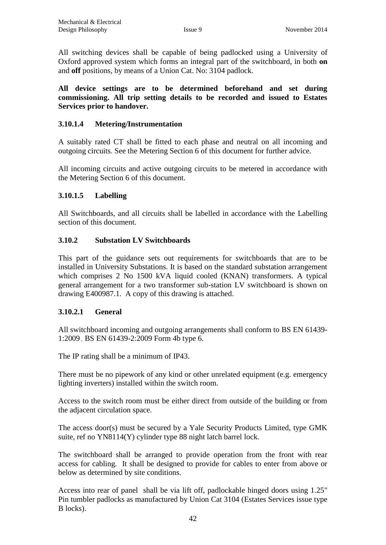All switching devices shall be capable of being padlocked using a University of Oxford approved system which forms an integral part of the switchboard, in both **on**  and **off** positions, by means of a Union Cat. No: 3104 padlock.

**All device settings are to be determined beforehand and set during commissioning. All trip setting details to be recorded and issued to Estates Services prior to handover.**

#### **3.10.1.4 Metering/Instrumentation**

A suitably rated CT shall be fitted to each phase and neutral on all incoming and outgoing circuits. See the Metering Section 6 of this document for further advice.

All incoming circuits and active outgoing circuits to be metered in accordance with the Metering Section 6 of this document.

#### **3.10.1.5 Labelling**

All Switchboards, and all circuits shall be labelled in accordance with the Labelling section of this document.

#### **3.10.2 Substation LV Switchboards**

This part of the guidance sets out requirements for switchboards that are to be installed in University Substations. It is based on the standard substation arrangement which comprises 2 No 1500 kVA liquid cooled (KNAN) transformers. A typical general arrangement for a two transformer sub-station LV switchboard is shown on drawing E400987.1. A copy of this drawing is attached.

#### **3.10.2.1 General**

All switchboard incoming and outgoing arrangements shall conform to BS EN 61439- 1:2009 , BS EN 61439-2:2009 Form 4b type 6.

The IP rating shall be a minimum of IP43.

There must be no pipework of any kind or other unrelated equipment (e.g. emergency lighting inverters) installed within the switch room.

Access to the switch room must be either direct from outside of the building or from the adjacent circulation space.

The access door(s) must be secured by a Yale Security Products Limited, type GMK suite, ref no YN8114(Y) cylinder type 88 night latch barrel lock.

The switchboard shall be arranged to provide operation from the front with rear access for cabling. It shall be designed to provide for cables to enter from above or below as determined by site conditions.

Access into rear of panel shall be via lift off, padlockable hinged doors using 1.25" Pin tumbler padlocks as manufactured by Union Cat 3104 (Estates Services issue type B locks).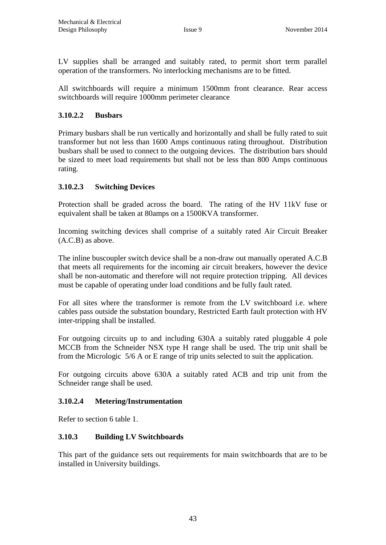LV supplies shall be arranged and suitably rated, to permit short term parallel operation of the transformers. No interlocking mechanisms are to be fitted.

All switchboards will require a minimum 1500mm front clearance. Rear access switchboards will require 1000mm perimeter clearance

#### **3.10.2.2 Busbars**

Primary busbars shall be run vertically and horizontally and shall be fully rated to suit transformer but not less than 1600 Amps continuous rating throughout. Distribution busbars shall be used to connect to the outgoing devices. The distribution bars should be sized to meet load requirements but shall not be less than 800 Amps continuous rating.

#### **3.10.2.3 Switching Devices**

Protection shall be graded across the board. The rating of the HV 11kV fuse or equivalent shall be taken at 80amps on a 1500KVA transformer.

Incoming switching devices shall comprise of a suitably rated Air Circuit Breaker (A.C.B) as above.

The inline buscoupler switch device shall be a non-draw out manually operated A.C.B that meets all requirements for the incoming air circuit breakers, however the device shall be non-automatic and therefore will not require protection tripping. All devices must be capable of operating under load conditions and be fully fault rated.

For all sites where the transformer is remote from the LV switchboard i.e. where cables pass outside the substation boundary, Restricted Earth fault protection with HV inter-tripping shall be installed.

For outgoing circuits up to and including 630A a suitably rated pluggable 4 pole MCCB from the Schneider NSX type H range shall be used. The trip unit shall be from the Micrologic 5/6 A or E range of trip units selected to suit the application.

For outgoing circuits above 630A a suitably rated ACB and trip unit from the Schneider range shall be used.

#### **3.10.2.4 Metering/Instrumentation**

Refer to section 6 table 1.

#### **3.10.3 Building LV Switchboards**

This part of the guidance sets out requirements for main switchboards that are to be installed in University buildings.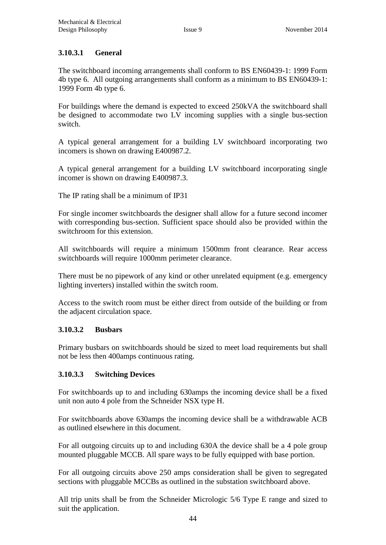#### **3.10.3.1 General**

The switchboard incoming arrangements shall conform to BS EN60439-1: 1999 Form 4b type 6. All outgoing arrangements shall conform as a minimum to BS EN60439-1: 1999 Form 4b type 6.

For buildings where the demand is expected to exceed 250kVA the switchboard shall be designed to accommodate two LV incoming supplies with a single bus-section switch.

A typical general arrangement for a building LV switchboard incorporating two incomers is shown on drawing E400987.2.

A typical general arrangement for a building LV switchboard incorporating single incomer is shown on drawing E400987.3.

The IP rating shall be a minimum of IP31

For single incomer switchboards the designer shall allow for a future second incomer with corresponding bus-section. Sufficient space should also be provided within the switchroom for this extension.

All switchboards will require a minimum 1500mm front clearance. Rear access switchboards will require 1000mm perimeter clearance.

There must be no pipework of any kind or other unrelated equipment (e.g. emergency lighting inverters) installed within the switch room.

Access to the switch room must be either direct from outside of the building or from the adjacent circulation space.

#### **3.10.3.2 Busbars**

Primary busbars on switchboards should be sized to meet load requirements but shall not be less then 400amps continuous rating.

#### **3.10.3.3 Switching Devices**

For switchboards up to and including 630amps the incoming device shall be a fixed unit non auto 4 pole from the Schneider NSX type H.

For switchboards above 630amps the incoming device shall be a withdrawable ACB as outlined elsewhere in this document.

For all outgoing circuits up to and including 630A the device shall be a 4 pole group mounted pluggable MCCB. All spare ways to be fully equipped with base portion.

For all outgoing circuits above 250 amps consideration shall be given to segregated sections with pluggable MCCBs as outlined in the substation switchboard above.

All trip units shall be from the Schneider Micrologic 5/6 Type E range and sized to suit the application.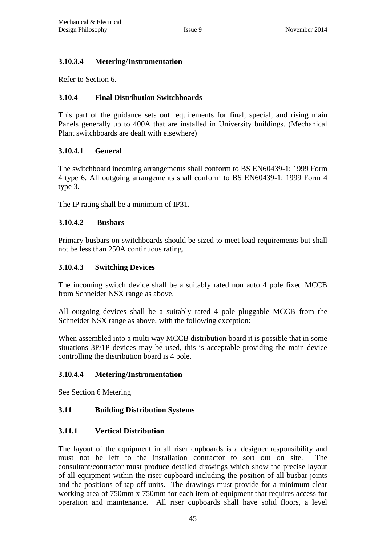#### **3.10.3.4 Metering/Instrumentation**

Refer to Section 6.

#### **3.10.4 Final Distribution Switchboards**

This part of the guidance sets out requirements for final, special, and rising main Panels generally up to 400A that are installed in University buildings. (Mechanical Plant switchboards are dealt with elsewhere)

#### **3.10.4.1 General**

The switchboard incoming arrangements shall conform to BS EN60439-1: 1999 Form 4 type 6. All outgoing arrangements shall conform to BS EN60439-1: 1999 Form 4 type 3.

The IP rating shall be a minimum of IP31.

#### **3.10.4.2 Busbars**

Primary busbars on switchboards should be sized to meet load requirements but shall not be less than 250A continuous rating.

#### **3.10.4.3 Switching Devices**

The incoming switch device shall be a suitably rated non auto 4 pole fixed MCCB from Schneider NSX range as above.

All outgoing devices shall be a suitably rated 4 pole pluggable MCCB from the Schneider NSX range as above, with the following exception:

When assembled into a multi way MCCB distribution board it is possible that in some situations 3P/1P devices may be used, this is acceptable providing the main device controlling the distribution board is 4 pole.

#### **3.10.4.4 Metering/Instrumentation**

See Section 6 Metering

#### **3.11 Building Distribution Systems**

#### **3.11.1 Vertical Distribution**

The layout of the equipment in all riser cupboards is a designer responsibility and must not be left to the installation contractor to sort out on site. The consultant/contractor must produce detailed drawings which show the precise layout of all equipment within the riser cupboard including the position of all busbar joints and the positions of tap-off units. The drawings must provide for a minimum clear working area of 750mm x 750mm for each item of equipment that requires access for operation and maintenance. All riser cupboards shall have solid floors, a level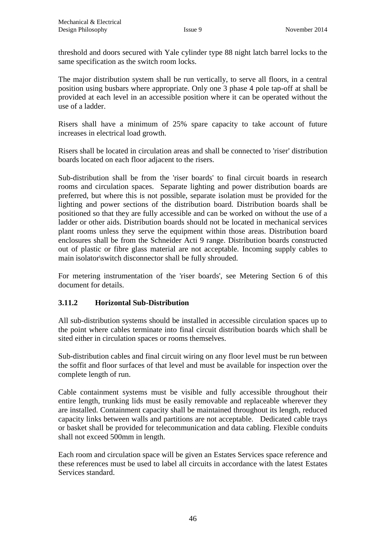threshold and doors secured with Yale cylinder type 88 night latch barrel locks to the same specification as the switch room locks.

The major distribution system shall be run vertically, to serve all floors, in a central position using busbars where appropriate. Only one 3 phase 4 pole tap-off at shall be provided at each level in an accessible position where it can be operated without the use of a ladder.

Risers shall have a minimum of 25% spare capacity to take account of future increases in electrical load growth.

Risers shall be located in circulation areas and shall be connected to 'riser' distribution boards located on each floor adjacent to the risers.

Sub-distribution shall be from the 'riser boards' to final circuit boards in research rooms and circulation spaces. Separate lighting and power distribution boards are preferred, but where this is not possible, separate isolation must be provided for the lighting and power sections of the distribution board. Distribution boards shall be positioned so that they are fully accessible and can be worked on without the use of a ladder or other aids. Distribution boards should not be located in mechanical services plant rooms unless they serve the equipment within those areas. Distribution board enclosures shall be from the Schneider Acti 9 range. Distribution boards constructed out of plastic or fibre glass material are not acceptable. Incoming supply cables to main isolator\switch disconnector shall be fully shrouded.

For metering instrumentation of the 'riser boards', see Metering Section 6 of this document for details.

#### **3.11.2 Horizontal Sub-Distribution**

All sub-distribution systems should be installed in accessible circulation spaces up to the point where cables terminate into final circuit distribution boards which shall be sited either in circulation spaces or rooms themselves.

Sub-distribution cables and final circuit wiring on any floor level must be run between the soffit and floor surfaces of that level and must be available for inspection over the complete length of run.

Cable containment systems must be visible and fully accessible throughout their entire length, trunking lids must be easily removable and replaceable wherever they are installed. Containment capacity shall be maintained throughout its length, reduced capacity links between walls and partitions are not acceptable. Dedicated cable trays or basket shall be provided for telecommunication and data cabling. Flexible conduits shall not exceed 500mm in length.

Each room and circulation space will be given an Estates Services space reference and these references must be used to label all circuits in accordance with the latest Estates Services standard.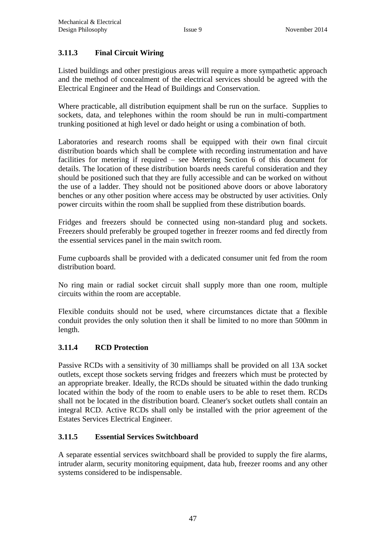#### **3.11.3 Final Circuit Wiring**

Listed buildings and other prestigious areas will require a more sympathetic approach and the method of concealment of the electrical services should be agreed with the Electrical Engineer and the Head of Buildings and Conservation.

Where practicable, all distribution equipment shall be run on the surface. Supplies to sockets, data, and telephones within the room should be run in multi-compartment trunking positioned at high level or dado height or using a combination of both.

Laboratories and research rooms shall be equipped with their own final circuit distribution boards which shall be complete with recording instrumentation and have facilities for metering if required – see Metering Section 6 of this document for details. The location of these distribution boards needs careful consideration and they should be positioned such that they are fully accessible and can be worked on without the use of a ladder. They should not be positioned above doors or above laboratory benches or any other position where access may be obstructed by user activities. Only power circuits within the room shall be supplied from these distribution boards.

Fridges and freezers should be connected using non-standard plug and sockets. Freezers should preferably be grouped together in freezer rooms and fed directly from the essential services panel in the main switch room.

Fume cupboards shall be provided with a dedicated consumer unit fed from the room distribution board.

No ring main or radial socket circuit shall supply more than one room, multiple circuits within the room are acceptable.

Flexible conduits should not be used, where circumstances dictate that a flexible conduit provides the only solution then it shall be limited to no more than 500mm in length.

#### **3.11.4 RCD Protection**

Passive RCDs with a sensitivity of 30 milliamps shall be provided on all 13A socket outlets, except those sockets serving fridges and freezers which must be protected by an appropriate breaker. Ideally, the RCDs should be situated within the dado trunking located within the body of the room to enable users to be able to reset them. RCDs shall not be located in the distribution board. Cleaner's socket outlets shall contain an integral RCD. Active RCDs shall only be installed with the prior agreement of the Estates Services Electrical Engineer.

#### **3.11.5 Essential Services Switchboard**

A separate essential services switchboard shall be provided to supply the fire alarms, intruder alarm, security monitoring equipment, data hub, freezer rooms and any other systems considered to be indispensable.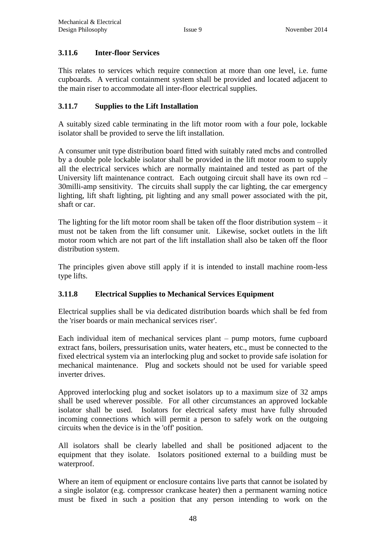#### **3.11.6 Inter-floor Services**

This relates to services which require connection at more than one level, i.e. fume cupboards. A vertical containment system shall be provided and located adjacent to the main riser to accommodate all inter-floor electrical supplies.

#### **3.11.7 Supplies to the Lift Installation**

A suitably sized cable terminating in the lift motor room with a four pole, lockable isolator shall be provided to serve the lift installation.

A consumer unit type distribution board fitted with suitably rated mcbs and controlled by a double pole lockable isolator shall be provided in the lift motor room to supply all the electrical services which are normally maintained and tested as part of the University lift maintenance contract. Each outgoing circuit shall have its own rcd – 30milli-amp sensitivity. The circuits shall supply the car lighting, the car emergency lighting, lift shaft lighting, pit lighting and any small power associated with the pit, shaft or car.

The lighting for the lift motor room shall be taken off the floor distribution system  $-$  it must not be taken from the lift consumer unit. Likewise, socket outlets in the lift motor room which are not part of the lift installation shall also be taken off the floor distribution system.

The principles given above still apply if it is intended to install machine room-less type lifts.

#### **3.11.8 Electrical Supplies to Mechanical Services Equipment**

Electrical supplies shall be via dedicated distribution boards which shall be fed from the 'riser boards or main mechanical services riser'.

Each individual item of mechanical services plant – pump motors, fume cupboard extract fans, boilers, pressurisation units, water heaters, etc., must be connected to the fixed electrical system via an interlocking plug and socket to provide safe isolation for mechanical maintenance. Plug and sockets should not be used for variable speed inverter drives.

Approved interlocking plug and socket isolators up to a maximum size of 32 amps shall be used wherever possible. For all other circumstances an approved lockable isolator shall be used. Isolators for electrical safety must have fully shrouded incoming connections which will permit a person to safely work on the outgoing circuits when the device is in the 'off' position.

All isolators shall be clearly labelled and shall be positioned adjacent to the equipment that they isolate. Isolators positioned external to a building must be waterproof.

Where an item of equipment or enclosure contains live parts that cannot be isolated by a single isolator (e.g. compressor crankcase heater) then a permanent warning notice must be fixed in such a position that any person intending to work on the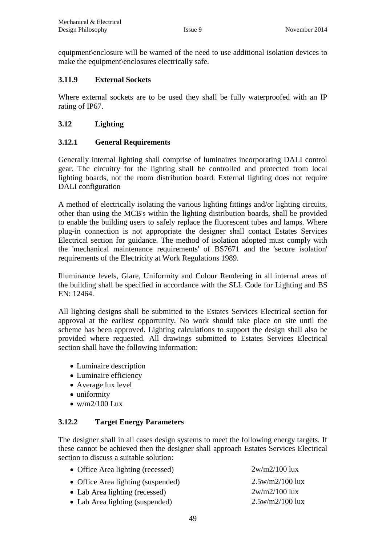equipment\enclosure will be warned of the need to use additional isolation devices to make the equipment\enclosures electrically safe.

#### **3.11.9 External Sockets**

Where external sockets are to be used they shall be fully waterproofed with an IP rating of IP67.

#### **3.12 Lighting**

#### **3.12.1 General Requirements**

Generally internal lighting shall comprise of luminaires incorporating DALI control gear. The circuitry for the lighting shall be controlled and protected from local lighting boards, not the room distribution board. External lighting does not require DALI configuration

A method of electrically isolating the various lighting fittings and/or lighting circuits, other than using the MCB's within the lighting distribution boards, shall be provided to enable the building users to safely replace the fluorescent tubes and lamps. Where plug-in connection is not appropriate the designer shall contact Estates Services Electrical section for guidance. The method of isolation adopted must comply with the 'mechanical maintenance requirements' of BS7671 and the 'secure isolation' requirements of the Electricity at Work Regulations 1989.

Illuminance levels, Glare, Uniformity and Colour Rendering in all internal areas of the building shall be specified in accordance with the SLL Code for Lighting and BS EN: 12464.

All lighting designs shall be submitted to the Estates Services Electrical section for approval at the earliest opportunity. No work should take place on site until the scheme has been approved. Lighting calculations to support the design shall also be provided where requested. All drawings submitted to Estates Services Electrical section shall have the following information:

- Luminaire description
- Luminaire efficiency
- Average lux level
- uniformity
- $\bullet$  w/m2/100 Lux

#### **3.12.2 Target Energy Parameters**

The designer shall in all cases design systems to meet the following energy targets. If these cannot be achieved then the designer shall approach Estates Services Electrical section to discuss a suitable solution:

| • Office Area lighting (recessed)  | $2w/m2/100$ lux   |
|------------------------------------|-------------------|
| • Office Area lighting (suspended) | $2.5w/m2/100$ lux |
| • Lab Area lighting (recessed)     | $2w/m2/100$ lux   |
| • Lab Area lighting (suspended)    | $2.5w/m2/100$ lux |
|                                    |                   |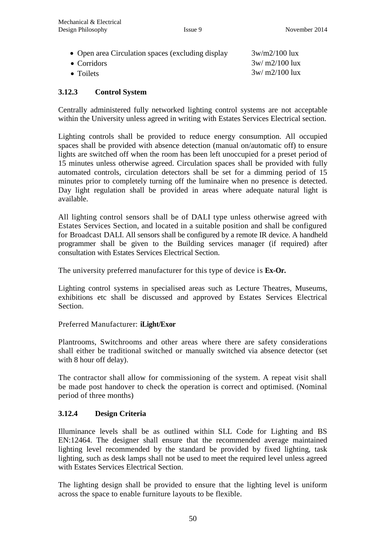- Open area Circulation spaces (excluding display
- $\bullet$  Corridors
- 

3w/m2/100 lux  $3w/m2/100$  lux • Toilets  $3w/m2/100 \text{ lux}$ 

#### **3.12.3 Control System**

Centrally administered fully networked lighting control systems are not acceptable within the University unless agreed in writing with Estates Services Electrical section.

Lighting controls shall be provided to reduce energy consumption. All occupied spaces shall be provided with absence detection (manual on/automatic off) to ensure lights are switched off when the room has been left unoccupied for a preset period of 15 minutes unless otherwise agreed. Circulation spaces shall be provided with fully automated controls, circulation detectors shall be set for a dimming period of 15 minutes prior to completely turning off the luminaire when no presence is detected. Day light regulation shall be provided in areas where adequate natural light is available.

All lighting control sensors shall be of DALI type unless otherwise agreed with Estates Services Section, and located in a suitable position and shall be configured for Broadcast DALI. All sensors shall be configured by a remote IR device. A handheld programmer shall be given to the Building services manager (if required) after consultation with Estates Services Electrical Section.

The university preferred manufacturer for this type of device is **Ex-Or.**

Lighting control systems in specialised areas such as Lecture Theatres, Museums, exhibitions etc shall be discussed and approved by Estates Services Electrical Section.

#### Preferred Manufacturer: **iLight/Exor**

Plantrooms, Switchrooms and other areas where there are safety considerations shall either be traditional switched or manually switched via absence detector (set with 8 hour off delay).

The contractor shall allow for commissioning of the system. A repeat visit shall be made post handover to check the operation is correct and optimised. (Nominal period of three months)

#### **3.12.4 Design Criteria**

Illuminance levels shall be as outlined within SLL Code for Lighting and BS EN:12464. The designer shall ensure that the recommended average maintained lighting level recommended by the standard be provided by fixed lighting, task lighting, such as desk lamps shall not be used to meet the required level unless agreed with Estates Services Electrical Section.

The lighting design shall be provided to ensure that the lighting level is uniform across the space to enable furniture layouts to be flexible.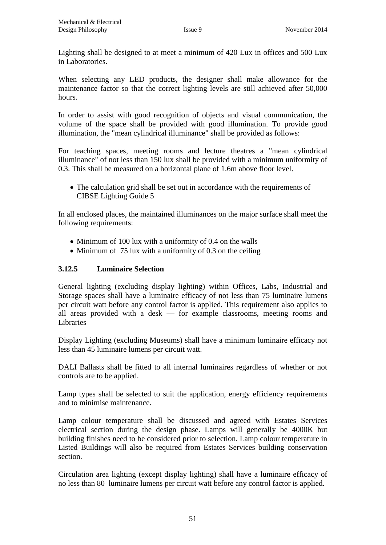Lighting shall be designed to at meet a minimum of 420 Lux in offices and 500 Lux in Laboratories.

When selecting any LED products, the designer shall make allowance for the maintenance factor so that the correct lighting levels are still achieved after 50,000 hours.

In order to assist with good recognition of objects and visual communication, the volume of the space shall be provided with good illumination. To provide good illumination, the "mean cylindrical illuminance" shall be provided as follows:

For teaching spaces, meeting rooms and lecture theatres a "mean cylindrical illuminance" of not less than 150 lux shall be provided with a minimum uniformity of 0.3. This shall be measured on a horizontal plane of 1.6m above floor level.

 The calculation grid shall be set out in accordance with the requirements of CIBSE Lighting Guide 5

In all enclosed places, the maintained illuminances on the major surface shall meet the following requirements:

- Minimum of 100 lux with a uniformity of 0.4 on the walls
- $\bullet$  Minimum of 75 lux with a uniformity of 0.3 on the ceiling

#### **3.12.5 Luminaire Selection**

General lighting (excluding display lighting) within Offices, Labs, Industrial and Storage spaces shall have a luminaire efficacy of not less than 75 luminaire lumens per circuit watt before any control factor is applied. This requirement also applies to all areas provided with a desk — for example classrooms, meeting rooms and Libraries

Display Lighting (excluding Museums) shall have a minimum luminaire efficacy not less than 45 luminaire lumens per circuit watt.

DALI Ballasts shall be fitted to all internal luminaires regardless of whether or not controls are to be applied.

Lamp types shall be selected to suit the application, energy efficiency requirements and to minimise maintenance.

Lamp colour temperature shall be discussed and agreed with Estates Services electrical section during the design phase. Lamps will generally be 4000K but building finishes need to be considered prior to selection. Lamp colour temperature in Listed Buildings will also be required from Estates Services building conservation section.

Circulation area lighting (except display lighting) shall have a luminaire efficacy of no less than 80 luminaire lumens per circuit watt before any control factor is applied.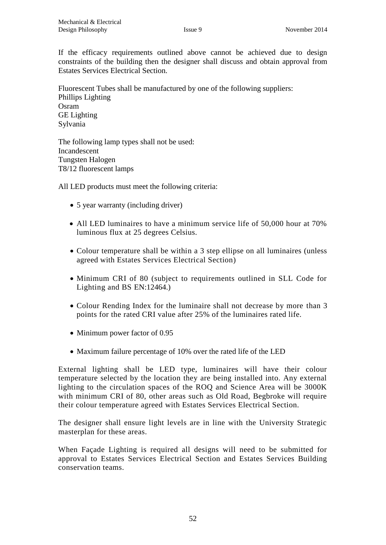If the efficacy requirements outlined above cannot be achieved due to design constraints of the building then the designer shall discuss and obtain approval from Estates Services Electrical Section.

Fluorescent Tubes shall be manufactured by one of the following suppliers: Phillips Lighting Osram GE Lighting Sylvania

The following lamp types shall not be used: Incandescent Tungsten Halogen T8/12 fluorescent lamps

All LED products must meet the following criteria:

- 5 year warranty (including driver)
- All LED luminaires to have a minimum service life of 50,000 hour at 70% luminous flux at 25 degrees Celsius.
- Colour temperature shall be within a 3 step ellipse on all luminaires (unless agreed with Estates Services Electrical Section)
- Minimum CRI of 80 (subject to requirements outlined in SLL Code for Lighting and BS EN:12464.)
- Colour Rending Index for the luminaire shall not decrease by more than 3 points for the rated CRI value after 25% of the luminaires rated life.
- Minimum power factor of 0.95
- Maximum failure percentage of 10% over the rated life of the LED

External lighting shall be LED type, luminaires will have their colour temperature selected by the location they are being installed into. Any external lighting to the circulation spaces of the ROQ and Science Area will be 3000K with minimum CRI of 80, other areas such as Old Road, Begbroke will require their colour temperature agreed with Estates Services Electrical Section.

The designer shall ensure light levels are in line with the University Strategic masterplan for these areas.

When Façade Lighting is required all designs will need to be submitted for approval to Estates Services Electrical Section and Estates Services Building conservation teams.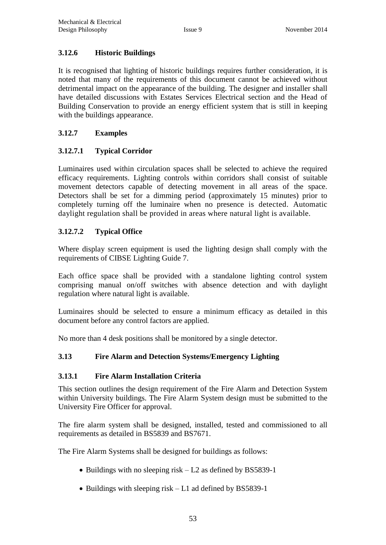#### **3.12.6 Historic Buildings**

It is recognised that lighting of historic buildings requires further consideration, it is noted that many of the requirements of this document cannot be achieved without detrimental impact on the appearance of the building. The designer and installer shall have detailed discussions with Estates Services Electrical section and the Head of Building Conservation to provide an energy efficient system that is still in keeping with the buildings appearance.

#### **3.12.7 Examples**

#### **3.12.7.1 Typical Corridor**

Luminaires used within circulation spaces shall be selected to achieve the required efficacy requirements. Lighting controls within corridors shall consist of suitable movement detectors capable of detecting movement in all areas of the space. Detectors shall be set for a dimming period (approximately 15 minutes) prior to completely turning off the luminaire when no presence is detected. Automatic daylight regulation shall be provided in areas where natural light is available.

#### **3.12.7.2 Typical Office**

Where display screen equipment is used the lighting design shall comply with the requirements of CIBSE Lighting Guide 7.

Each office space shall be provided with a standalone lighting control system comprising manual on/off switches with absence detection and with daylight regulation where natural light is available.

Luminaires should be selected to ensure a minimum efficacy as detailed in this document before any control factors are applied.

No more than 4 desk positions shall be monitored by a single detector.

#### **3.13 Fire Alarm and Detection Systems/Emergency Lighting**

#### **3.13.1 Fire Alarm Installation Criteria**

This section outlines the design requirement of the Fire Alarm and Detection System within University buildings. The Fire Alarm System design must be submitted to the University Fire Officer for approval.

The fire alarm system shall be designed, installed, tested and commissioned to all requirements as detailed in BS5839 and BS7671.

The Fire Alarm Systems shall be designed for buildings as follows:

- Buildings with no sleeping risk L2 as defined by BS5839-1
- Buildings with sleeping risk L1 ad defined by BS5839-1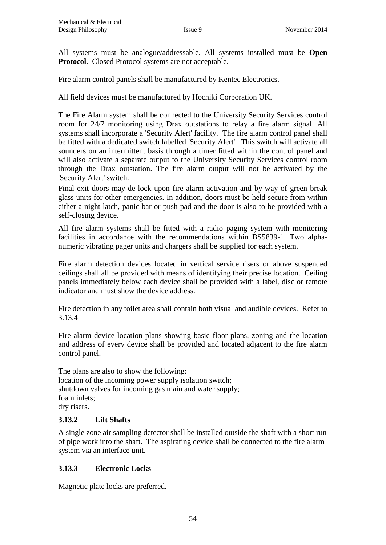All systems must be analogue/addressable. All systems installed must be **Open Protocol**. Closed Protocol systems are not acceptable.

Fire alarm control panels shall be manufactured by Kentec Electronics.

All field devices must be manufactured by Hochiki Corporation UK.

The Fire Alarm system shall be connected to the University Security Services control room for 24/7 monitoring using Drax outstations to relay a fire alarm signal. All systems shall incorporate a 'Security Alert' facility. The fire alarm control panel shall be fitted with a dedicated switch labelled 'Security Alert'. This switch will activate all sounders on an intermittent basis through a timer fitted within the control panel and will also activate a separate output to the University Security Services control room through the Drax outstation. The fire alarm output will not be activated by the 'Security Alert' switch.

Final exit doors may de-lock upon fire alarm activation and by way of green break glass units for other emergencies. In addition, doors must be held secure from within either a night latch, panic bar or push pad and the door is also to be provided with a self-closing device.

All fire alarm systems shall be fitted with a radio paging system with monitoring facilities in accordance with the recommendations within BS5839-1. Two alphanumeric vibrating pager units and chargers shall be supplied for each system.

Fire alarm detection devices located in vertical service risers or above suspended ceilings shall all be provided with means of identifying their precise location. Ceiling panels immediately below each device shall be provided with a label, disc or remote indicator and must show the device address.

Fire detection in any toilet area shall contain both visual and audible devices. Refer to 3.13.4

Fire alarm device location plans showing basic floor plans, zoning and the location and address of every device shall be provided and located adjacent to the fire alarm control panel.

The plans are also to show the following: location of the incoming power supply isolation switch; shutdown valves for incoming gas main and water supply; foam inlets; dry risers.

#### **3.13.2 Lift Shafts**

A single zone air sampling detector shall be installed outside the shaft with a short run of pipe work into the shaft. The aspirating device shall be connected to the fire alarm system via an interface unit.

#### **3.13.3 Electronic Locks**

Magnetic plate locks are preferred.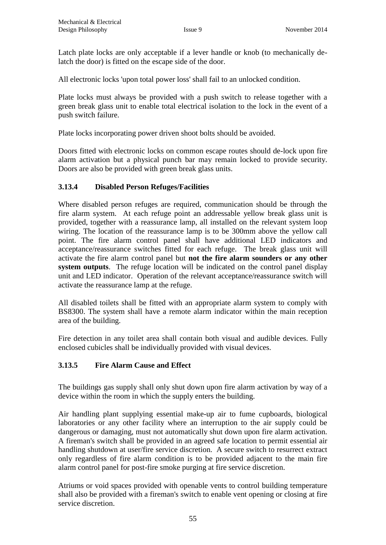Latch plate locks are only acceptable if a lever handle or knob (to mechanically delatch the door) is fitted on the escape side of the door.

All electronic locks 'upon total power loss' shall fail to an unlocked condition.

Plate locks must always be provided with a push switch to release together with a green break glass unit to enable total electrical isolation to the lock in the event of a push switch failure.

Plate locks incorporating power driven shoot bolts should be avoided.

Doors fitted with electronic locks on common escape routes should de-lock upon fire alarm activation but a physical punch bar may remain locked to provide security. Doors are also be provided with green break glass units.

#### **3.13.4 Disabled Person Refuges/Facilities**

Where disabled person refuges are required, communication should be through the fire alarm system. At each refuge point an addressable yellow break glass unit is provided, together with a reassurance lamp, all installed on the relevant system loop wiring. The location of the reassurance lamp is to be 300mm above the yellow call point. The fire alarm control panel shall have additional LED indicators and acceptance/reassurance switches fitted for each refuge. The break glass unit will activate the fire alarm control panel but **not the fire alarm sounders or any other system outputs**. The refuge location will be indicated on the control panel display unit and LED indicator. Operation of the relevant acceptance/reassurance switch will activate the reassurance lamp at the refuge.

All disabled toilets shall be fitted with an appropriate alarm system to comply with BS8300. The system shall have a remote alarm indicator within the main reception area of the building.

Fire detection in any toilet area shall contain both visual and audible devices. Fully enclosed cubicles shall be individually provided with visual devices.

#### **3.13.5 Fire Alarm Cause and Effect**

The buildings gas supply shall only shut down upon fire alarm activation by way of a device within the room in which the supply enters the building.

Air handling plant supplying essential make-up air to fume cupboards, biological laboratories or any other facility where an interruption to the air supply could be dangerous or damaging, must not automatically shut down upon fire alarm activation. A fireman's switch shall be provided in an agreed safe location to permit essential air handling shutdown at user/fire service discretion. A secure switch to resurrect extract only regardless of fire alarm condition is to be provided adjacent to the main fire alarm control panel for post-fire smoke purging at fire service discretion.

Atriums or void spaces provided with openable vents to control building temperature shall also be provided with a fireman's switch to enable vent opening or closing at fire service discretion.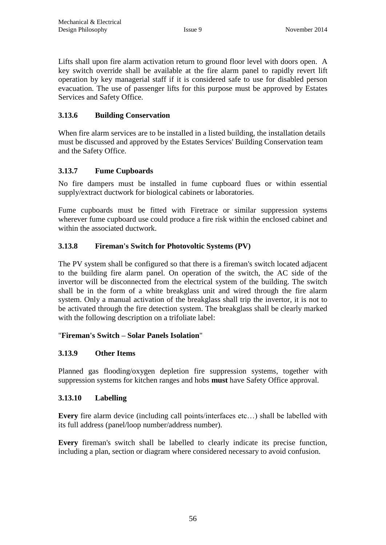Lifts shall upon fire alarm activation return to ground floor level with doors open. A key switch override shall be available at the fire alarm panel to rapidly revert lift operation by key managerial staff if it is considered safe to use for disabled person evacuation. The use of passenger lifts for this purpose must be approved by Estates Services and Safety Office.

#### **3.13.6 Building Conservation**

When fire alarm services are to be installed in a listed building, the installation details must be discussed and approved by the Estates Services' Building Conservation team and the Safety Office.

#### **3.13.7 Fume Cupboards**

No fire dampers must be installed in fume cupboard flues or within essential supply/extract ductwork for biological cabinets or laboratories.

Fume cupboards must be fitted with Firetrace or similar suppression systems wherever fume cupboard use could produce a fire risk within the enclosed cabinet and within the associated ductwork.

#### **3.13.8 Fireman's Switch for Photovoltic Systems (PV)**

The PV system shall be configured so that there is a fireman's switch located adjacent to the building fire alarm panel. On operation of the switch, the AC side of the invertor will be disconnected from the electrical system of the building. The switch shall be in the form of a white breakglass unit and wired through the fire alarm system. Only a manual activation of the breakglass shall trip the invertor, it is not to be activated through the fire detection system. The breakglass shall be clearly marked with the following description on a trifoliate label:

#### "**Fireman's Switch – Solar Panels Isolation**"

#### **3.13.9 Other Items**

Planned gas flooding/oxygen depletion fire suppression systems, together with suppression systems for kitchen ranges and hobs **must** have Safety Office approval.

#### **3.13.10 Labelling**

**Every** fire alarm device (including call points/interfaces etc…) shall be labelled with its full address (panel/loop number/address number).

**Every** fireman's switch shall be labelled to clearly indicate its precise function, including a plan, section or diagram where considered necessary to avoid confusion.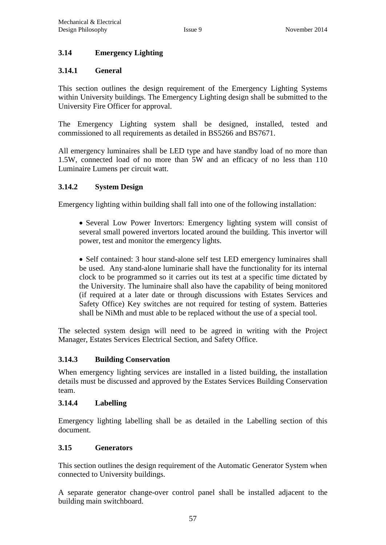#### **3.14 Emergency Lighting**

#### **3.14.1 General**

This section outlines the design requirement of the Emergency Lighting Systems within University buildings. The Emergency Lighting design shall be submitted to the University Fire Officer for approval.

The Emergency Lighting system shall be designed, installed, tested and commissioned to all requirements as detailed in BS5266 and BS7671.

All emergency luminaires shall be LED type and have standby load of no more than 1.5W, connected load of no more than 5W and an efficacy of no less than 110 Luminaire Lumens per circuit watt.

#### **3.14.2 System Design**

Emergency lighting within building shall fall into one of the following installation:

• Several Low Power Invertors: Emergency lighting system will consist of several small powered invertors located around the building. This invertor will power, test and monitor the emergency lights.

• Self contained: 3 hour stand-alone self test LED emergency luminaires shall be used. Any stand-alone luminarie shall have the functionality for its internal clock to be programmed so it carries out its test at a specific time dictated by the University. The luminaire shall also have the capability of being monitored (if required at a later date or through discussions with Estates Services and Safety Office) Key switches are not required for testing of system. Batteries shall be NiMh and must able to be replaced without the use of a special tool.

The selected system design will need to be agreed in writing with the Project Manager, Estates Services Electrical Section, and Safety Office.

#### **3.14.3 Building Conservation**

When emergency lighting services are installed in a listed building, the installation details must be discussed and approved by the Estates Services Building Conservation team.

#### **3.14.4 Labelling**

Emergency lighting labelling shall be as detailed in the Labelling section of this document.

#### **3.15 Generators**

This section outlines the design requirement of the Automatic Generator System when connected to University buildings.

A separate generator change-over control panel shall be installed adjacent to the building main switchboard.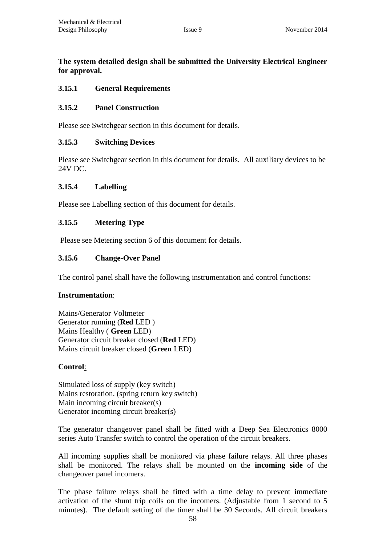#### **The system detailed design shall be submitted the University Electrical Engineer for approval.**

#### **3.15.1 General Requirements**

#### **3.15.2 Panel Construction**

Please see Switchgear section in this document for details.

#### **3.15.3 Switching Devices**

Please see Switchgear section in this document for details. All auxiliary devices to be 24V DC.

#### **3.15.4 Labelling**

Please see Labelling section of this document for details.

#### **3.15.5 Metering Type**

Please see Metering section 6 of this document for details.

#### **3.15.6 Change-Over Panel**

The control panel shall have the following instrumentation and control functions:

#### **Instrumentation**:

Mains/Generator Voltmeter Generator running (**Red** LED ) Mains Healthy ( **Green** LED) Generator circuit breaker closed (**Red** LED) Mains circuit breaker closed (**Green** LED)

#### **Control**:

Simulated loss of supply (key switch) Mains restoration. (spring return key switch) Main incoming circuit breaker(s) Generator incoming circuit breaker(s)

The generator changeover panel shall be fitted with a Deep Sea Electronics 8000 series Auto Transfer switch to control the operation of the circuit breakers.

All incoming supplies shall be monitored via phase failure relays. All three phases shall be monitored. The relays shall be mounted on the **incoming side** of the changeover panel incomers.

The phase failure relays shall be fitted with a time delay to prevent immediate activation of the shunt trip coils on the incomers. (Adjustable from 1 second to 5 minutes). The default setting of the timer shall be 30 Seconds. All circuit breakers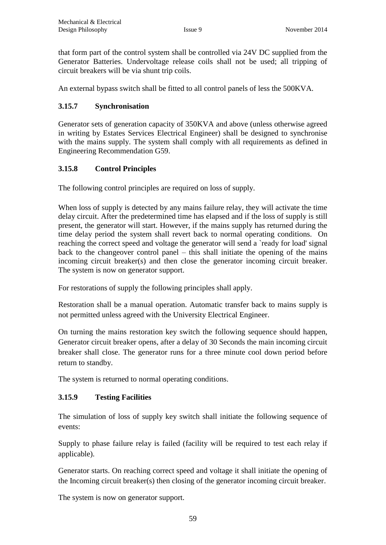that form part of the control system shall be controlled via 24V DC supplied from the Generator Batteries. Undervoltage release coils shall not be used; all tripping of circuit breakers will be via shunt trip coils.

An external bypass switch shall be fitted to all control panels of less the 500KVA.

#### **3.15.7 Synchronisation**

Generator sets of generation capacity of 350KVA and above (unless otherwise agreed in writing by Estates Services Electrical Engineer) shall be designed to synchronise with the mains supply. The system shall comply with all requirements as defined in Engineering Recommendation G59.

#### **3.15.8 Control Principles**

The following control principles are required on loss of supply.

When loss of supply is detected by any mains failure relay, they will activate the time delay circuit. After the predetermined time has elapsed and if the loss of supply is still present, the generator will start. However, if the mains supply has returned during the time delay period the system shall revert back to normal operating conditions. On reaching the correct speed and voltage the generator will send a 'ready for load' signal back to the changeover control panel – this shall initiate the opening of the mains incoming circuit breaker(s) and then close the generator incoming circuit breaker. The system is now on generator support.

For restorations of supply the following principles shall apply.

Restoration shall be a manual operation. Automatic transfer back to mains supply is not permitted unless agreed with the University Electrical Engineer.

On turning the mains restoration key switch the following sequence should happen, Generator circuit breaker opens, after a delay of 30 Seconds the main incoming circuit breaker shall close. The generator runs for a three minute cool down period before return to standby.

The system is returned to normal operating conditions.

#### **3.15.9 Testing Facilities**

The simulation of loss of supply key switch shall initiate the following sequence of events:

Supply to phase failure relay is failed (facility will be required to test each relay if applicable).

Generator starts. On reaching correct speed and voltage it shall initiate the opening of the Incoming circuit breaker(s) then closing of the generator incoming circuit breaker.

The system is now on generator support.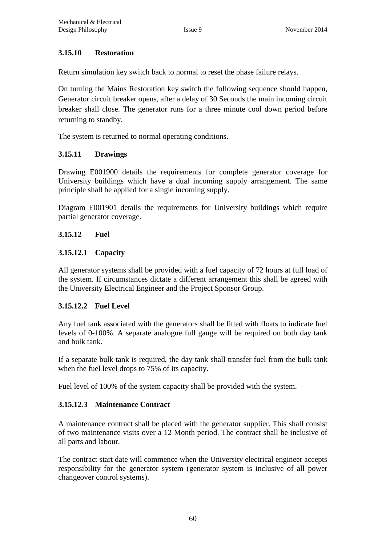#### **3.15.10 Restoration**

Return simulation key switch back to normal to reset the phase failure relays.

On turning the Mains Restoration key switch the following sequence should happen, Generator circuit breaker opens, after a delay of 30 Seconds the main incoming circuit breaker shall close. The generator runs for a three minute cool down period before returning to standby.

The system is returned to normal operating conditions.

#### **3.15.11 Drawings**

Drawing E001900 details the requirements for complete generator coverage for University buildings which have a dual incoming supply arrangement. The same principle shall be applied for a single incoming supply.

Diagram E001901 details the requirements for University buildings which require partial generator coverage.

#### **3.15.12 Fuel**

#### **3.15.12.1 Capacity**

All generator systems shall be provided with a fuel capacity of 72 hours at full load of the system. If circumstances dictate a different arrangement this shall be agreed with the University Electrical Engineer and the Project Sponsor Group.

#### **3.15.12.2 Fuel Level**

Any fuel tank associated with the generators shall be fitted with floats to indicate fuel levels of 0-100%. A separate analogue full gauge will be required on both day tank and bulk tank.

If a separate bulk tank is required, the day tank shall transfer fuel from the bulk tank when the fuel level drops to 75% of its capacity.

Fuel level of 100% of the system capacity shall be provided with the system.

#### **3.15.12.3 Maintenance Contract**

A maintenance contract shall be placed with the generator supplier. This shall consist of two maintenance visits over a 12 Month period. The contract shall be inclusive of all parts and labour.

The contract start date will commence when the University electrical engineer accepts responsibility for the generator system (generator system is inclusive of all power changeover control systems).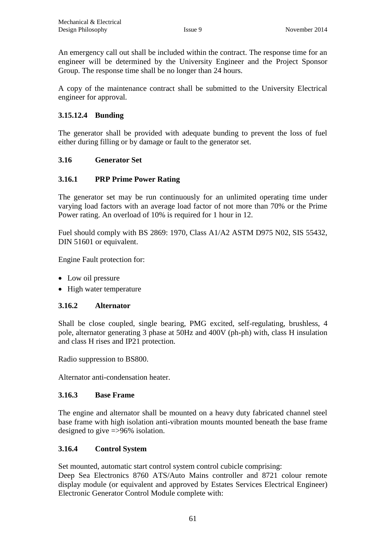An emergency call out shall be included within the contract. The response time for an engineer will be determined by the University Engineer and the Project Sponsor Group. The response time shall be no longer than 24 hours.

A copy of the maintenance contract shall be submitted to the University Electrical engineer for approval.

#### **3.15.12.4 Bunding**

The generator shall be provided with adequate bunding to prevent the loss of fuel either during filling or by damage or fault to the generator set.

#### **3.16 Generator Set**

#### **3.16.1 PRP Prime Power Rating**

The generator set may be run continuously for an unlimited operating time under varying load factors with an average load factor of not more than 70% or the Prime Power rating. An overload of 10% is required for 1 hour in 12.

Fuel should comply with BS 2869: 1970, Class A1/A2 ASTM D975 N02, SIS 55432, DIN 51601 or equivalent.

Engine Fault protection for:

- Low oil pressure
- High water temperature

#### **3.16.2 Alternator**

Shall be close coupled, single bearing, PMG excited, self-regulating, brushless, 4 pole, alternator generating 3 phase at 50Hz and 400V (ph-ph) with, class H insulation and class H rises and IP21 protection.

Radio suppression to BS800.

Alternator anti-condensation heater.

#### **3.16.3 Base Frame**

The engine and alternator shall be mounted on a heavy duty fabricated channel steel base frame with high isolation anti-vibration mounts mounted beneath the base frame designed to give =>96% isolation.

#### **3.16.4 Control System**

Set mounted, automatic start control system control cubicle comprising: Deep Sea Electronics 8760 ATS/Auto Mains controller and 8721 colour remote display module (or equivalent and approved by Estates Services Electrical Engineer) Electronic Generator Control Module complete with: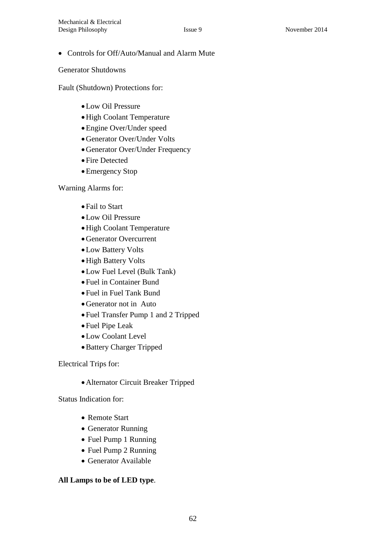#### Controls for Off/Auto/Manual and Alarm Mute

Generator Shutdowns

Fault (Shutdown) Protections for:

- Low Oil Pressure
- High Coolant Temperature
- Engine Over/Under speed
- Generator Over/Under Volts
- Generator Over/Under Frequency
- Fire Detected
- Emergency Stop

Warning Alarms for:

- Fail to Start
- Low Oil Pressure
- High Coolant Temperature
- Generator Overcurrent
- Low Battery Volts
- High Battery Volts
- Low Fuel Level (Bulk Tank)
- Fuel in Container Bund
- Fuel in Fuel Tank Bund
- Generator not in Auto
- Fuel Transfer Pump 1 and 2 Tripped
- Fuel Pipe Leak
- Low Coolant Level
- Battery Charger Tripped

Electrical Trips for:

Alternator Circuit Breaker Tripped

Status Indication for:

- Remote Start
- Generator Running
- Fuel Pump 1 Running
- Fuel Pump 2 Running
- Generator Available

#### **All Lamps to be of LED type**.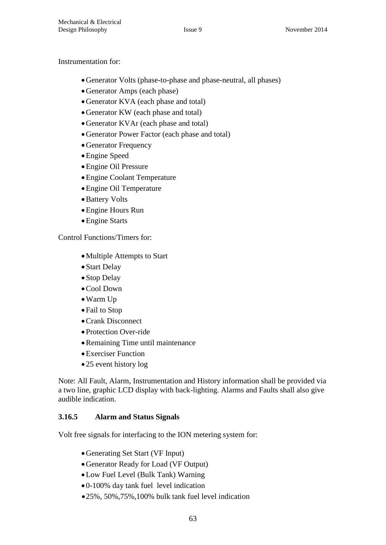#### Instrumentation for:

- Generator Volts (phase-to-phase and phase-neutral, all phases)
- Generator Amps (each phase)
- Generator KVA (each phase and total)
- Generator KW (each phase and total)
- Generator KVAr (each phase and total)
- Generator Power Factor (each phase and total)
- Generator Frequency
- Engine Speed
- Engine Oil Pressure
- Engine Coolant Temperature
- Engine Oil Temperature
- Battery Volts
- Engine Hours Run
- Engine Starts

Control Functions/Timers for:

- Multiple Attempts to Start
- Start Delay
- Stop Delay
- Cool Down
- Warm Up
- Fail to Stop
- Crank Disconnect
- Protection Over-ride
- Remaining Time until maintenance
- Exerciser Function
- 25 event history log

Note: All Fault, Alarm, Instrumentation and History information shall be provided via a two line, graphic LCD display with back-lighting. Alarms and Faults shall also give audible indication.

#### **3.16.5 Alarm and Status Signals**

Volt free signals for interfacing to the ION metering system for:

- Generating Set Start (VF Input)
- Generator Ready for Load (VF Output)
- Low Fuel Level (Bulk Tank) Warning
- 0-100% day tank fuel level indication
- 25%, 50%,75%,100% bulk tank fuel level indication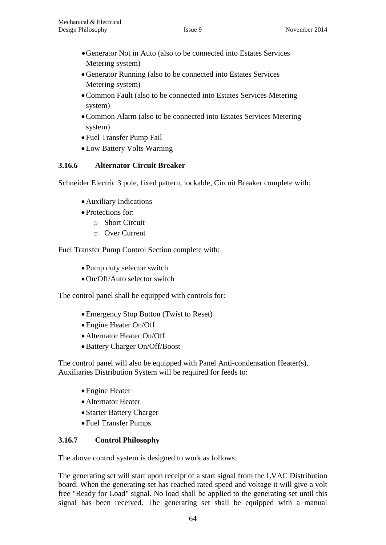- Generator Not in Auto (also to be connected into Estates Services Metering system)
- Generator Running (also to be connected into Estates Services Metering system)
- Common Fault (also to be connected into Estates Services Metering system)
- Common Alarm (also to be connected into Estates Services Metering system)
- Fuel Transfer Pump Fail
- Low Battery Volts Warning

#### **3.16.6 Alternator Circuit Breaker**

Schneider Electric 3 pole, fixed pattern, lockable, Circuit Breaker complete with:

- Auxiliary Indications
- Protections for:
	- o Short Circuit
	- o Over Current

Fuel Transfer Pump Control Section complete with:

- Pump duty selector switch
- On/Off/Auto selector switch

The control panel shall be equipped with controls for:

- Emergency Stop Button (Twist to Reset)
- Engine Heater On/Off
- Alternator Heater On/Off
- Battery Charger On/Off/Boost

The control panel will also be equipped with Panel Anti-condensation Heater(s). Auxiliaries Distribution System will be required for feeds to:

- Engine Heater
- Alternator Heater
- Starter Battery Charger
- Fuel Transfer Pumps

#### **3.16.7 Control Philosophy**

The above control system is designed to work as follows:

The generating set will start upon receipt of a start signal from the LVAC Distribution board. When the generating set has reached rated speed and voltage it will give a volt free "Ready for Load" signal. No load shall be applied to the generating set until this signal has been received. The generating set shall be equipped with a manual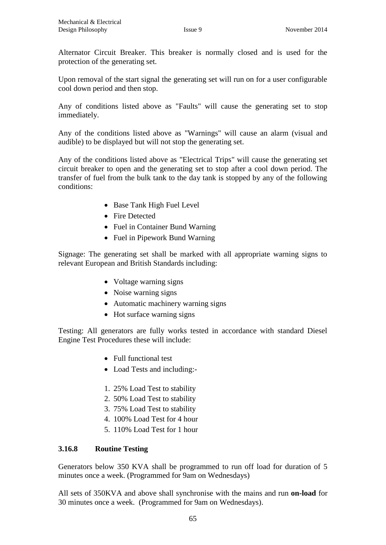Alternator Circuit Breaker. This breaker is normally closed and is used for the protection of the generating set.

Upon removal of the start signal the generating set will run on for a user configurable cool down period and then stop.

Any of conditions listed above as "Faults" will cause the generating set to stop immediately.

Any of the conditions listed above as "Warnings" will cause an alarm (visual and audible) to be displayed but will not stop the generating set.

Any of the conditions listed above as "Electrical Trips" will cause the generating set circuit breaker to open and the generating set to stop after a cool down period. The transfer of fuel from the bulk tank to the day tank is stopped by any of the following conditions:

- Base Tank High Fuel Level
- Fire Detected
- Fuel in Container Bund Warning
- Fuel in Pipework Bund Warning

Signage: The generating set shall be marked with all appropriate warning signs to relevant European and British Standards including:

- Voltage warning signs
- Noise warning signs
- Automatic machinery warning signs
- Hot surface warning signs

Testing: All generators are fully works tested in accordance with standard Diesel Engine Test Procedures these will include:

- Full functional test
- Load Tests and including:-
- 1. 25% Load Test to stability
- 2. 50% Load Test to stability
- 3. 75% Load Test to stability
- 4. 100% Load Test for 4 hour
- 5. 110% Load Test for 1 hour

#### **3.16.8 Routine Testing**

Generators below 350 KVA shall be programmed to run off load for duration of 5 minutes once a week. (Programmed for 9am on Wednesdays)

All sets of 350KVA and above shall synchronise with the mains and run **on-load** for 30 minutes once a week. (Programmed for 9am on Wednesdays).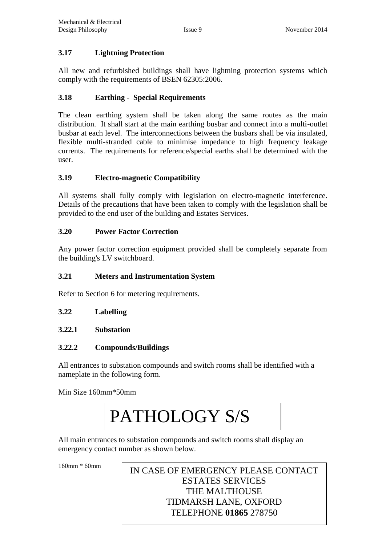#### **3.17 Lightning Protection**

All new and refurbished buildings shall have lightning protection systems which comply with the requirements of BSEN 62305:2006.

#### **3.18 Earthing - Special Requirements**

The clean earthing system shall be taken along the same routes as the main distribution. It shall start at the main earthing busbar and connect into a multi-outlet busbar at each level. The interconnections between the busbars shall be via insulated, flexible multi-stranded cable to minimise impedance to high frequency leakage currents. The requirements for reference/special earths shall be determined with the user.

#### **3.19 Electro-magnetic Compatibility**

All systems shall fully comply with legislation on electro-magnetic interference. Details of the precautions that have been taken to comply with the legislation shall be provided to the end user of the building and Estates Services.

#### **3.20 Power Factor Correction**

Any power factor correction equipment provided shall be completely separate from the building's LV switchboard.

#### **3.21 Meters and Instrumentation System**

Refer to Section 6 for metering requirements.

#### **3.22 Labelling**

**3.22.1 Substation**

#### **3.22.2 Compounds/Buildings**

All entrances to substation compounds and switch rooms shall be identified with a nameplate in the following form.

Min Size 160mm\*50mm

## PATHOLOGY S/S

All main entrances to substation compounds and switch rooms shall display an emergency contact number as shown below.

 $\overline{a}$ 160mm \* 60mm IN CASE OF EMERGENCY PLEASE CONTACT ESTATES SERVICES THE MALTHOUSE TIDMARSH LANE, OXFORD TELEPHONE **01865** 278750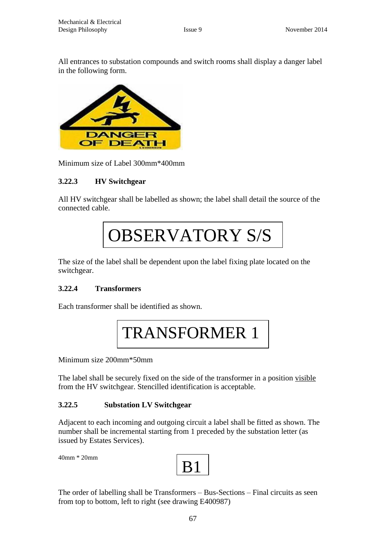All entrances to substation compounds and switch rooms shall display a danger label in the following form.



Minimum size of Label 300mm\*400mm

#### **3.22.3 HV Switchgear**

All HV switchgear shall be labelled as shown; the label shall detail the source of the connected cable.

# OBSERVATORY S/S

The size of the label shall be dependent upon the label fixing plate located on the switchgear.

#### **3.22.4 Transformers**

Each transformer shall be identified as shown.

TRANSFORMER 1

Minimum size 200mm\*50mm

The label shall be securely fixed on the side of the transformer in a position visible from the HV switchgear. Stencilled identification is acceptable.

#### **3.22.5 Substation LV Switchgear**

Adjacent to each incoming and outgoing circuit a label shall be fitted as shown. The number shall be incremental starting from 1 preceded by the substation letter (as issued by Estates Services).

40mm \* 20mm

B1

The order of labelling shall be Transformers – Bus-Sections – Final circuits as seen from top to bottom, left to right (see drawing E400987)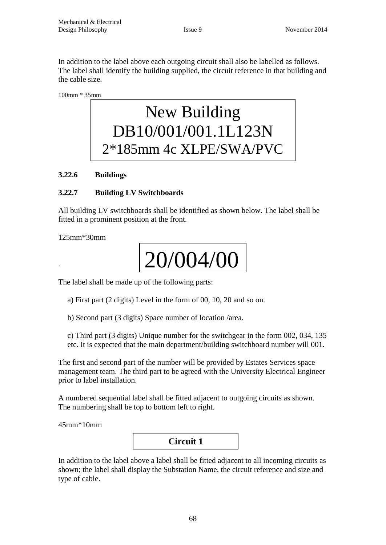In addition to the label above each outgoing circuit shall also be labelled as follows. The label shall identify the building supplied, the circuit reference in that building and the cable size.

100mm \* 35mm

## New Building DB10/001/001.1L123N 2\*185mm 4c XLPE/SWA/PVC

#### **3.22.6 Buildings**

#### **3.22.7 Building LV Switchboards**

All building LV switchboards shall be identified as shown below. The label shall be fitted in a prominent position at the front.

125mm\*30mm

.

# 20/004/00

The label shall be made up of the following parts:<br> $\sum_{n=1}^{\infty}$   $\binom{n}{n}$   $\binom{n}{n}$   $\binom{n}{n}$   $\binom{n}{n}$   $\binom{n}{n}$   $\binom{n}{n}$   $\binom{n}{n}$   $\binom{n}{n}$   $\binom{n}{n}$ 

a) First part (2 digits) Level in the form of 00, 10, 20 and so on.

b) Second part (3 digits) Space number of location /area.

c) Third part (3 digits) Unique number for the switchgear in the form 002, 034, 135 etc. It is expected that the main department/building switchboard number will 001.

The first and second part of the number will be provided by Estates Services space management team. The third part to be agreed with the University Electrical Engineer prior to label installation.

A numbered sequential label shall be fitted adjacent to outgoing circuits as shown. The numbering shall be top to bottom left to right.

45mm\*10mm



In addition to the label above a label shall be fitted adjacent to all incoming circuits as shown; the label shall display the Substation Name, the circuit reference and size and type of cable.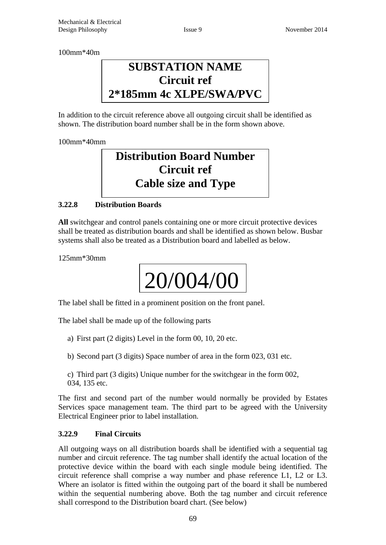100mm\*40m

### **SUBSTATION NAME Circuit ref 2\*185mm 4c XLPE/SWA/PVC**

In addition to the circuit reference above all outgoing circuit shall be identified as shown. The distribution board number shall be in the form shown above.

100mm\*40mm

## **Distribution Board Number Circuit ref Cable size and Type**

#### **3.22.8 Distribution Boards**

**All** switchgear and control panels containing one or more circuit protective devices shall be treated as distribution boards and shall be identified as shown below. Busbar systems shall also be treated as a Distribution board and labelled as below.

125mm\*30mm



The label shall be fitted in a prominent position on the front panel.<br>The label shall be used as a fitter following parts.

The label shall be made up of the following parts

- a) First part (2 digits) Level in the form 00, 10, 20 etc.
- b) Second part (3 digits) Space number of area in the form 023, 031 etc.

c) Third part (3 digits) Unique number for the switchgear in the form 002, 034, 135 etc.

The first and second part of the number would normally be provided by Estates Services space management team. The third part to be agreed with the University Electrical Engineer prior to label installation.

#### **3.22.9 Final Circuits**

All outgoing ways on all distribution boards shall be identified with a sequential tag number and circuit reference. The tag number shall identify the actual location of the protective device within the board with each single module being identified. The circuit reference shall comprise a way number and phase reference L1, L2 or L3. Where an isolator is fitted within the outgoing part of the board it shall be numbered within the sequential numbering above. Both the tag number and circuit reference shall correspond to the Distribution board chart. (See below)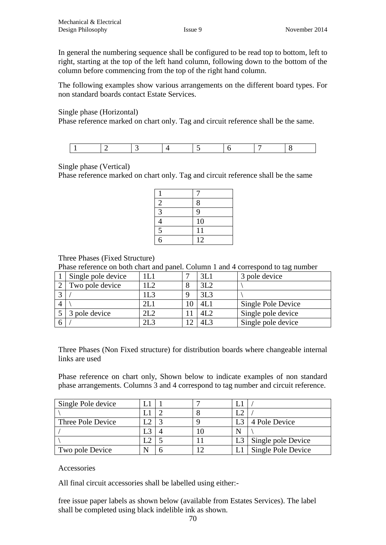In general the numbering sequence shall be configured to be read top to bottom, left to right, starting at the top of the left hand column, following down to the bottom of the column before commencing from the top of the right hand column.

The following examples show various arrangements on the different board types. For non standard boards contact Estate Services.

Single phase (Horizontal)

Phase reference marked on chart only. Tag and circuit reference shall be the same.

Single phase (Vertical)

Phase reference marked on chart only. Tag and circuit reference shall be the same

| $\overline{c}$ | 8  |
|----------------|----|
| 3              | 9  |
|                | 10 |
| $\overline{5}$ | 11 |
| 6              | 12 |

#### Three Phases (Fixed Structure)

Phase reference on both chart and panel. Column 1 and 4 correspond to tag number

| Single pole device |      |        | 3L1             | 3 pole device      |
|--------------------|------|--------|-----------------|--------------------|
| Two pole device    | LL2  | Ω<br>Ω | 3L2             |                    |
|                    | 1L3  |        | 3L <sub>3</sub> |                    |
|                    | 21 I |        | 4L              | Single Pole Device |
| 3 pole device      | 2L2  |        | 4L2             | Single pole device |
|                    | 2L3  |        | 4L3             | Single pole device |

Three Phases (Non Fixed structure) for distribution boards where changeable internal links are used

Phase reference on chart only, Shown below to indicate examples of non standard phase arrangements. Columns 3 and 4 correspond to tag number and circuit reference.

| Single Pole device |   |  |                    |
|--------------------|---|--|--------------------|
|                    |   |  |                    |
| Three Pole Device  |   |  | 4 Pole Device      |
|                    |   |  |                    |
|                    |   |  | Single pole Device |
| Two pole Device    | N |  | Single Pole Device |

Accessories

All final circuit accessories shall be labelled using either:-

free issue paper labels as shown below (available from Estates Services). The label shall be completed using black indelible ink as shown.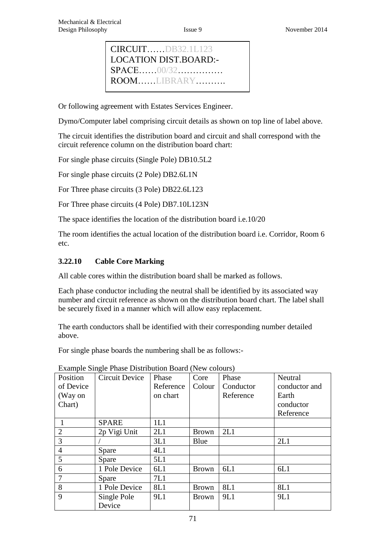Or following agreement with Estates Services Engineer.

Dymo/Computer label comprising circuit details as shown on top line of label above.

The circuit identifies the distribution board and circuit and shall correspond with the circuit reference column on the distribution board chart:

For single phase circuits (Single Pole) DB10.5L2

For single phase circuits (2 Pole) DB2.6L1N

For Three phase circuits (3 Pole) DB22.6L123

For Three phase circuits (4 Pole) DB7.10L123N

The space identifies the location of the distribution board i.e.10/20

The room identifies the actual location of the distribution board i.e. Corridor, Room 6 etc.

#### **3.22.10 Cable Core Marking**

All cable cores within the distribution board shall be marked as follows.

Each phase conductor including the neutral shall be identified by its associated way number and circuit reference as shown on the distribution board chart. The label shall be securely fixed in a manner which will allow easy replacement.

The earth conductors shall be identified with their corresponding number detailed above.

For single phase boards the numbering shall be as follows:-

| Position       | $P_{\text{min}}$ but $P_{\text{max}}$ between $P_{\text{max}}$ (Fig. colomb)<br><b>Circuit Device</b> | Phase      | Core         | Phase     | Neutral       |
|----------------|-------------------------------------------------------------------------------------------------------|------------|--------------|-----------|---------------|
| of Device      |                                                                                                       | Reference  | Colour       | Conductor | conductor and |
| (Way on        |                                                                                                       | on chart   |              | Reference | Earth         |
| Chart)         |                                                                                                       |            |              |           | conductor     |
|                |                                                                                                       |            |              |           | Reference     |
|                | <b>SPARE</b>                                                                                          | 1L1        |              |           |               |
| $\overline{2}$ | 2p Vigi Unit                                                                                          | 2L1        | <b>Brown</b> | 2L1       |               |
| 3              |                                                                                                       | 3L1        | Blue         |           | 2L1           |
| $\overline{4}$ | Spare                                                                                                 | 4L1        |              |           |               |
| 5              | Spare                                                                                                 | 5L1        |              |           |               |
| 6              | 1 Pole Device                                                                                         | 6L1        | <b>Brown</b> | 6L1       | 6L1           |
| $\overline{7}$ | Spare                                                                                                 | 7L1        |              |           |               |
| 8              | 1 Pole Device                                                                                         | 8L1        | <b>Brown</b> | 8L1       | 8L1           |
| $\mathbf Q$    | Single Pole                                                                                           | <b>9L1</b> | <b>Brown</b> | 9L1       | 9L1           |
|                | Device                                                                                                |            |              |           |               |

Example Single Phase Distribution Board (New colours)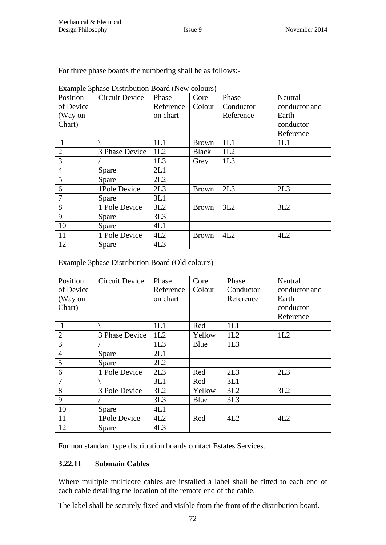| For three phase boards the numbering shall be as follows:- |  |  |
|------------------------------------------------------------|--|--|
|------------------------------------------------------------|--|--|

| Position       | Circuit Device | Phase     | Core         | Phase     | Neutral       |
|----------------|----------------|-----------|--------------|-----------|---------------|
| of Device      |                | Reference | Colour       | Conductor | conductor and |
| (Way on        |                | on chart  |              | Reference | Earth         |
| Chart)         |                |           |              |           | conductor     |
|                |                |           |              |           | Reference     |
| 1              |                | 1L1       | <b>Brown</b> | 1L1       | 1L1           |
| $\overline{2}$ | 3 Phase Device | 1L2       | <b>Black</b> | 1L2       |               |
| 3              |                | 1L3       | Grey         | 1L3       |               |
| $\overline{4}$ | Spare          | 2L1       |              |           |               |
| 5              | Spare          | 2L2       |              |           |               |
| 6              | 1Pole Device   | 2L3       | <b>Brown</b> | 2L3       | 2L3           |
| 7              | Spare          | 3L1       |              |           |               |
| 8              | 1 Pole Device  | 3L2       | <b>Brown</b> | 3L2       | 3L2           |
| 9              | Spare          | 3L3       |              |           |               |
| 10             | Spare          | 4L1       |              |           |               |
| 11             | 1 Pole Device  | 4L2       | <b>Brown</b> | 4L2       | 4L2           |
| 12             | Spare          | 4L3       |              |           |               |

Example 3phase Distribution Board (New colours)

Example 3phase Distribution Board (Old colours)

| Position       | <b>Circuit Device</b> | Phase     | Core   | Phase     | Neutral       |
|----------------|-----------------------|-----------|--------|-----------|---------------|
| of Device      |                       | Reference | Colour | Conductor | conductor and |
| (Way on        |                       | on chart  |        | Reference | Earth         |
| Chart)         |                       |           |        |           | conductor     |
|                |                       |           |        |           | Reference     |
|                |                       | 1L1       | Red    | 1L1       |               |
| $\overline{2}$ | 3 Phase Device        | 1L2       | Yellow | 1L2       | 1L2           |
| 3              |                       | 1L3       | Blue   | 1L3       |               |
| $\overline{4}$ | Spare                 | 2L1       |        |           |               |
| 5              | Spare                 | 2L2       |        |           |               |
| 6              | 1 Pole Device         | 2L3       | Red    | 2L3       | 2L3           |
| 7              |                       | 3L1       | Red    | 3L1       |               |
| 8              | 3 Pole Device         | 3L2       | Yellow | 3L2       | 3L2           |
| 9              |                       | 3L3       | Blue   | 3L3       |               |
| 10             | Spare                 | 4L1       |        |           |               |
| 11             | 1Pole Device          | 4L2       | Red    | 4L2       | 4L2           |
| 12             | Spare                 | 4L3       |        |           |               |

For non standard type distribution boards contact Estates Services.

#### **3.22.11 Submain Cables**

Where multiple multicore cables are installed a label shall be fitted to each end of each cable detailing the location of the remote end of the cable.

The label shall be securely fixed and visible from the front of the distribution board.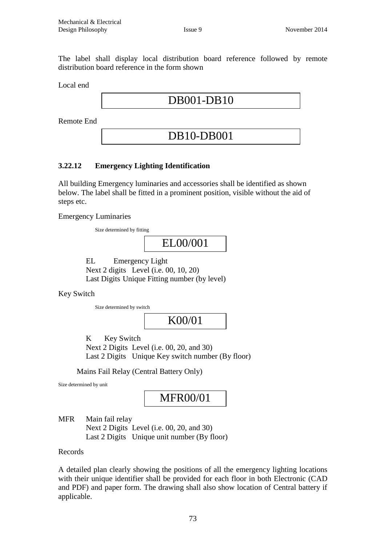The label shall display local distribution board reference followed by remote distribution board reference in the form shown

Local end

DB001-DB10

Remote End

# DB10-DB001

## **3.22.12 Emergency Lighting Identification**

All building Emergency luminaries and accessories shall be identified as shown below. The label shall be fitted in a prominent position, visible without the aid of steps etc.

Emergency Luminaries

Size determined by fitting

EL00/001

EL Emergency Light Next 2 digits Level (i.e. 00, 10, 20) Last Digits Unique Fitting number (by level)

Key Switch

Size determined by switch

K00/01

K Key Switch Next 2 Digits Level (i.e. 00, 20, and 30) Last 2 Digits Unique Key switch number (By floor)

Mains Fail Relay (Central Battery Only)

Size determined by unit

# MFR00/01

MFR Main fail relay Next 2 Digits Level (i.e. 00, 20, and 30) Last 2 Digits Unique unit number (By floor)

Records

A detailed plan clearly showing the positions of all the emergency lighting locations with their unique identifier shall be provided for each floor in both Electronic (CAD and PDF) and paper form. The drawing shall also show location of Central battery if applicable.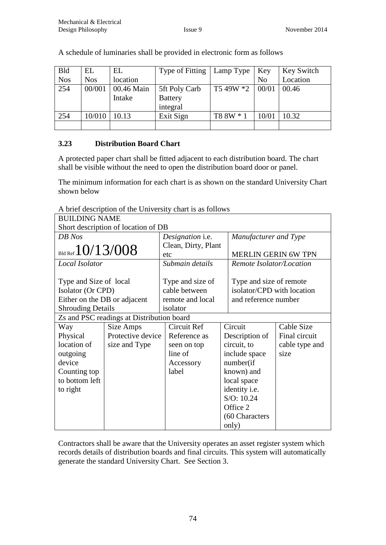| <b>Bld</b> | EL         | EL         | Type of Fitting | Lamp Type | Key            | Key Switch |
|------------|------------|------------|-----------------|-----------|----------------|------------|
| <b>Nos</b> | <b>Nos</b> | location   |                 |           | N <sub>o</sub> | Location   |
| 254        | 00/001     | 00.46 Main | 5ft Poly Carb   | T5 49W *2 | 00/01          | 00.46      |
|            |            | Intake     | <b>Battery</b>  |           |                |            |
|            |            |            | integral        |           |                |            |
| 254        | 10/010     | 10.13      | Exit Sign       | T8 8W * 1 | 10/01          | 10.32      |
|            |            |            |                 |           |                |            |

A schedule of luminaries shall be provided in electronic form as follows

## **3.23 Distribution Board Chart**

A protected paper chart shall be fitted adjacent to each distribution board. The chart shall be visible without the need to open the distribution board door or panel.

The minimum information for each chart is as shown on the standard University Chart shown below

A brief description of the University chart is as follows

| <b>BUILDING NAME</b>                |                                           |                         |                  |                       |                            |                |
|-------------------------------------|-------------------------------------------|-------------------------|------------------|-----------------------|----------------------------|----------------|
| Short description of location of DB |                                           |                         |                  |                       |                            |                |
| DB Nos                              |                                           | Designation <i>i.e.</i> |                  | Manufacturer and Type |                            |                |
|                                     |                                           | Clean, Dirty, Plant     |                  |                       |                            |                |
| Bld Ref $10/13/008$                 |                                           |                         | etc              |                       | <b>MERLIN GERIN 6W TPN</b> |                |
| Local Isolator                      |                                           |                         | Submain details  |                       | Remote Isolator/Location   |                |
|                                     |                                           |                         |                  |                       |                            |                |
| Type and Size of local              |                                           |                         | Type and size of |                       | Type and size of remote    |                |
| Isolator (Or CPD)                   |                                           |                         | cable between    |                       | isolator/CPD with location |                |
| Either on the DB or adjacent        |                                           |                         | remote and local |                       | and reference number       |                |
| <b>Shrouding Details</b>            |                                           |                         | isolator         |                       |                            |                |
|                                     | Zs and PSC readings at Distribution board |                         |                  |                       |                            |                |
| Way                                 | Size Amps                                 |                         | Circuit Ref      |                       | Circuit                    | Cable Size     |
| Physical                            | Protective device                         |                         | Reference as     |                       | Description of             | Final circuit  |
| location of                         | size and Type                             |                         | seen on top      | circuit, to           |                            | cable type and |
| outgoing                            |                                           |                         | line of          |                       | include space              | size           |
| device                              |                                           |                         | Accessory        | number(if             |                            |                |
| Counting top                        |                                           |                         | label            |                       | known) and                 |                |
| to bottom left                      |                                           |                         |                  |                       | local space                |                |
| to right                            |                                           |                         |                  |                       | identity i.e.              |                |
|                                     |                                           |                         |                  |                       | S/O: 10.24                 |                |
|                                     |                                           |                         |                  |                       | Office 2                   |                |
|                                     |                                           |                         |                  |                       | (60 Characters             |                |
|                                     |                                           |                         |                  |                       | only)                      |                |

Contractors shall be aware that the University operates an asset register system which records details of distribution boards and final circuits. This system will automatically generate the standard University Chart. See Section 3.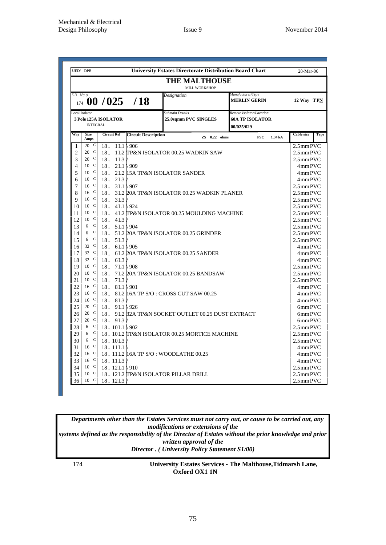|               | UED/ DPB                                                              |     |                         |                                               | <b>University Estates Directorate Distribution Board Chart</b> |                                                                  | 28-Mar-06                 |  |  |
|---------------|-----------------------------------------------------------------------|-----|-------------------------|-----------------------------------------------|----------------------------------------------------------------|------------------------------------------------------------------|---------------------------|--|--|
|               | <b>THE MALTHOUSE</b><br>MILL WORKSHOP                                 |     |                         |                                               |                                                                |                                                                  |                           |  |  |
| DB Nos<br>174 |                                                                       |     |                         | 00/025/18                                     | Designation                                                    | Manufacturer/Type<br><b>MERLIN GERIN</b>                         | 12 Way TPN                |  |  |
|               | <b>Local Isolator</b><br>3 Pole 125A ISOLATOR<br><b>INTEGRAL</b>      |     |                         |                                               | Submain Details<br>25.0sqmm PVC SINGLES                        | Remote Isolator/Location<br><b>60A TP ISOLATOR</b><br>00/025/029 |                           |  |  |
| Way           | <b>Size</b><br>Amps                                                   |     | <b>Circuit Ref</b>      | <b>Circuit Description</b>                    | $\mathbf{ZS}$ 0.22 ohms                                        | <b>PSC</b><br>1.34 kA                                            | <b>Cable size</b><br>Type |  |  |
| 1             | $\mathbf C$<br>20                                                     | 18. |                         | $1L1 \mid 906$                                |                                                                |                                                                  | 2.5mm PVC                 |  |  |
| 2             | $\mathbf C$<br>20                                                     | 18. |                         |                                               | 1 L2 TP&N ISOLATOR 00.25 WADKIN SAW                            |                                                                  | 2.5mm PVC                 |  |  |
| 3             | $\mathbf C$<br>20                                                     | 18. | 1 <sub>L3</sub>         |                                               |                                                                |                                                                  | $2.5$ mm PVC              |  |  |
| 4             | $\mathsf{C}$<br>10                                                    |     | 18. 2L1                 | $\backslash$ 909                              |                                                                |                                                                  | 4mm PVC                   |  |  |
| 5             | $\mathsf{C}$<br>10                                                    |     |                         |                                               | 18. 2L2 15A TP&N ISOLATOR SANDER                               |                                                                  | 4mm PVC                   |  |  |
| 6             | $\mathbf C$<br>10                                                     |     | 18. 2L3                 |                                               |                                                                |                                                                  | 4mm PVC                   |  |  |
| 7             | $16$ C                                                                |     | 18. $3L1 \mid 907$      |                                               |                                                                |                                                                  | $2.5$ mm PVC              |  |  |
| 8             | C<br>16                                                               |     |                         |                                               | 18. 3L2 20A TP&N ISOLATOR 00.25 WADKIN PLANER                  |                                                                  | $2.5$ mm PVC              |  |  |
| 9             | $\mathbf C$<br>16                                                     |     | 18. 3L3                 |                                               |                                                                |                                                                  | $2.5$ mm PVC              |  |  |
| 10            | 10<br><sub>c</sub>                                                    |     | 18. $4L1 \setminus 924$ |                                               | $2.5$ mm PVC                                                   |                                                                  |                           |  |  |
| 11            | $\mathbf{C}$<br>10                                                    |     |                         |                                               | 18. 4L2 TP&N ISOLATOR 00.25 MOULDING MACHINE                   |                                                                  |                           |  |  |
| 12            | $\mathbf C$<br>10                                                     |     | 18. 41.3                |                                               | 2.5 mm PVC                                                     |                                                                  |                           |  |  |
| 13            | $\mathbf C$<br>6                                                      |     | 18. $5L1 \mid 904$      |                                               | $2.5$ mm PVC                                                   |                                                                  |                           |  |  |
| 14            | $\mathbf C$<br>6                                                      |     |                         |                                               | 18. 5L2 20A TP&N ISOLATOR 00.25 GRINDER<br>$2.5$ mm PVC        |                                                                  |                           |  |  |
| 15            | $\mathbf C$<br>6                                                      | 18. | 5L3                     | $2.5$ mm PVC                                  |                                                                |                                                                  |                           |  |  |
| 16            | $\mathbf C$<br>32                                                     |     | 18. $6L1 \mid 905$      | 4mm PVC                                       |                                                                |                                                                  |                           |  |  |
| 17            | C<br>32                                                               | 18. |                         | 6L2 20A TP&N ISOLATOR 00.25 SANDER<br>4mm PVC |                                                                |                                                                  |                           |  |  |
| 18            | $\mathbf{C}$<br>32                                                    |     | 18.6L3/                 | 4mm PVC                                       |                                                                |                                                                  |                           |  |  |
| 19            | 10 <sup>C</sup>                                                       | 18. | 7L1                     | $\sqrt{908}$<br>2.5mm PVC                     |                                                                |                                                                  |                           |  |  |
| 20            | 10<br>$\mathbf C$                                                     | 18. |                         |                                               | 7L2 20A TP&N ISOLATOR 00.25 BANDSAW<br>$2.5$ mm PVC            |                                                                  |                           |  |  |
| 21            | 10<br>$\mathbf C$                                                     | 18. | 7L3                     |                                               |                                                                |                                                                  | $2.5$ mm PVC              |  |  |
| 22            | 16 <sup>C</sup>                                                       | 18. |                         | $8L1 \setminus 901$                           |                                                                |                                                                  | 4mm PVC                   |  |  |
| 23            | $\mathbf{C}$<br>16                                                    |     |                         |                                               | 18. 8L2 16A TP S/O: CROSS CUT SAW 00.25                        |                                                                  | 4mm PVC                   |  |  |
| 24            | $\mathbf C$<br>16                                                     |     | 18. 81.3                |                                               |                                                                |                                                                  | 4mm PVC                   |  |  |
| 25            | 20<br>C                                                               |     | 18. 9L1                 | $\sqrt{926}$                                  |                                                                |                                                                  | 6mm PVC                   |  |  |
| 26            | $\mathbf C$<br>20                                                     |     |                         |                                               | 18. 9L2 32A TP&N SOCKET OUTLET 00.25 DUST EXTRACT              |                                                                  | 6mm PVC                   |  |  |
| 27            | $\mathbf C$<br>20                                                     |     | 18.9L3                  |                                               |                                                                |                                                                  | 6mm PVC                   |  |  |
| 28            | $\mathbf C$<br>6                                                      |     | 18.10L1\902             |                                               |                                                                |                                                                  | 2.5mm PVC                 |  |  |
| 29            | $\mathbf C$<br>6                                                      |     |                         |                                               | 18. 10L2 TP&N ISOLATOR 00.25 MORTICE MACHINE                   |                                                                  | $2.5$ mm PVC              |  |  |
| 30            | $\mathbf C$<br>6                                                      |     | 18.10L3                 |                                               |                                                                |                                                                  | 2.5mmPVC                  |  |  |
| 31            | $\mathbf C$<br>16                                                     |     | 18.11L1                 |                                               |                                                                |                                                                  | 4mm PVC                   |  |  |
| 32            | $\mathbf C$<br>16                                                     |     |                         |                                               | 18. 11 L2 16A TP S/O: WOODLATHE 00.25                          |                                                                  | 4mm PVC                   |  |  |
| 33            | C<br>16                                                               |     | 18.11L3/                |                                               |                                                                |                                                                  | 4mm PVC                   |  |  |
| 34            | 10 <sup>C</sup>                                                       |     | 18.12L1\910             |                                               |                                                                |                                                                  | $2.5$ mm PVC              |  |  |
| 35            | $\mathbf C$<br>10<br>18. 12L2 TP&N ISOLATOR PILLAR DRILL<br>2.5mm PVC |     |                         |                                               |                                                                |                                                                  |                           |  |  |
| 36            | $\mathbf{C}$<br>10                                                    |     | 18.12L3                 |                                               |                                                                |                                                                  | 2.5mmPVC                  |  |  |

Departments other than the Estates Services must not carry out, or cause to be carried out, any *modifications or extensions of the* prior *modifications or extensions of the Director . ( University Policy Statement S1/00) systems defined as the responsibility of the Director of Estates without the prior knowledge and prior*  **written approval of the** *Director . ( University Policy Statement S1/00)*

174 **University Estates Services - The Malthouse,Tidmarsh Lane, Oxford OX1 1N**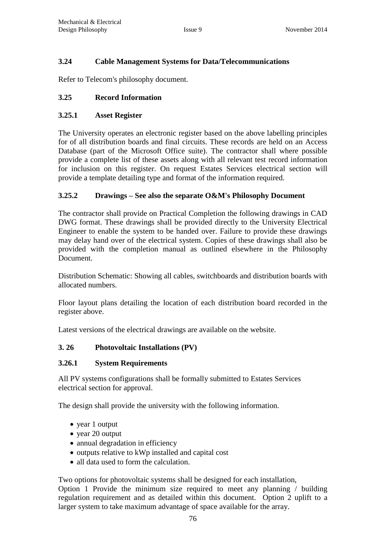## **3.24 Cable Management Systems for Data/Telecommunications**

Refer to Telecom's philosophy document.

## **3.25 Record Information**

#### **3.25.1 Asset Register**

The University operates an electronic register based on the above labelling principles for of all distribution boards and final circuits. These records are held on an Access Database (part of the Microsoft Office suite). The contractor shall where possible provide a complete list of these assets along with all relevant test record information for inclusion on this register. On request Estates Services electrical section will provide a template detailing type and format of the information required.

## **3.25.2 Drawings – See also the separate O&M's Philosophy Document**

The contractor shall provide on Practical Completion the following drawings in CAD DWG format. These drawings shall be provided directly to the University Electrical Engineer to enable the system to be handed over. Failure to provide these drawings may delay hand over of the electrical system. Copies of these drawings shall also be provided with the completion manual as outlined elsewhere in the Philosophy Document.

Distribution Schematic: Showing all cables, switchboards and distribution boards with allocated numbers.

Floor layout plans detailing the location of each distribution board recorded in the register above.

Latest versions of the electrical drawings are available on the website.

# **3. 26 Photovoltaic Installations (PV)**

#### **3.26.1 System Requirements**

All PV systems configurations shall be formally submitted to Estates Services electrical section for approval.

The design shall provide the university with the following information.

- year 1 output
- year 20 output
- annual degradation in efficiency
- outputs relative to kWp installed and capital cost
- all data used to form the calculation.

Two options for photovoltaic systems shall be designed for each installation,

Option 1 Provide the minimum size required to meet any planning / building regulation requirement and as detailed within this document. Option 2 uplift to a larger system to take maximum advantage of space available for the array.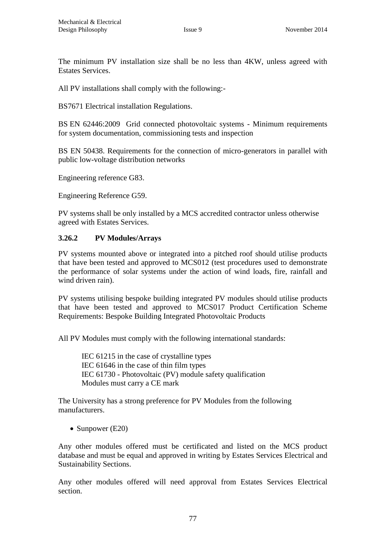The minimum PV installation size shall be no less than 4KW, unless agreed with Estates Services.

All PV installations shall comply with the following:-

BS7671 Electrical installation Regulations.

BS EN 62446:2009 Grid connected photovoltaic systems - Minimum requirements for system documentation, commissioning tests and inspection

BS EN 50438. Requirements for the connection of micro-generators in parallel with public low-voltage distribution networks

Engineering reference G83.

Engineering Reference G59.

PV systems shall be only installed by a MCS accredited contractor unless otherwise agreed with Estates Services.

#### **3.26.2 PV Modules/Arrays**

PV systems mounted above or integrated into a pitched roof should utilise products that have been tested and approved to MCS012 (test procedures used to demonstrate the performance of solar systems under the action of wind loads, fire, rainfall and wind driven rain).

PV systems utilising bespoke building integrated PV modules should utilise products that have been tested and approved to MCS017 Product Certification Scheme Requirements: Bespoke Building Integrated Photovoltaic Products

All PV Modules must comply with the following international standards:

IEC 61215 in the case of crystalline types IEC 61646 in the case of thin film types IEC 61730 - Photovoltaic (PV) module safety qualification Modules must carry a CE mark

The University has a strong preference for PV Modules from the following manufacturers.

• Sunpower  $(E20)$ 

Any other modules offered must be certificated and listed on the MCS product database and must be equal and approved in writing by Estates Services Electrical and Sustainability Sections.

Any other modules offered will need approval from Estates Services Electrical section.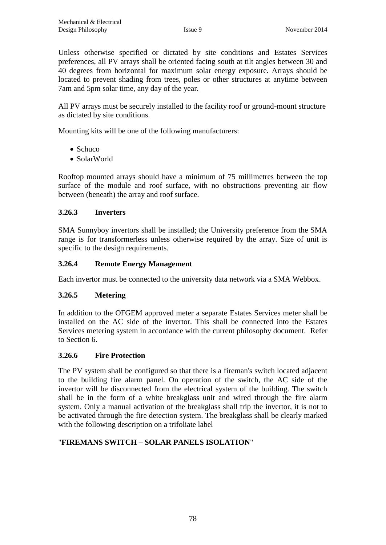Unless otherwise specified or dictated by site conditions and Estates Services preferences, all PV arrays shall be oriented facing south at tilt angles between 30 and 40 degrees from horizontal for maximum solar energy exposure. Arrays should be located to prevent shading from trees, poles or other structures at anytime between 7am and 5pm solar time, any day of the year.

All PV arrays must be securely installed to the facility roof or ground-mount structure as dictated by site conditions.

Mounting kits will be one of the following manufacturers:

- Schuco
- SolarWorld

Rooftop mounted arrays should have a minimum of 75 millimetres between the top surface of the module and roof surface, with no obstructions preventing air flow between (beneath) the array and roof surface.

#### **3.26.3 Inverters**

SMA Sunnyboy invertors shall be installed; the University preference from the SMA range is for transformerless unless otherwise required by the array. Size of unit is specific to the design requirements.

#### **3.26.4 Remote Energy Management**

Each invertor must be connected to the university data network via a SMA Webbox.

#### **3.26.5 Metering**

In addition to the OFGEM approved meter a separate Estates Services meter shall be installed on the AC side of the invertor. This shall be connected into the Estates Services metering system in accordance with the current philosophy document. Refer to Section 6.

#### **3.26.6 Fire Protection**

The PV system shall be configured so that there is a fireman's switch located adjacent to the building fire alarm panel. On operation of the switch, the AC side of the invertor will be disconnected from the electrical system of the building. The switch shall be in the form of a white breakglass unit and wired through the fire alarm system. Only a manual activation of the breakglass shall trip the invertor, it is not to be activated through the fire detection system. The breakglass shall be clearly marked with the following description on a trifoliate label

#### "**FIREMANS SWITCH – SOLAR PANELS ISOLATION**"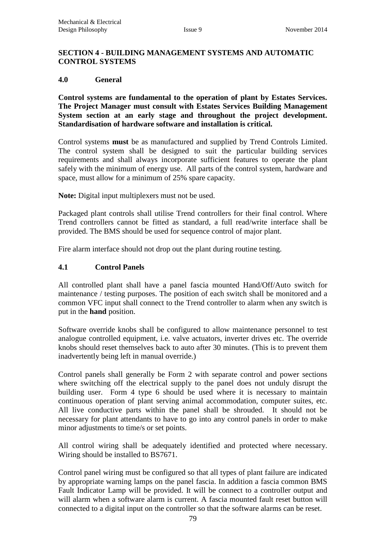#### **SECTION 4 - BUILDING MANAGEMENT SYSTEMS AND AUTOMATIC CONTROL SYSTEMS**

#### **4.0 General**

**Control systems are fundamental to the operation of plant by Estates Services. The Project Manager must consult with Estates Services Building Management System section at an early stage and throughout the project development. Standardisation of hardware software and installation is critical.**

Control systems **must** be as manufactured and supplied by Trend Controls Limited. The control system shall be designed to suit the particular building services requirements and shall always incorporate sufficient features to operate the plant safely with the minimum of energy use. All parts of the control system, hardware and space, must allow for a minimum of 25% spare capacity.

**Note:** Digital input multiplexers must not be used.

Packaged plant controls shall utilise Trend controllers for their final control. Where Trend controllers cannot be fitted as standard, a full read/write interface shall be provided. The BMS should be used for sequence control of major plant.

Fire alarm interface should not drop out the plant during routine testing.

#### **4.1 Control Panels**

All controlled plant shall have a panel fascia mounted Hand/Off/Auto switch for maintenance / testing purposes. The position of each switch shall be monitored and a common VFC input shall connect to the Trend controller to alarm when any switch is put in the **hand** position.

Software override knobs shall be configured to allow maintenance personnel to test analogue controlled equipment, i.e. valve actuators, inverter drives etc. The override knobs should reset themselves back to auto after 30 minutes. (This is to prevent them inadvertently being left in manual override.)

Control panels shall generally be Form 2 with separate control and power sections where switching off the electrical supply to the panel does not unduly disrupt the building user. Form 4 type 6 should be used where it is necessary to maintain continuous operation of plant serving animal accommodation, computer suites, etc. All live conductive parts within the panel shall be shrouded. It should not be necessary for plant attendants to have to go into any control panels in order to make minor adjustments to time/s or set points.

All control wiring shall be adequately identified and protected where necessary. Wiring should be installed to BS7671.

Control panel wiring must be configured so that all types of plant failure are indicated by appropriate warning lamps on the panel fascia. In addition a fascia common BMS Fault Indicator Lamp will be provided. It will be connect to a controller output and will alarm when a software alarm is current. A fascia mounted fault reset button will connected to a digital input on the controller so that the software alarms can be reset.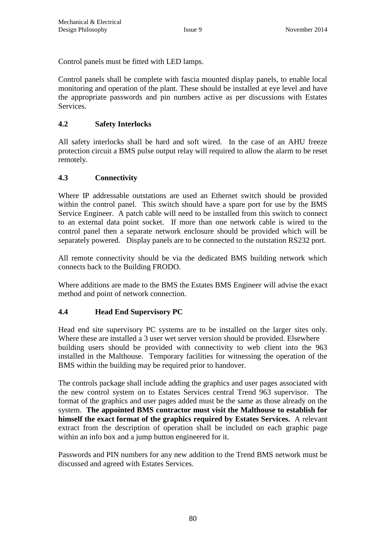Control panels must be fitted with LED lamps.

Control panels shall be complete with fascia mounted display panels, to enable local monitoring and operation of the plant. These should be installed at eye level and have the appropriate passwords and pin numbers active as per discussions with Estates Services.

# **4.2 Safety Interlocks**

All safety interlocks shall be hard and soft wired. In the case of an AHU freeze protection circuit a BMS pulse output relay will required to allow the alarm to be reset remotely.

#### **4.3 Connectivity**

Where IP addressable outstations are used an Ethernet switch should be provided within the control panel. This switch should have a spare port for use by the BMS Service Engineer. A patch cable will need to be installed from this switch to connect to an external data point socket. If more than one network cable is wired to the control panel then a separate network enclosure should be provided which will be separately powered. Display panels are to be connected to the outstation RS232 port.

All remote connectivity should be via the dedicated BMS building network which connects back to the Building FRODO.

Where additions are made to the BMS the Estates BMS Engineer will advise the exact method and point of network connection.

# **4.4 Head End Supervisory PC**

Head end site supervisory PC systems are to be installed on the larger sites only. Where these are installed a 3 user wet server version should be provided. Elsewhere building users should be provided with connectivity to web client into the 963 installed in the Malthouse. Temporary facilities for witnessing the operation of the BMS within the building may be required prior to handover.

The controls package shall include adding the graphics and user pages associated with the new control system on to Estates Services central Trend 963 supervisor. The format of the graphics and user pages added must be the same as those already on the system. **The appointed BMS contractor must visit the Malthouse to establish for himself the exact format of the graphics required by Estates Services.** A relevant extract from the description of operation shall be included on each graphic page within an info box and a jump button engineered for it.

Passwords and PIN numbers for any new addition to the Trend BMS network must be discussed and agreed with Estates Services.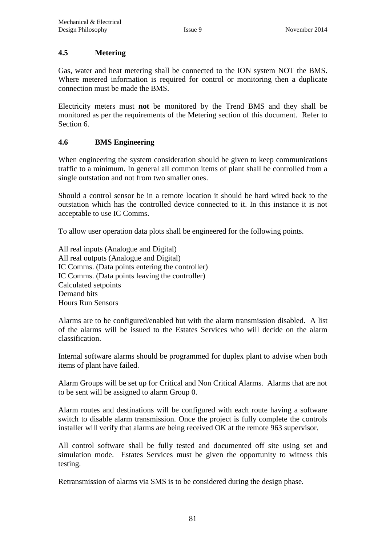## **4.5 Metering**

Gas, water and heat metering shall be connected to the ION system NOT the BMS. Where metered information is required for control or monitoring then a duplicate connection must be made the BMS.

Electricity meters must **not** be monitored by the Trend BMS and they shall be monitored as per the requirements of the Metering section of this document. Refer to Section 6.

## **4.6 BMS Engineering**

When engineering the system consideration should be given to keep communications traffic to a minimum. In general all common items of plant shall be controlled from a single outstation and not from two smaller ones.

Should a control sensor be in a remote location it should be hard wired back to the outstation which has the controlled device connected to it. In this instance it is not acceptable to use IC Comms.

To allow user operation data plots shall be engineered for the following points.

All real inputs (Analogue and Digital) All real outputs (Analogue and Digital) IC Comms. (Data points entering the controller) IC Comms. (Data points leaving the controller) Calculated setpoints Demand bits Hours Run Sensors

Alarms are to be configured/enabled but with the alarm transmission disabled. A list of the alarms will be issued to the Estates Services who will decide on the alarm classification.

Internal software alarms should be programmed for duplex plant to advise when both items of plant have failed.

Alarm Groups will be set up for Critical and Non Critical Alarms. Alarms that are not to be sent will be assigned to alarm Group 0.

Alarm routes and destinations will be configured with each route having a software switch to disable alarm transmission. Once the project is fully complete the controls installer will verify that alarms are being received OK at the remote 963 supervisor.

All control software shall be fully tested and documented off site using set and simulation mode. Estates Services must be given the opportunity to witness this testing.

Retransmission of alarms via SMS is to be considered during the design phase.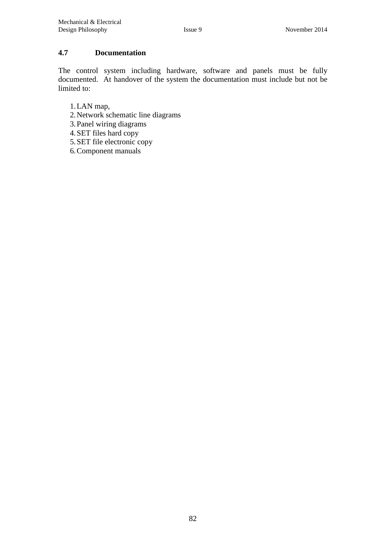## **4.7 Documentation**

The control system including hardware, software and panels must be fully documented. At handover of the system the documentation must include but not be limited to:

- 1.LAN map,
- 2.Network schematic line diagrams
- 3.Panel wiring diagrams
- 4.SET files hard copy
- 5.SET file electronic copy
- 6.Component manuals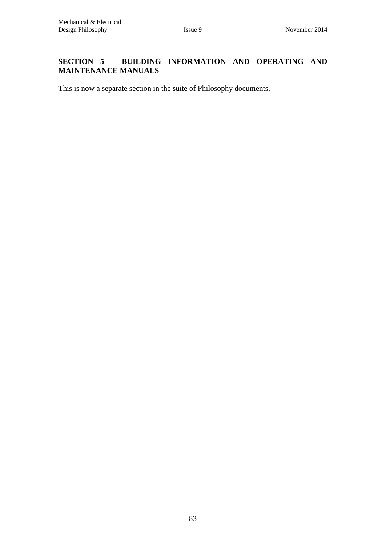# **SECTION 5 – BUILDING INFORMATION AND OPERATING AND MAINTENANCE MANUALS**

This is now a separate section in the suite of Philosophy documents.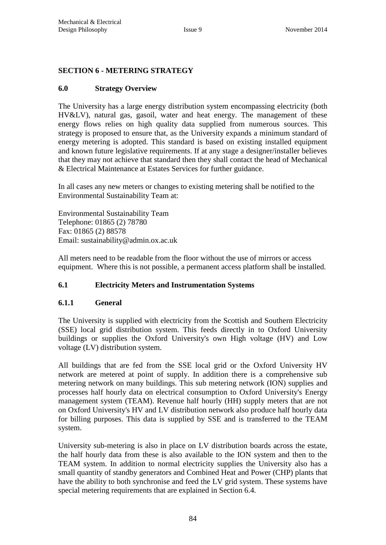## **SECTION 6 - METERING STRATEGY**

## **6.0 Strategy Overview**

The University has a large energy distribution system encompassing electricity (both HV&LV), natural gas, gasoil, water and heat energy. The management of these energy flows relies on high quality data supplied from numerous sources. This strategy is proposed to ensure that, as the University expands a minimum standard of energy metering is adopted. This standard is based on existing installed equipment and known future legislative requirements. If at any stage a designer/installer believes that they may not achieve that standard then they shall contact the head of Mechanical & Electrical Maintenance at Estates Services for further guidance.

In all cases any new meters or changes to existing metering shall be notified to the Environmental Sustainability Team at:

[Environmental Sustainability Team](http://www.admin.ox.ac.uk/estates/oxonly/environmentalsustainabilityteam/) Telephone: 01865 (2) 78780 Fax: 01865 (2) 88578 Email: [sustainability@admin.ox.ac.uk](mailto:sustainability@admin.ox.ac.uk)

All meters need to be readable from the floor without the use of mirrors or access equipment. Where this is not possible, a permanent access platform shall be installed.

# **6.1 Electricity Meters and Instrumentation Systems**

#### **6.1.1 General**

The University is supplied with electricity from the Scottish and Southern Electricity (SSE) local grid distribution system. This feeds directly in to Oxford University buildings or supplies the Oxford University's own High voltage (HV) and Low voltage (LV) distribution system.

All buildings that are fed from the SSE local grid or the Oxford University HV network are metered at point of supply. In addition there is a comprehensive sub metering network on many buildings. This sub metering network (ION) supplies and processes half hourly data on electrical consumption to Oxford University's Energy management system (TEAM). Revenue half hourly (HH) supply meters that are not on Oxford University's HV and LV distribution network also produce half hourly data for billing purposes. This data is supplied by SSE and is transferred to the TEAM system.

University sub-metering is also in place on LV distribution boards across the estate, the half hourly data from these is also available to the ION system and then to the TEAM system. In addition to normal electricity supplies the University also has a small quantity of standby generators and Combined Heat and Power (CHP) plants that have the ability to both synchronise and feed the LV grid system. These systems have special metering requirements that are explained in Section 6.4.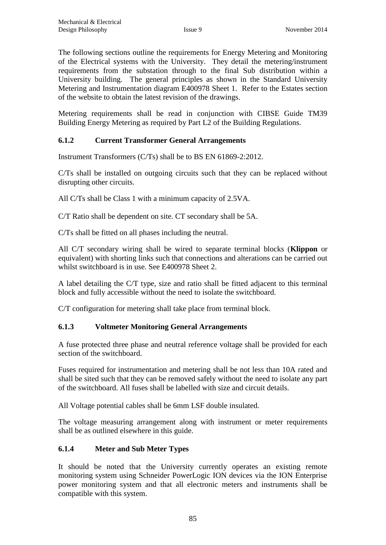The following sections outline the requirements for Energy Metering and Monitoring of the Electrical systems with the University. They detail the metering/instrument requirements from the substation through to the final Sub distribution within a University building. The general principles as shown in the Standard University Metering and Instrumentation diagram E400978 Sheet 1. Refer to the Estates section of the website to obtain the latest revision of the drawings.

Metering requirements shall be read in conjunction with CIBSE Guide TM39 Building Energy Metering as required by Part L2 of the Building Regulations.

# **6.1.2 Current Transformer General Arrangements**

Instrument Transformers (C/Ts) shall be to BS EN 61869-2:2012.

C/Ts shall be installed on outgoing circuits such that they can be replaced without disrupting other circuits.

All C/Ts shall be Class 1 with a minimum capacity of 2.5VA.

C/T Ratio shall be dependent on site. CT secondary shall be 5A.

C/Ts shall be fitted on all phases including the neutral.

All C/T secondary wiring shall be wired to separate terminal blocks (**Klippon** or equivalent) with shorting links such that connections and alterations can be carried out whilst switchboard is in use. See E400978 Sheet 2.

A label detailing the C/T type, size and ratio shall be fitted adjacent to this terminal block and fully accessible without the need to isolate the switchboard.

C/T configuration for metering shall take place from terminal block.

# **6.1.3 Voltmeter Monitoring General Arrangements**

A fuse protected three phase and neutral reference voltage shall be provided for each section of the switchboard.

Fuses required for instrumentation and metering shall be not less than 10A rated and shall be sited such that they can be removed safely without the need to isolate any part of the switchboard. All fuses shall be labelled with size and circuit details.

All Voltage potential cables shall be 6mm LSF double insulated.

The voltage measuring arrangement along with instrument or meter requirements shall be as outlined elsewhere in this guide.

# **6.1.4 Meter and Sub Meter Types**

It should be noted that the University currently operates an existing remote monitoring system using Schneider PowerLogic ION devices via the ION Enterprise power monitoring system and that all electronic meters and instruments shall be compatible with this system.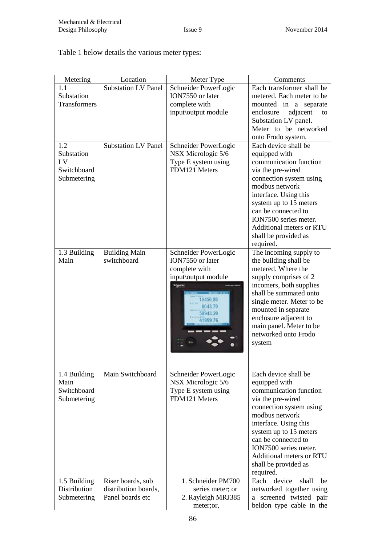Table 1 below details the various meter types:

| Metering     | Location                            | Meter Type           | Comments                                        |
|--------------|-------------------------------------|----------------------|-------------------------------------------------|
| 1.1          | Substation LV Panel                 | Schneider PowerLogic | Each transformer shall be                       |
| Substation   |                                     | ION7550 or later     | metered. Each meter to be                       |
| Transformers |                                     | complete with        | mounted in a separate                           |
|              |                                     | input\output module  | adjacent<br>enclosure<br>to                     |
|              |                                     |                      | Substation LV panel.                            |
|              |                                     |                      | Meter to be networked                           |
|              |                                     |                      | onto Frodo system.                              |
| 1.2          | <b>Substation LV Panel</b>          | Schneider PowerLogic | Each device shall be                            |
| Substation   |                                     | NSX Micrologic 5/6   | equipped with                                   |
| LV           |                                     | Type E system using  | communication function                          |
| Switchboard  |                                     | FDM121 Meters        | via the pre-wired                               |
| Submetering  |                                     |                      | connection system using                         |
|              |                                     |                      | modbus network                                  |
|              |                                     |                      | interface. Using this                           |
|              |                                     |                      |                                                 |
|              |                                     |                      | system up to 15 meters<br>can be connected to   |
|              |                                     |                      |                                                 |
|              |                                     |                      | ION7500 series meter.                           |
|              |                                     |                      | Additional meters or RTU                        |
|              |                                     |                      | shall be provided as                            |
|              |                                     |                      | required.                                       |
| 1.3 Building | <b>Building Main</b><br>switchboard | Schneider PowerLogic | The incoming supply to                          |
| Main         |                                     | ION7550 or later     | the building shall be                           |
|              |                                     | complete with        | metered. Where the                              |
|              |                                     | input\output module  | supply comprises of 2                           |
|              |                                     | <b>Segment</b>       | incomers, both supplies                         |
|              |                                     | 19450.80             | shall be summated onto                          |
|              |                                     | 8043.70              | single meter. Meter to be                       |
|              |                                     | 50943.20             | mounted in separate                             |
|              |                                     | 41999.76             | enclosure adjacent to                           |
|              |                                     |                      | main panel. Meter to be<br>networked onto Frodo |
|              |                                     |                      |                                                 |
|              |                                     |                      | system                                          |
|              |                                     |                      |                                                 |
|              |                                     |                      |                                                 |
| 1.4 Building | Main Switchboard                    | Schneider PowerLogic | Each device shall be                            |
| Main         |                                     | NSX Micrologic 5/6   | equipped with                                   |
| Switchboard  |                                     | Type E system using  | communication function                          |
| Submetering  |                                     | FDM121 Meters        | via the pre-wired                               |
|              |                                     |                      | connection system using                         |
|              |                                     |                      | modbus network                                  |
|              |                                     |                      | interface. Using this                           |
|              |                                     |                      | system up to 15 meters                          |
|              |                                     |                      | can be connected to                             |
|              |                                     |                      | ION7500 series meter.                           |
|              |                                     |                      | <b>Additional meters or RTU</b>                 |
|              |                                     |                      | shall be provided as                            |
|              |                                     |                      | required.                                       |
| 1.5 Building | Riser boards, sub                   | 1. Schneider PM700   | device<br>shall<br>Each<br>be                   |
| Distribution | distribution boards,                | series meter; or     | networked together using                        |
| Submetering  | Panel boards etc                    | 2. Rayleigh MRJ385   | a screened twisted pair                         |
|              |                                     | meter;or,            | beldon type cable in the                        |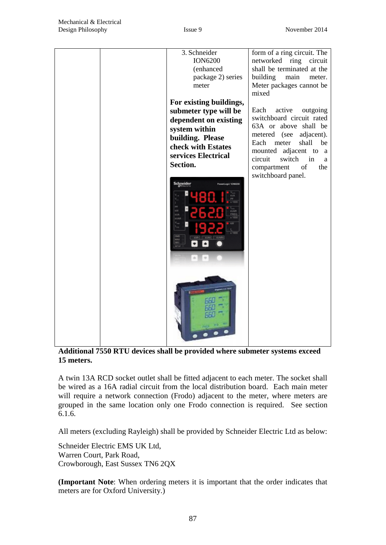

**Additional 7550 RTU devices shall be provided where submeter systems exceed 15 meters.**

A twin 13A RCD socket outlet shall be fitted adjacent to each meter. The socket shall be wired as a 16A radial circuit from the local distribution board. Each main meter will require a network connection (Frodo) adjacent to the meter, where meters are grouped in the same location only one Frodo connection is required. See section 6.1.6.

All meters (excluding Rayleigh) shall be provided by Schneider Electric Ltd as below:

Schneider Electric EMS UK Ltd, Warren Court, Park Road, Crowborough, East Sussex TN6 2QX

**(Important Note**: When ordering meters it is important that the order indicates that meters are for Oxford University.)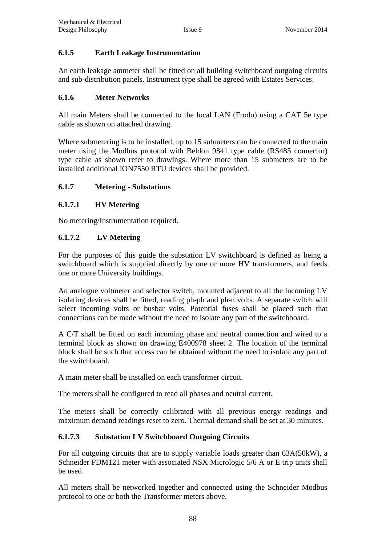## **6.1.5 Earth Leakage Instrumentation**

An earth leakage ammeter shall be fitted on all building switchboard outgoing circuits and sub-distribution panels. Instrument type shall be agreed with Estates Services.

## **6.1.6 Meter Networks**

All main Meters shall be connected to the local LAN (Frodo) using a CAT 5e type cable as shown on attached drawing.

Where submetering is to be installed, up to 15 submeters can be connected to the main meter using the Modbus protocol with Beldon 9841 type cable (RS485 connector) type cable as shown refer to drawings. Where more than 15 submeters are to be installed additional ION7550 RTU devices shall be provided.

## **6.1.7 Metering - Substations**

#### **6.1.7.1 HV Metering**

No metering/Instrumentation required.

## **6.1.7.2 LV Metering**

For the purposes of this guide the substation LV switchboard is defined as being a switchboard which is supplied directly by one or more HV transformers, and feeds one or more University buildings.

An analogue voltmeter and selector switch, mounted adjacent to all the incoming LV isolating devices shall be fitted, reading ph-ph and ph-n volts. A separate switch will select incoming volts or busbar volts. Potential fuses shall be placed such that connections can be made without the need to isolate any part of the switchboard.

A C/T shall be fitted on each incoming phase and neutral connection and wired to a terminal block as shown on drawing E400978 sheet 2. The location of the terminal block shall be such that access can be obtained without the need to isolate any part of the switchboard.

A main meter shall be installed on each transformer circuit.

The meters shall be configured to read all phases and neutral current.

The meters shall be correctly calibrated with all previous energy readings and maximum demand readings reset to zero. Thermal demand shall be set at 30 minutes.

#### **6.1.7.3 Substation LV Switchboard Outgoing Circuits**

For all outgoing circuits that are to supply variable loads greater than 63A(50kW), a Schneider FDM121 meter with associated NSX Micrologic 5/6 A or E trip units shall be used.

All meters shall be networked together and connected using the Schneider Modbus protocol to one or both the Transformer meters above.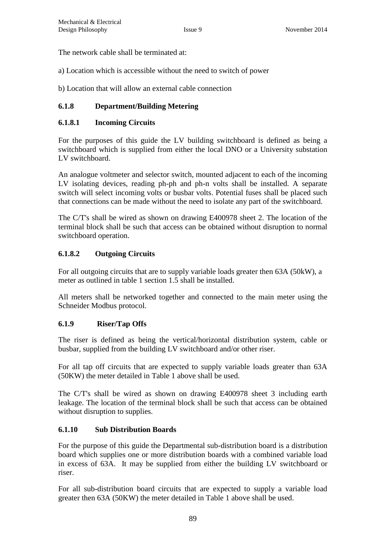The network cable shall be terminated at:

a) Location which is accessible without the need to switch of power

b) Location that will allow an external cable connection

# **6.1.8 Department/Building Metering**

## **6.1.8.1 Incoming Circuits**

For the purposes of this guide the LV building switchboard is defined as being a switchboard which is supplied from either the local DNO or a University substation LV switchboard.

An analogue voltmeter and selector switch, mounted adjacent to each of the incoming LV isolating devices, reading ph-ph and ph-n volts shall be installed. A separate switch will select incoming volts or busbar volts. Potential fuses shall be placed such that connections can be made without the need to isolate any part of the switchboard.

The C/T's shall be wired as shown on drawing E400978 sheet 2. The location of the terminal block shall be such that access can be obtained without disruption to normal switchboard operation.

## **6.1.8.2 Outgoing Circuits**

For all outgoing circuits that are to supply variable loads greater then 63A (50kW), a meter as outlined in table 1 section 1.5 shall be installed.

All meters shall be networked together and connected to the main meter using the Schneider Modbus protocol.

# **6.1.9 Riser/Tap Offs**

The riser is defined as being the vertical/horizontal distribution system, cable or busbar, supplied from the building LV switchboard and/or other riser.

For all tap off circuits that are expected to supply variable loads greater than 63A (50KW) the meter detailed in Table 1 above shall be used.

The C/T's shall be wired as shown on drawing E400978 sheet 3 including earth leakage. The location of the terminal block shall be such that access can be obtained without disruption to supplies.

# **6.1.10 Sub Distribution Boards**

For the purpose of this guide the Departmental sub-distribution board is a distribution board which supplies one or more distribution boards with a combined variable load in excess of 63A. It may be supplied from either the building LV switchboard or riser.

For all sub-distribution board circuits that are expected to supply a variable load greater then 63A (50KW) the meter detailed in Table 1 above shall be used.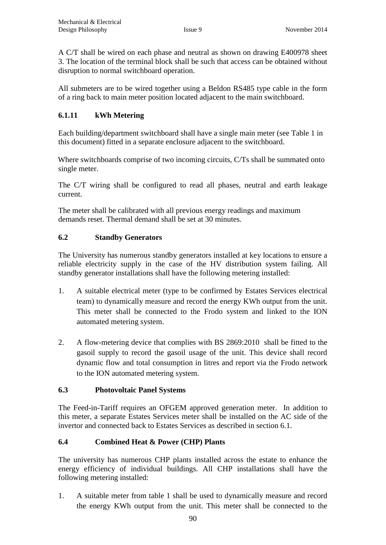A C/T shall be wired on each phase and neutral as shown on drawing E400978 sheet 3. The location of the terminal block shall be such that access can be obtained without disruption to normal switchboard operation.

All submeters are to be wired together using a Beldon RS485 type cable in the form of a ring back to main meter position located adjacent to the main switchboard.

## **6.1.11 kWh Metering**

Each building/department switchboard shall have a single main meter (see Table 1 in this document) fitted in a separate enclosure adjacent to the switchboard.

Where switchboards comprise of two incoming circuits, C/Ts shall be summated onto single meter.

The C/T wiring shall be configured to read all phases, neutral and earth leakage current.

The meter shall be calibrated with all previous energy readings and maximum demands reset. Thermal demand shall be set at 30 minutes.

## **6.2 Standby Generators**

The University has numerous standby generators installed at key locations to ensure a reliable electricity supply in the case of the HV distribution system failing. All standby generator installations shall have the following metering installed:

- 1. A suitable electrical meter (type to be confirmed by Estates Services electrical team) to dynamically measure and record the energy KWh output from the unit. This meter shall be connected to the Frodo system and linked to the ION automated metering system.
- 2. A flow-metering device that complies with BS 2869:2010 shall be fitted to the gasoil supply to record the gasoil usage of the unit. This device shall record dynamic flow and total consumption in litres and report via the Frodo network to the ION automated metering system.

#### **6.3 Photovoltaic Panel Systems**

The Feed-in-Tariff requires an OFGEM approved generation meter. In addition to this meter, a separate Estates Services meter shall be installed on the AC side of the invertor and connected back to Estates Services as described in section 6.1.

# **6.4 Combined Heat & Power (CHP) Plants**

The university has numerous CHP plants installed across the estate to enhance the energy efficiency of individual buildings. All CHP installations shall have the following metering installed:

1. A suitable meter from table 1 shall be used to dynamically measure and record the energy KWh output from the unit. This meter shall be connected to the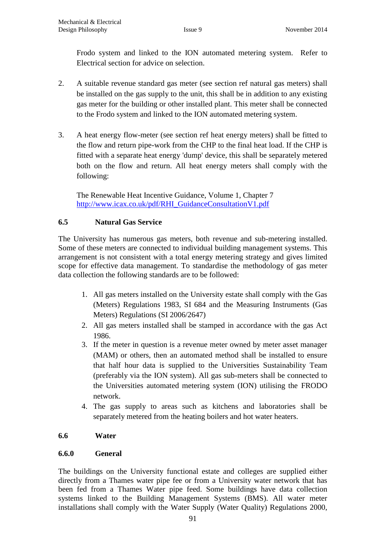Frodo system and linked to the ION automated metering system. Refer to Electrical section for advice on selection.

- 2. A suitable revenue standard gas meter (see section ref natural gas meters) shall be installed on the gas supply to the unit, this shall be in addition to any existing gas meter for the building or other installed plant. This meter shall be connected to the Frodo system and linked to the ION automated metering system.
- 3. A heat energy flow-meter (see section ref heat energy meters) shall be fitted to the flow and return pipe-work from the CHP to the final heat load. If the CHP is fitted with a separate heat energy 'dump' device, this shall be separately metered both on the flow and return. All heat energy meters shall comply with the following:

The Renewable Heat Incentive Guidance, Volume 1, Chapter 7 [http://www.icax.co.uk/pdf/RHI\\_GuidanceConsultationV1.pdf](http://www.icax.co.uk/pdf/RHI_GuidanceConsultationV1.pdf)

# **6.5 Natural Gas Service**

The University has numerous gas meters, both revenue and sub-metering installed. Some of these meters are connected to individual building management systems. This arrangement is not consistent with a total energy metering strategy and gives limited scope for effective data management. To standardise the methodology of gas meter data collection the following standards are to be followed:

- 1. All gas meters installed on the University estate shall comply with the Gas (Meters) Regulations 1983, SI 684 and the Measuring Instruments (Gas Meters) Regulations (SI 2006/2647)
- 2. All gas meters installed shall be stamped in accordance with the gas Act 1986.
- 3. If the meter in question is a revenue meter owned by meter asset manager (MAM) or others, then an automated method shall be installed to ensure that half hour data is supplied to the Universities Sustainability Team (preferably via the ION system). All gas sub-meters shall be connected to the Universities automated metering system (ION) utilising the FRODO network.
- 4. The gas supply to areas such as kitchens and laboratories shall be separately metered from the heating boilers and hot water heaters.

# **6.6 Water**

# **6.6.0 General**

The buildings on the University functional estate and colleges are supplied either directly from a Thames water pipe fee or from a University water network that has been fed from a Thames Water pipe feed. Some buildings have data collection systems linked to the Building Management Systems (BMS). All water meter installations shall comply with the Water Supply (Water Quality) Regulations 2000,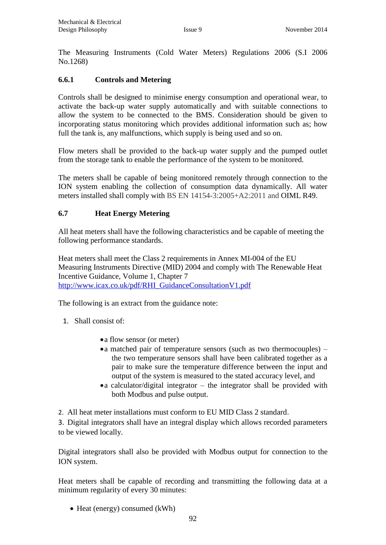The Measuring Instruments (Cold Water Meters) Regulations 2006 (S.I 2006 No.1268)

# **6.6.1 Controls and Metering**

Controls shall be designed to minimise energy consumption and operational wear, to activate the back-up water supply automatically and with suitable connections to allow the system to be connected to the BMS. Consideration should be given to incorporating status monitoring which provides additional information such as; how full the tank is, any malfunctions, which supply is being used and so on.

Flow meters shall be provided to the back-up water supply and the pumped outlet from the storage tank to enable the performance of the system to be monitored.

The meters shall be capable of being monitored remotely through connection to the ION system enabling the collection of consumption data dynamically. All water meters installed shall comply with BS EN 14154-3:2005+A2:2011 and OIML R49.

## **6.7 Heat Energy Metering**

All heat meters shall have the following characteristics and be capable of meeting the following performance standards.

Heat meters shall meet the Class 2 requirements in Annex MI-004 of the EU Measuring Instruments Directive (MID) 2004 and comply with The Renewable Heat Incentive Guidance, Volume 1, Chapter 7 [http://www.icax.co.uk/pdf/RHI\\_GuidanceConsultationV1.pdf](http://www.icax.co.uk/pdf/RHI_GuidanceConsultationV1.pdf)

The following is an extract from the guidance note:

1. Shall consist of:

- a flow sensor (or meter)
- a matched pair of temperature sensors (such as two thermocouples) the two temperature sensors shall have been calibrated together as a pair to make sure the temperature difference between the input and output of the system is measured to the stated accuracy level, and
- a calculator/digital integrator the integrator shall be provided with both Modbus and pulse output.

2. All heat meter installations must conform to EU MID Class 2 standard.

3. Digital integrators shall have an integral display which allows recorded parameters to be viewed locally.

Digital integrators shall also be provided with Modbus output for connection to the ION system.

Heat meters shall be capable of recording and transmitting the following data at a minimum regularity of every 30 minutes:

• Heat (energy) consumed (kWh)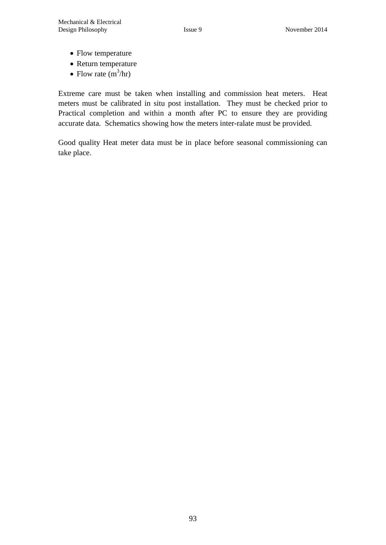- Flow temperature
- Return temperature
- Flow rate  $(m^3/hr)$

Extreme care must be taken when installing and commission heat meters. Heat meters must be calibrated in situ post installation. They must be checked prior to Practical completion and within a month after PC to ensure they are providing accurate data. Schematics showing how the meters inter-ralate must be provided.

Good quality Heat meter data must be in place before seasonal commissioning can take place.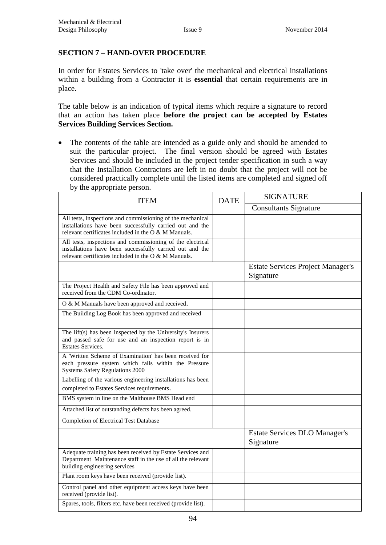## **SECTION 7 – HAND-OVER PROCEDURE**

In order for Estates Services to 'take over' the mechanical and electrical installations within a building from a Contractor it is **essential** that certain requirements are in place.

The table below is an indication of typical items which require a signature to record that an action has taken place **before the project can be accepted by Estates Services Building Services Section.**

• The contents of the table are intended as a guide only and should be amended to suit the particular project. The final version should be agreed with Estates Services and should be included in the project tender specification in such a way that the Installation Contractors are left in no doubt that the project will not be considered practically complete until the listed items are completed and signed off by the appropriate person.

| <b>ITEM</b>                                                                                                                                                                      | <b>DATE</b> | <b>SIGNATURE</b>                                      |  |  |
|----------------------------------------------------------------------------------------------------------------------------------------------------------------------------------|-------------|-------------------------------------------------------|--|--|
|                                                                                                                                                                                  |             | <b>Consultants Signature</b>                          |  |  |
| All tests, inspections and commissioning of the mechanical<br>installations have been successfully carried out and the<br>relevant certificates included in the $O & M$ Manuals. |             |                                                       |  |  |
| All tests, inspections and commissioning of the electrical<br>installations have been successfully carried out and the<br>relevant certificates included in the O & M Manuals.   |             |                                                       |  |  |
|                                                                                                                                                                                  |             | <b>Estate Services Project Manager's</b><br>Signature |  |  |
| The Project Health and Safety File has been approved and<br>received from the CDM Co-ordinator.                                                                                  |             |                                                       |  |  |
| O & M Manuals have been approved and received.                                                                                                                                   |             |                                                       |  |  |
| The Building Log Book has been approved and received                                                                                                                             |             |                                                       |  |  |
| The lift(s) has been inspected by the University's Insurers<br>and passed safe for use and an inspection report is in<br><b>Estates Services.</b>                                |             |                                                       |  |  |
| A 'Written Scheme of Examination' has been received for<br>each pressure system which falls within the Pressure<br><b>Systems Safety Regulations 2000</b>                        |             |                                                       |  |  |
| Labelling of the various engineering installations has been<br>completed to Estates Services requirements.                                                                       |             |                                                       |  |  |
| BMS system in line on the Malthouse BMS Head end                                                                                                                                 |             |                                                       |  |  |
| Attached list of outstanding defects has been agreed.                                                                                                                            |             |                                                       |  |  |
| <b>Completion of Electrical Test Database</b>                                                                                                                                    |             |                                                       |  |  |
|                                                                                                                                                                                  |             | <b>Estate Services DLO Manager's</b><br>Signature     |  |  |
| Adequate training has been received by Estate Services and<br>Department Maintenance staff in the use of all the relevant<br>building engineering services                       |             |                                                       |  |  |
| Plant room keys have been received (provide list).                                                                                                                               |             |                                                       |  |  |
| Control panel and other equipment access keys have been<br>received (provide list).                                                                                              |             |                                                       |  |  |
| Spares, tools, filters etc. have been received (provide list).                                                                                                                   |             |                                                       |  |  |